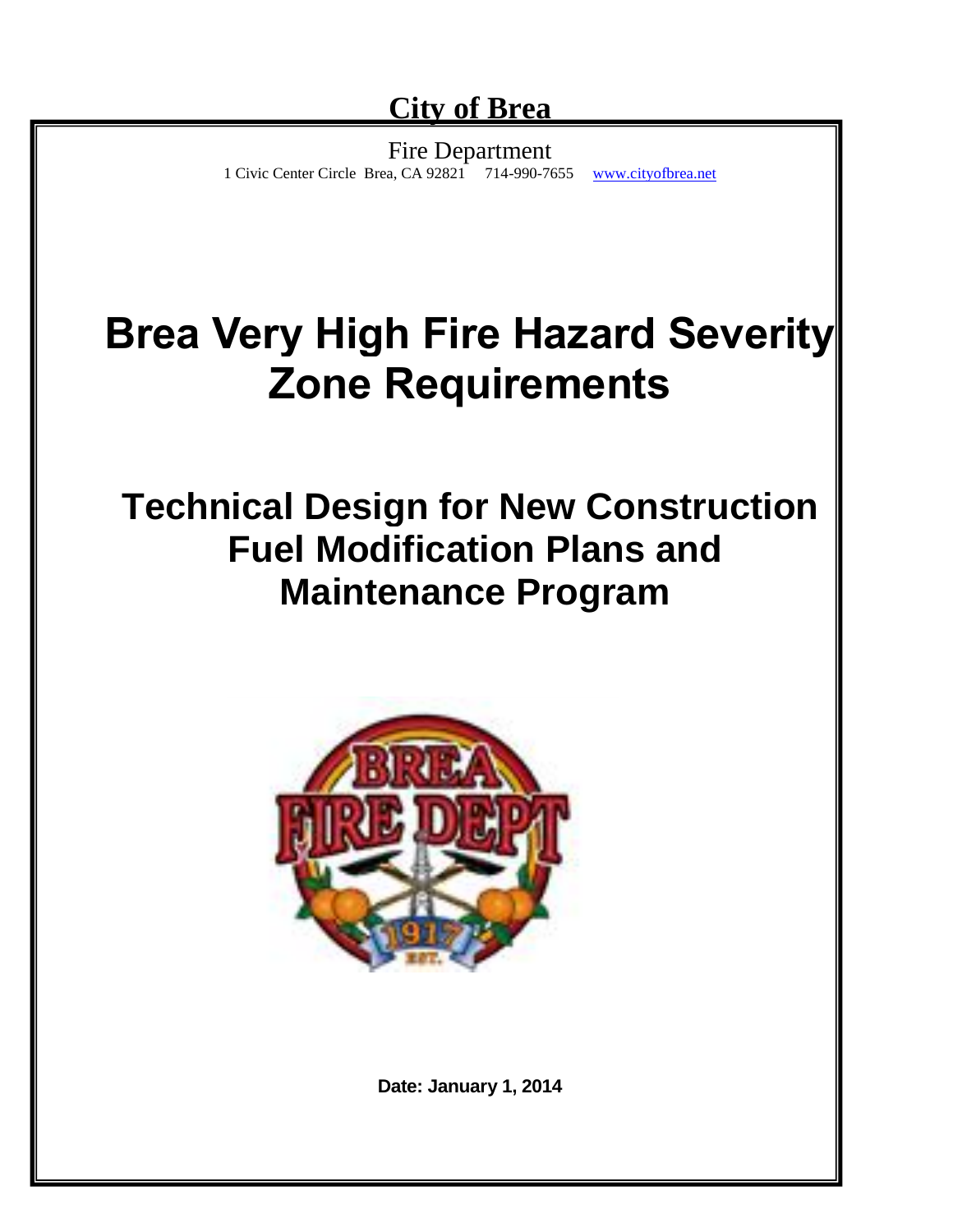## **City of Brea**

Fire Department 1 Civic Center Circle Brea, CA 92821 714-990-7655 [www.cityofbrea.net](http://www.cityofbrea.net/)

# **Brea Very High Fire Hazard Severity Zone Requirements**

## **Technical Design for New Construction Fuel Modification Plans and Maintenance Program**



**Date: January 1, 2014**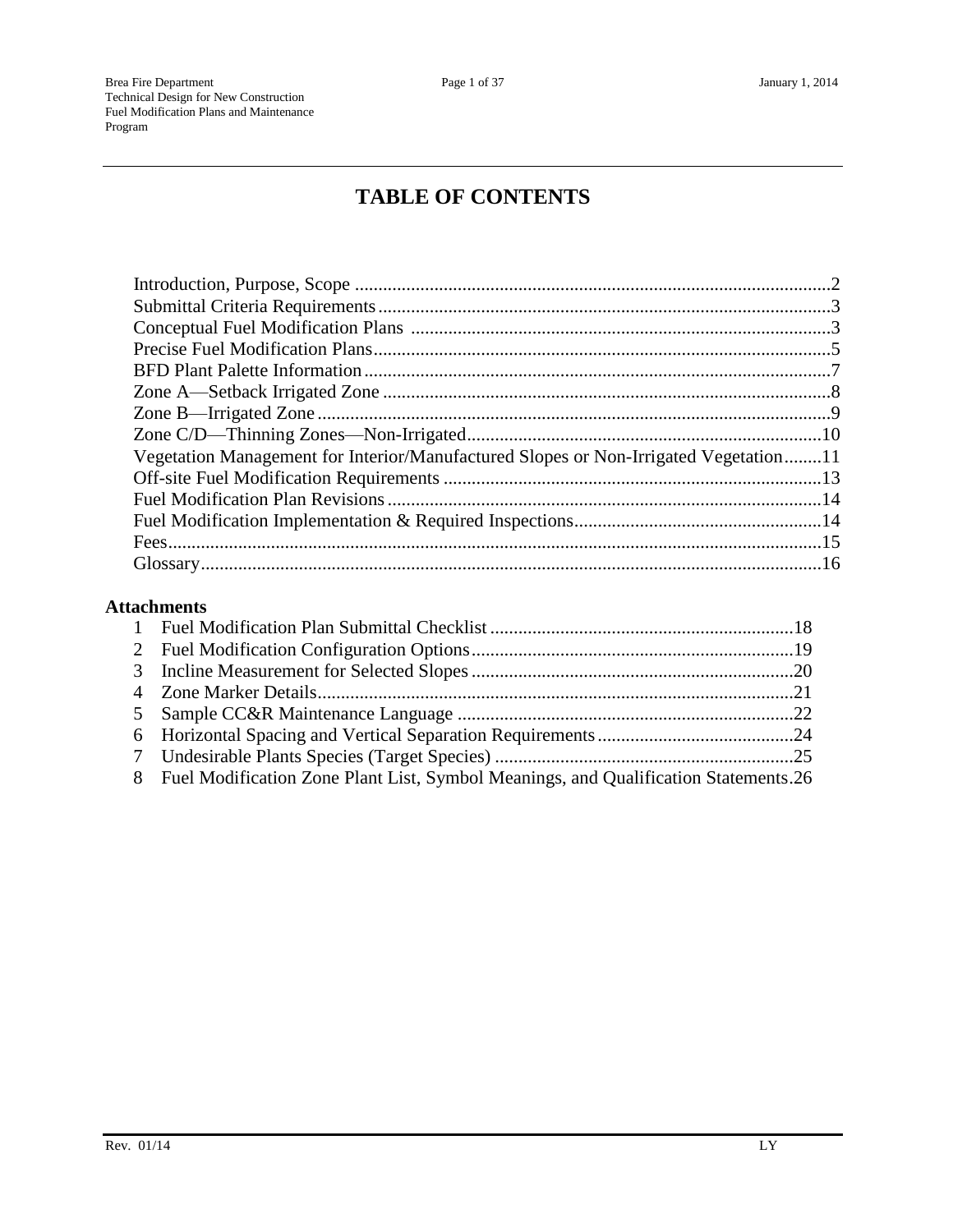Brea Fire Department **Page 1** of 37 January 1, 2014 Technical Design for New Construction Fuel Modification Plans and Maintenance Program

### **TABLE OF CONTENTS**

| Vegetation Management for Interior/Manufactured Slopes or Non-Irrigated Vegetation11 |  |
|--------------------------------------------------------------------------------------|--|
|                                                                                      |  |
|                                                                                      |  |
|                                                                                      |  |
|                                                                                      |  |
|                                                                                      |  |

#### **Attachments**

| 8 Fuel Modification Zone Plant List, Symbol Meanings, and Qualification Statements.26 |  |
|---------------------------------------------------------------------------------------|--|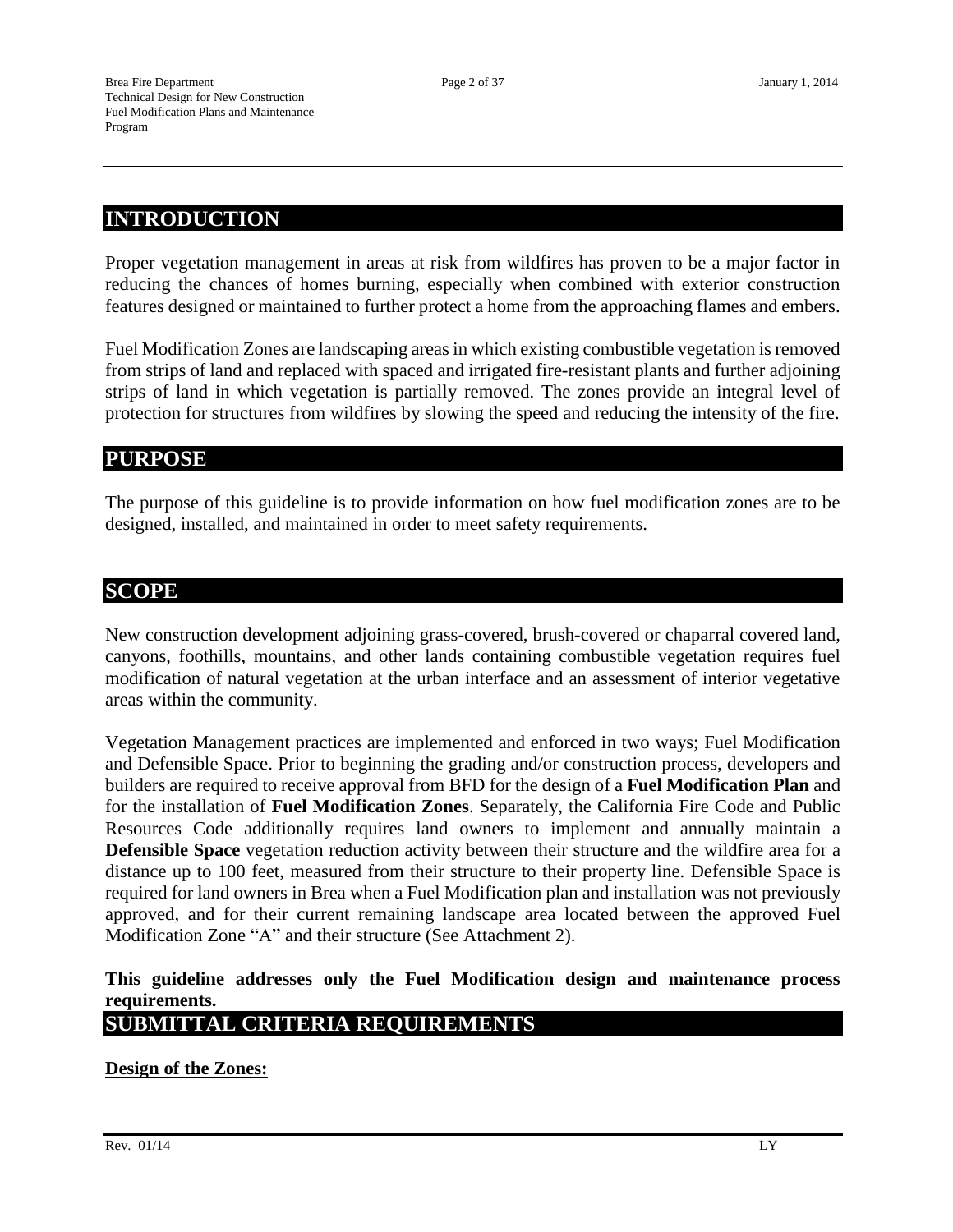### **INTRODUCTION**

Proper vegetation management in areas at risk from wildfires has proven to be a major factor in reducing the chances of homes burning, especially when combined with exterior construction features designed or maintained to further protect a home from the approaching flames and embers.

Fuel Modification Zones are landscaping areasin which existing combustible vegetation is removed from strips of land and replaced with spaced and irrigated fire-resistant plants and further adjoining strips of land in which vegetation is partially removed. The zones provide an integral level of protection for structures from wildfires by slowing the speed and reducing the intensity of the fire.

#### **PURPOSE**

The purpose of this guideline is to provide information on how fuel modification zones are to be designed, installed, and maintained in order to meet safety requirements.

### **SCOPE**

New construction development adjoining grass-covered, brush-covered or chaparral covered land, canyons, foothills, mountains, and other lands containing combustible vegetation requires fuel modification of natural vegetation at the urban interface and an assessment of interior vegetative areas within the community.

Vegetation Management practices are implemented and enforced in two ways; Fuel Modification and Defensible Space. Prior to beginning the grading and/or construction process, developers and builders are required to receive approval from BFD for the design of a **Fuel Modification Plan** and for the installation of **Fuel Modification Zones**. Separately, the California Fire Code and Public Resources Code additionally requires land owners to implement and annually maintain a **Defensible Space** vegetation reduction activity between their structure and the wildfire area for a distance up to 100 feet, measured from their structure to their property line. Defensible Space is required for land owners in Brea when a Fuel Modification plan and installation was not previously approved, and for their current remaining landscape area located between the approved Fuel Modification Zone "A" and their structure (See Attachment 2).

#### **This guideline addresses only the Fuel Modification design and maintenance process requirements.**

#### **SUBMITTAL CRITERIA REQUIREMENTS**

**Design of the Zones:**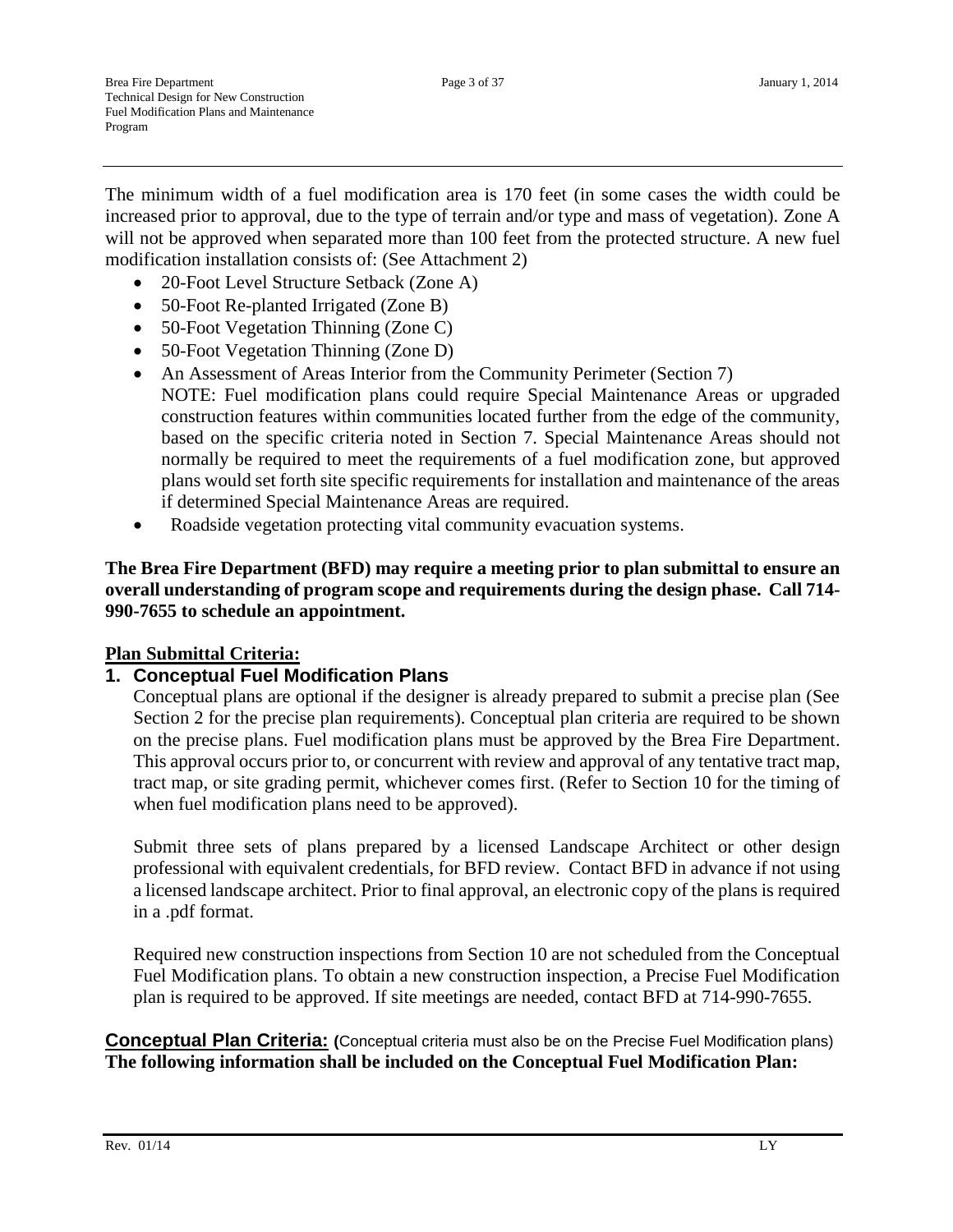The minimum width of a fuel modification area is 170 feet (in some cases the width could be increased prior to approval, due to the type of terrain and/or type and mass of vegetation). Zone A will not be approved when separated more than 100 feet from the protected structure. A new fuel modification installation consists of: (See Attachment 2)

- 20-Foot Level Structure Setback (Zone A)
- 50-Foot Re-planted Irrigated (Zone B)
- 50-Foot Vegetation Thinning (Zone C)
- 50-Foot Vegetation Thinning (Zone D)
- An Assessment of Areas Interior from the Community Perimeter (Section 7) NOTE: Fuel modification plans could require Special Maintenance Areas or upgraded construction features within communities located further from the edge of the community, based on the specific criteria noted in Section 7. Special Maintenance Areas should not normally be required to meet the requirements of a fuel modification zone, but approved plans would set forth site specific requirements for installation and maintenance of the areas if determined Special Maintenance Areas are required.
- Roadside vegetation protecting vital community evacuation systems.

**The Brea Fire Department (BFD) may require a meeting prior to plan submittal to ensure an overall understanding of program scope and requirements during the design phase. Call 714- 990-7655 to schedule an appointment.**

#### **Plan Submittal Criteria:**

#### **1. Conceptual Fuel Modification Plans**

Conceptual plans are optional if the designer is already prepared to submit a precise plan (See Section 2 for the precise plan requirements). Conceptual plan criteria are required to be shown on the precise plans. Fuel modification plans must be approved by the Brea Fire Department. This approval occurs prior to, or concurrent with review and approval of any tentative tract map, tract map, or site grading permit, whichever comes first. (Refer to Section 10 for the timing of when fuel modification plans need to be approved).

Submit three sets of plans prepared by a licensed Landscape Architect or other design professional with equivalent credentials, for BFD review. Contact BFD in advance if not using a licensed landscape architect. Prior to final approval, an electronic copy of the plans is required in a .pdf format.

Required new construction inspections from Section 10 are not scheduled from the Conceptual Fuel Modification plans. To obtain a new construction inspection, a Precise Fuel Modification plan is required to be approved. If site meetings are needed, contact BFD at 714-990-7655.

**Conceptual Plan Criteria: (**Conceptual criteria must also be on the Precise Fuel Modification plans) **The following information shall be included on the Conceptual Fuel Modification Plan:**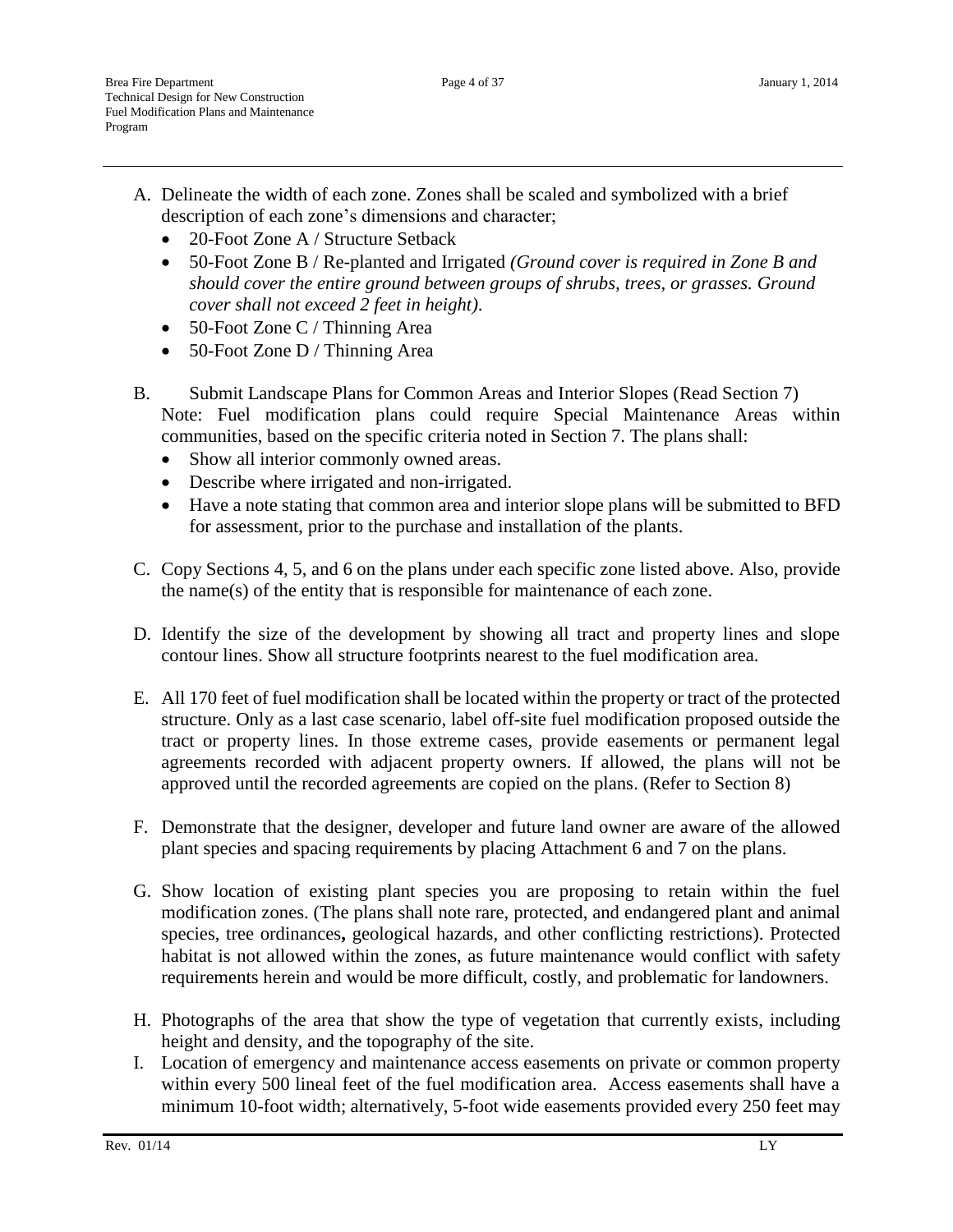- A. Delineate the width of each zone. Zones shall be scaled and symbolized with a brief description of each zone's dimensions and character;
	- 20-Foot Zone A / Structure Setback
	- 50-Foot Zone B / Re-planted and Irrigated *(Ground cover is required in Zone B and should cover the entire ground between groups of shrubs, trees, or grasses. Ground cover shall not exceed 2 feet in height)*.
	- 50-Foot Zone C / Thinning Area
	- 50-Foot Zone D / Thinning Area
- B. Submit Landscape Plans for Common Areas and Interior Slopes (Read Section 7) Note: Fuel modification plans could require Special Maintenance Areas within communities, based on the specific criteria noted in Section 7. The plans shall:
	- Show all interior commonly owned areas.
	- Describe where irrigated and non-irrigated.
	- Have a note stating that common area and interior slope plans will be submitted to BFD for assessment, prior to the purchase and installation of the plants.
- C. Copy Sections 4, 5, and 6 on the plans under each specific zone listed above. Also, provide the name(s) of the entity that is responsible for maintenance of each zone.
- D. Identify the size of the development by showing all tract and property lines and slope contour lines. Show all structure footprints nearest to the fuel modification area.
- E. All 170 feet of fuel modification shall be located within the property or tract of the protected structure. Only as a last case scenario, label off-site fuel modification proposed outside the tract or property lines. In those extreme cases, provide easements or permanent legal agreements recorded with adjacent property owners. If allowed, the plans will not be approved until the recorded agreements are copied on the plans. (Refer to Section 8)
- F. Demonstrate that the designer, developer and future land owner are aware of the allowed plant species and spacing requirements by placing Attachment 6 and 7 on the plans.
- G. Show location of existing plant species you are proposing to retain within the fuel modification zones. (The plans shall note rare, protected, and endangered plant and animal species, tree ordinances**,** geological hazards, and other conflicting restrictions). Protected habitat is not allowed within the zones, as future maintenance would conflict with safety requirements herein and would be more difficult, costly, and problematic for landowners.
- H. Photographs of the area that show the type of vegetation that currently exists, including height and density, and the topography of the site.
- I. Location of emergency and maintenance access easements on private or common property within every 500 lineal feet of the fuel modification area. Access easements shall have a minimum 10-foot width; alternatively, 5-foot wide easements provided every 250 feet may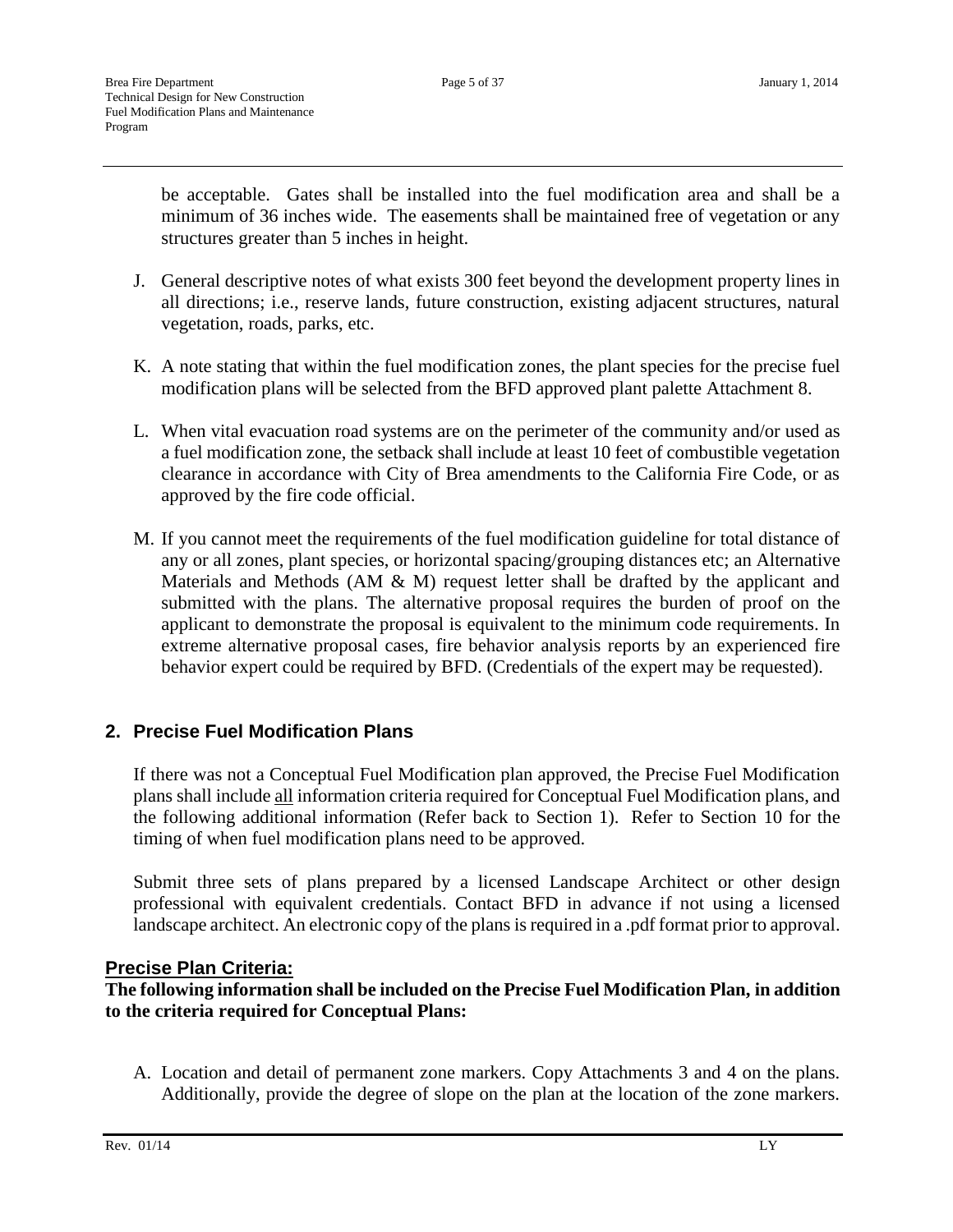be acceptable. Gates shall be installed into the fuel modification area and shall be a minimum of 36 inches wide. The easements shall be maintained free of vegetation or any structures greater than 5 inches in height.

- J. General descriptive notes of what exists 300 feet beyond the development property lines in all directions; i.e., reserve lands, future construction, existing adjacent structures, natural vegetation, roads, parks, etc.
- K. A note stating that within the fuel modification zones, the plant species for the precise fuel modification plans will be selected from the BFD approved plant palette Attachment 8.
- L. When vital evacuation road systems are on the perimeter of the community and/or used as a fuel modification zone, the setback shall include at least 10 feet of combustible vegetation clearance in accordance with City of Brea amendments to the California Fire Code, or as approved by the fire code official.
- M. If you cannot meet the requirements of the fuel modification guideline for total distance of any or all zones, plant species, or horizontal spacing/grouping distances etc; an Alternative Materials and Methods (AM  $\&$  M) request letter shall be drafted by the applicant and submitted with the plans. The alternative proposal requires the burden of proof on the applicant to demonstrate the proposal is equivalent to the minimum code requirements. In extreme alternative proposal cases, fire behavior analysis reports by an experienced fire behavior expert could be required by BFD. (Credentials of the expert may be requested).

#### **2. Precise Fuel Modification Plans**

If there was not a Conceptual Fuel Modification plan approved, the Precise Fuel Modification plans shall include all information criteria required for Conceptual Fuel Modification plans, and the following additional information (Refer back to Section 1). Refer to Section 10 for the timing of when fuel modification plans need to be approved.

Submit three sets of plans prepared by a licensed Landscape Architect or other design professional with equivalent credentials. Contact BFD in advance if not using a licensed landscape architect. An electronic copy of the plans is required in a .pdf format prior to approval.

#### **Precise Plan Criteria:**

**The following information shall be included on the Precise Fuel Modification Plan, in addition to the criteria required for Conceptual Plans:**

A. Location and detail of permanent zone markers. Copy Attachments 3 and 4 on the plans. Additionally, provide the degree of slope on the plan at the location of the zone markers.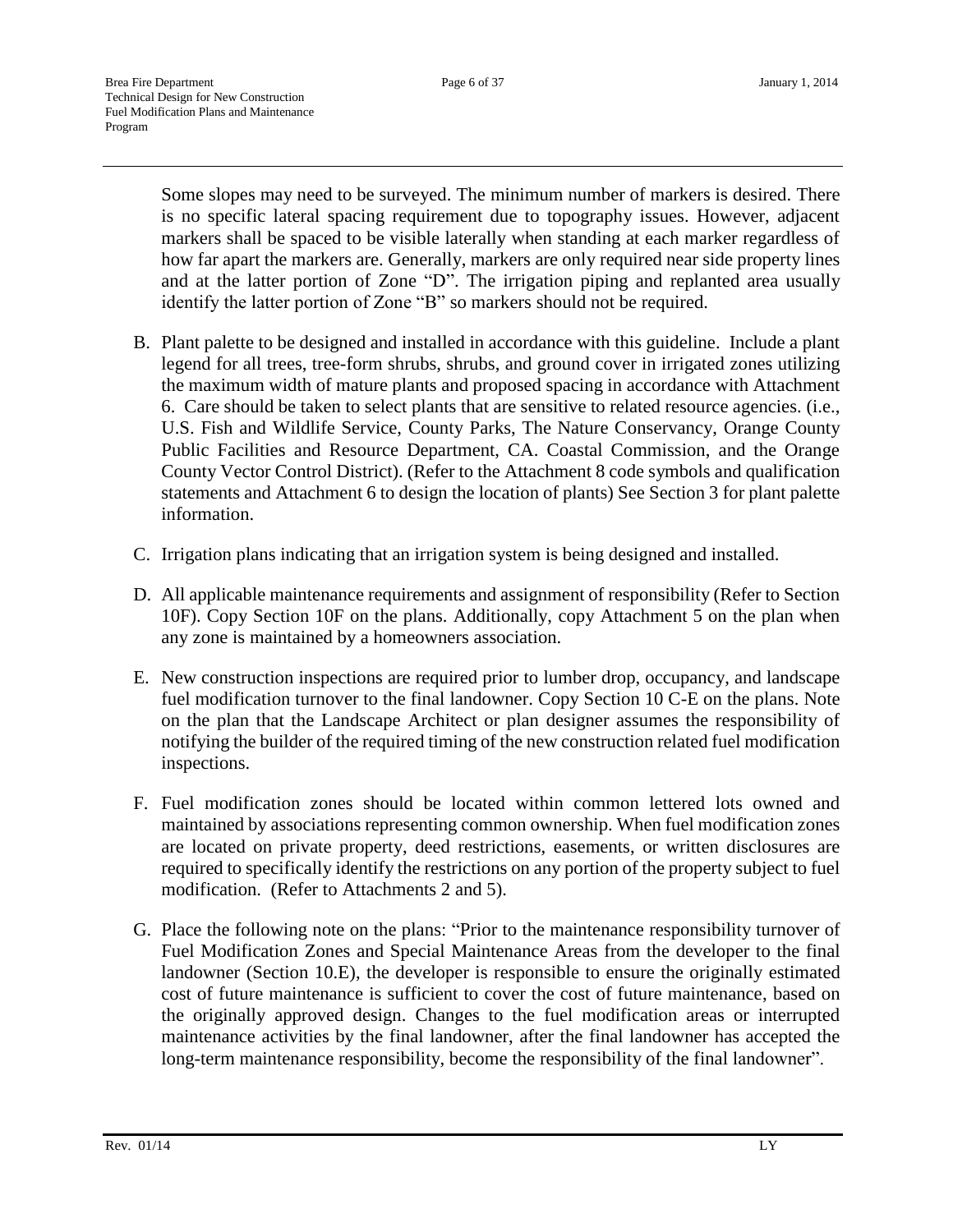Some slopes may need to be surveyed. The minimum number of markers is desired. There is no specific lateral spacing requirement due to topography issues. However, adjacent markers shall be spaced to be visible laterally when standing at each marker regardless of how far apart the markers are. Generally, markers are only required near side property lines and at the latter portion of Zone "D". The irrigation piping and replanted area usually identify the latter portion of Zone "B" so markers should not be required.

- B. Plant palette to be designed and installed in accordance with this guideline. Include a plant legend for all trees, tree-form shrubs, shrubs, and ground cover in irrigated zones utilizing the maximum width of mature plants and proposed spacing in accordance with Attachment 6. Care should be taken to select plants that are sensitive to related resource agencies. (i.e., U.S. Fish and Wildlife Service, County Parks, The Nature Conservancy, Orange County Public Facilities and Resource Department, CA. Coastal Commission, and the Orange County Vector Control District). (Refer to the Attachment 8 code symbols and qualification statements and Attachment 6 to design the location of plants) See Section 3 for plant palette information.
- C. Irrigation plans indicating that an irrigation system is being designed and installed.
- D. All applicable maintenance requirements and assignment of responsibility (Refer to Section 10F). Copy Section 10F on the plans. Additionally, copy Attachment 5 on the plan when any zone is maintained by a homeowners association.
- E. New construction inspections are required prior to lumber drop, occupancy, and landscape fuel modification turnover to the final landowner. Copy Section 10 C-E on the plans. Note on the plan that the Landscape Architect or plan designer assumes the responsibility of notifying the builder of the required timing of the new construction related fuel modification inspections.
- F. Fuel modification zones should be located within common lettered lots owned and maintained by associations representing common ownership. When fuel modification zones are located on private property, deed restrictions, easements, or written disclosures are required to specifically identify the restrictions on any portion of the property subject to fuel modification. (Refer to Attachments 2 and 5).
- G. Place the following note on the plans: "Prior to the maintenance responsibility turnover of Fuel Modification Zones and Special Maintenance Areas from the developer to the final landowner (Section 10.E), the developer is responsible to ensure the originally estimated cost of future maintenance is sufficient to cover the cost of future maintenance, based on the originally approved design. Changes to the fuel modification areas or interrupted maintenance activities by the final landowner, after the final landowner has accepted the long-term maintenance responsibility, become the responsibility of the final landowner".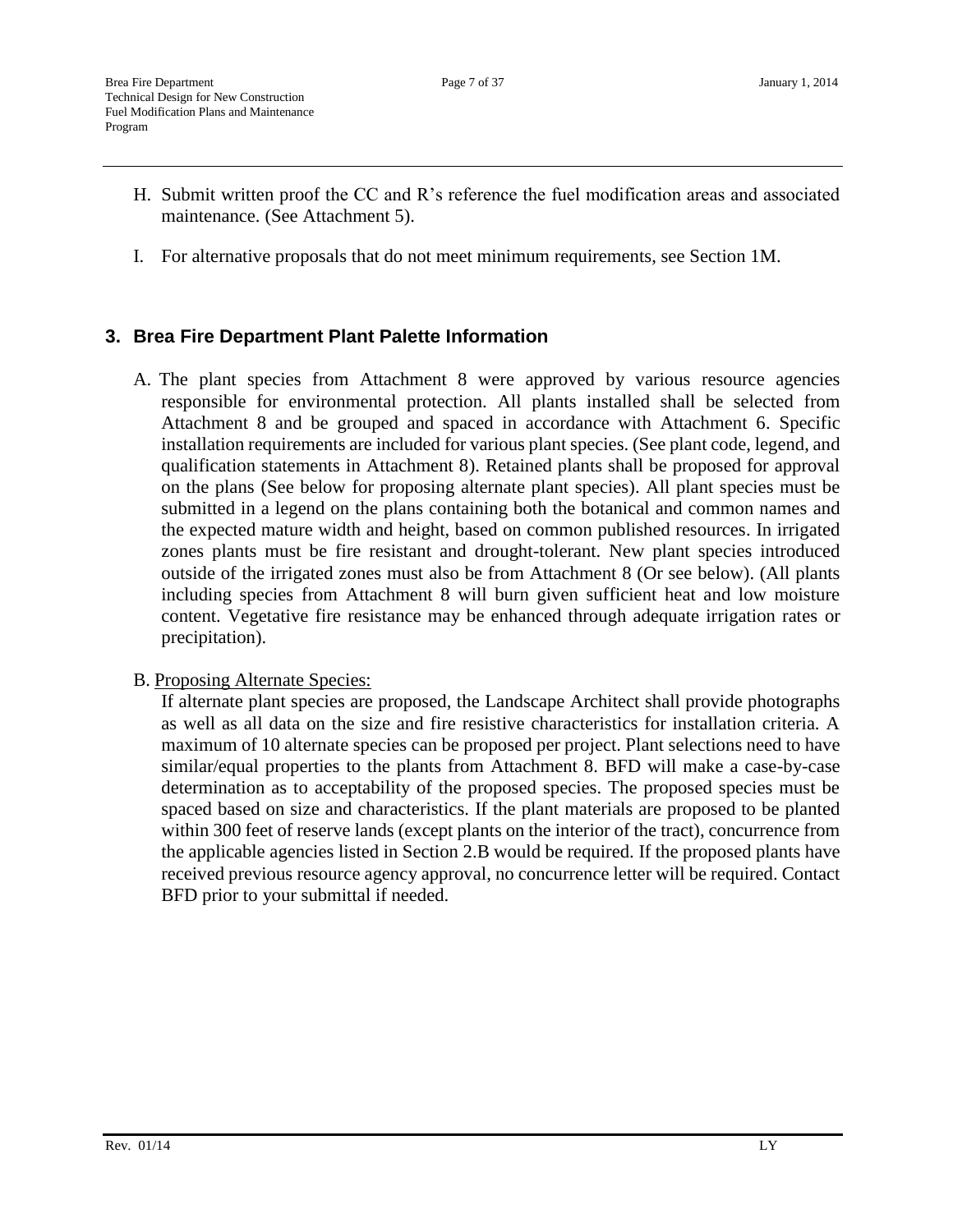- H. Submit written proof the CC and R's reference the fuel modification areas and associated maintenance. (See Attachment 5).
- I. For alternative proposals that do not meet minimum requirements, see Section 1M.

#### **3. Brea Fire Department Plant Palette Information**

A. The plant species from Attachment 8 were approved by various resource agencies responsible for environmental protection. All plants installed shall be selected from Attachment 8 and be grouped and spaced in accordance with Attachment 6. Specific installation requirements are included for various plant species. (See plant code, legend, and qualification statements in Attachment 8). Retained plants shall be proposed for approval on the plans (See below for proposing alternate plant species). All plant species must be submitted in a legend on the plans containing both the botanical and common names and the expected mature width and height, based on common published resources. In irrigated zones plants must be fire resistant and drought-tolerant. New plant species introduced outside of the irrigated zones must also be from Attachment 8 (Or see below). (All plants including species from Attachment 8 will burn given sufficient heat and low moisture content. Vegetative fire resistance may be enhanced through adequate irrigation rates or precipitation).

#### B. Proposing Alternate Species:

If alternate plant species are proposed, the Landscape Architect shall provide photographs as well as all data on the size and fire resistive characteristics for installation criteria. A maximum of 10 alternate species can be proposed per project. Plant selections need to have similar/equal properties to the plants from Attachment 8. BFD will make a case-by-case determination as to acceptability of the proposed species. The proposed species must be spaced based on size and characteristics. If the plant materials are proposed to be planted within 300 feet of reserve lands (except plants on the interior of the tract), concurrence from the applicable agencies listed in Section 2.B would be required. If the proposed plants have received previous resource agency approval, no concurrence letter will be required. Contact BFD prior to your submittal if needed.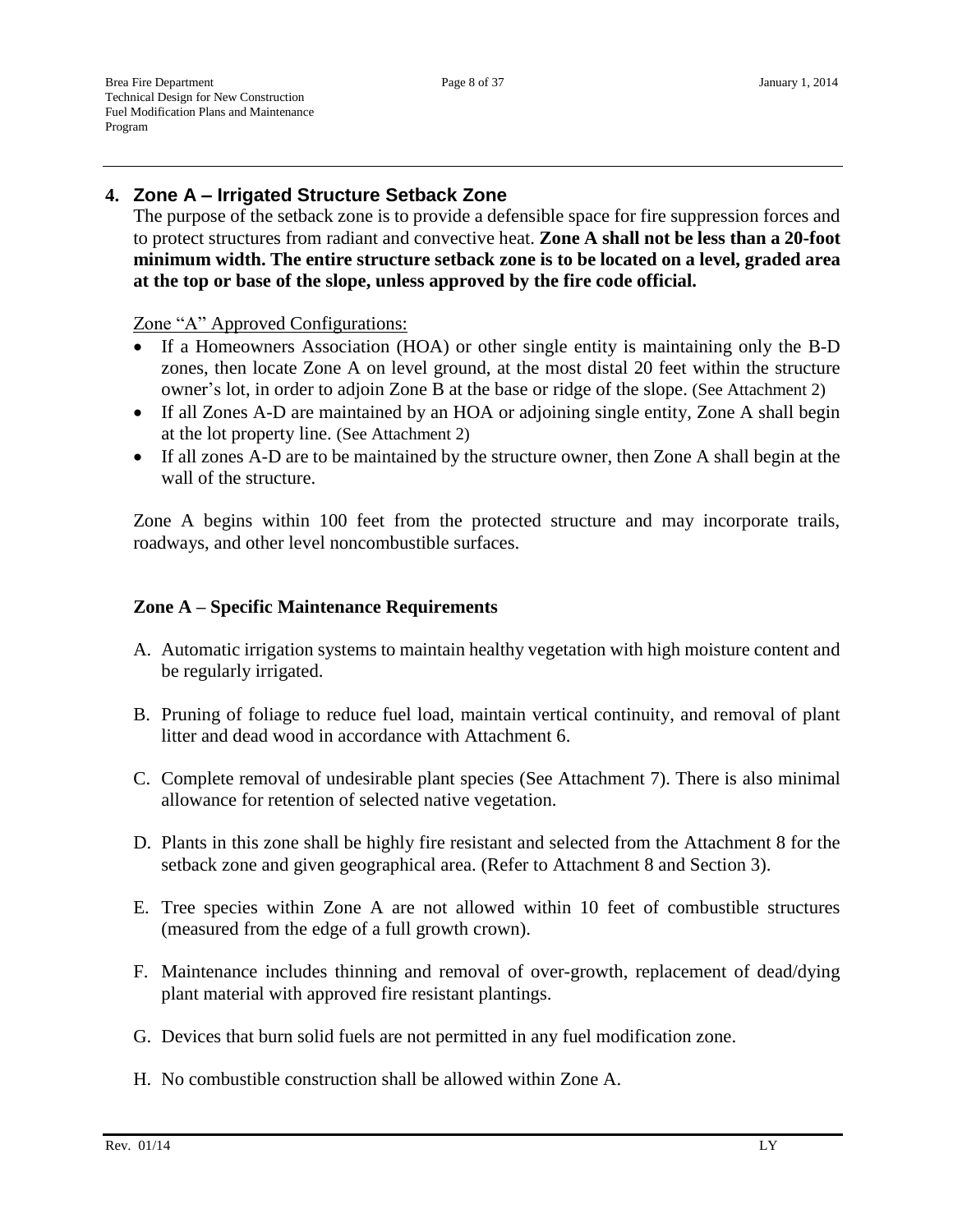#### **4. Zone A – Irrigated Structure Setback Zone**

The purpose of the setback zone is to provide a defensible space for fire suppression forces and to protect structures from radiant and convective heat. **Zone A shall not be less than a 20-foot minimum width. The entire structure setback zone is to be located on a level, graded area at the top or base of the slope, unless approved by the fire code official.**

Zone "A" Approved Configurations:

- If a Homeowners Association (HOA) or other single entity is maintaining only the B-D zones, then locate Zone A on level ground, at the most distal 20 feet within the structure owner's lot, in order to adjoin Zone B at the base or ridge of the slope. (See Attachment 2)
- If all Zones A-D are maintained by an HOA or adjoining single entity, Zone A shall begin at the lot property line. (See Attachment 2)
- If all zones A-D are to be maintained by the structure owner, then Zone A shall begin at the wall of the structure.

Zone A begins within 100 feet from the protected structure and may incorporate trails, roadways, and other level noncombustible surfaces.

#### **Zone A – Specific Maintenance Requirements**

- A. Automatic irrigation systems to maintain healthy vegetation with high moisture content and be regularly irrigated.
- B. Pruning of foliage to reduce fuel load, maintain vertical continuity, and removal of plant litter and dead wood in accordance with Attachment 6.
- C. Complete removal of undesirable plant species (See Attachment 7). There is also minimal allowance for retention of selected native vegetation.
- D. Plants in this zone shall be highly fire resistant and selected from the Attachment 8 for the setback zone and given geographical area. (Refer to Attachment 8 and Section 3).
- E. Tree species within Zone A are not allowed within 10 feet of combustible structures (measured from the edge of a full growth crown).
- F. Maintenance includes thinning and removal of over-growth, replacement of dead/dying plant material with approved fire resistant plantings.
- G. Devices that burn solid fuels are not permitted in any fuel modification zone.
- H. No combustible construction shall be allowed within Zone A.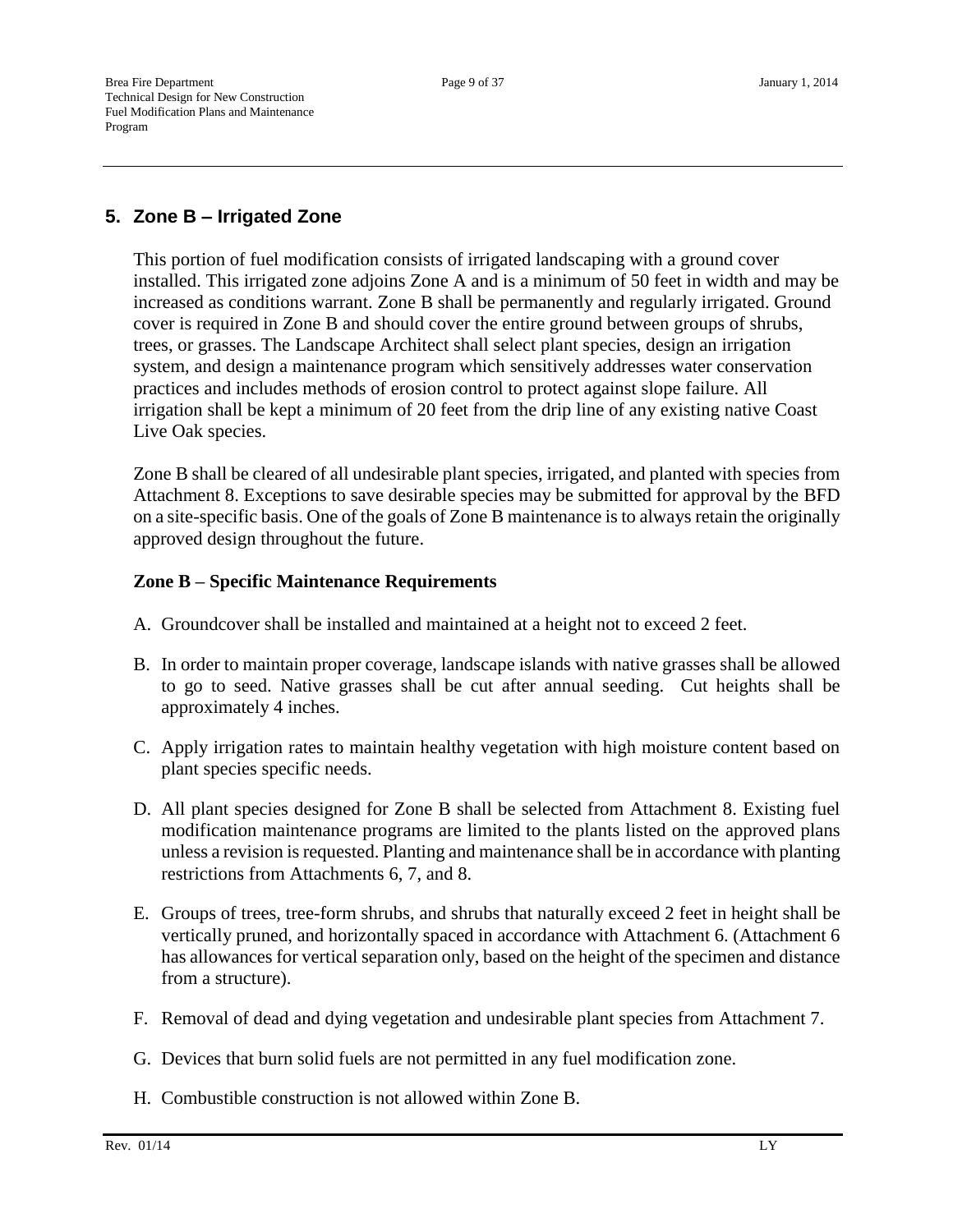#### **5. Zone B – Irrigated Zone**

This portion of fuel modification consists of irrigated landscaping with a ground cover installed. This irrigated zone adjoins Zone A and is a minimum of 50 feet in width and may be increased as conditions warrant. Zone B shall be permanently and regularly irrigated. Ground cover is required in Zone B and should cover the entire ground between groups of shrubs, trees, or grasses. The Landscape Architect shall select plant species, design an irrigation system, and design a maintenance program which sensitively addresses water conservation practices and includes methods of erosion control to protect against slope failure. All irrigation shall be kept a minimum of 20 feet from the drip line of any existing native Coast Live Oak species.

Zone B shall be cleared of all undesirable plant species, irrigated, and planted with species from Attachment 8. Exceptions to save desirable species may be submitted for approval by the BFD on a site-specific basis. One of the goals of Zone B maintenance is to always retain the originally approved design throughout the future.

#### **Zone B – Specific Maintenance Requirements**

- A. Groundcover shall be installed and maintained at a height not to exceed 2 feet.
- B. In order to maintain proper coverage, landscape islands with native grasses shall be allowed to go to seed. Native grasses shall be cut after annual seeding. Cut heights shall be approximately 4 inches.
- C. Apply irrigation rates to maintain healthy vegetation with high moisture content based on plant species specific needs.
- D. All plant species designed for Zone B shall be selected from Attachment 8. Existing fuel modification maintenance programs are limited to the plants listed on the approved plans unless a revision is requested. Planting and maintenance shall be in accordance with planting restrictions from Attachments 6, 7, and 8.
- E. Groups of trees, tree-form shrubs, and shrubs that naturally exceed 2 feet in height shall be vertically pruned, and horizontally spaced in accordance with Attachment 6. (Attachment 6 has allowances for vertical separation only, based on the height of the specimen and distance from a structure).
- F. Removal of dead and dying vegetation and undesirable plant species from Attachment 7.
- G. Devices that burn solid fuels are not permitted in any fuel modification zone.
- H. Combustible construction is not allowed within Zone B.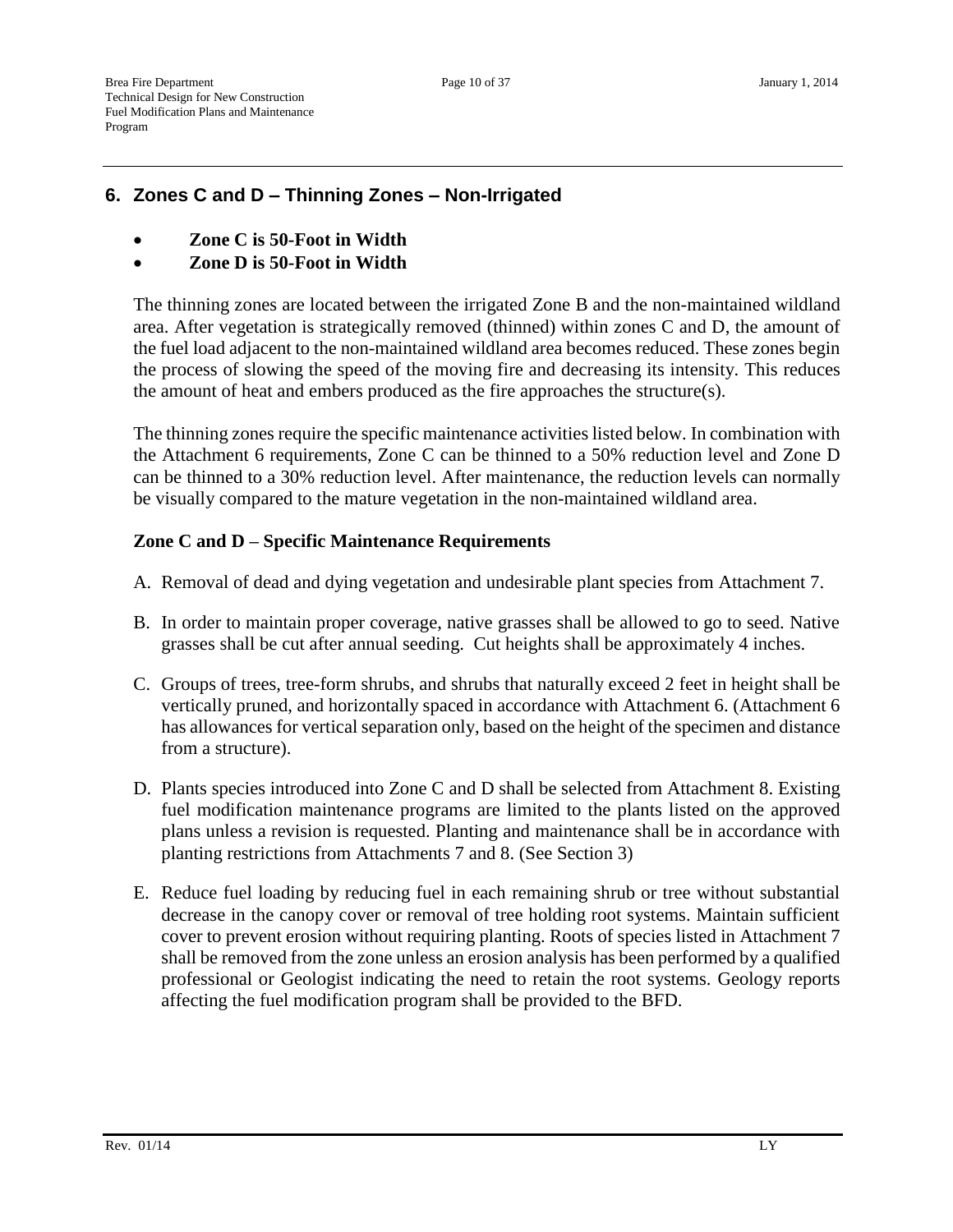#### **6. Zones C and D – Thinning Zones – Non-Irrigated**

- **Zone C is 50-Foot in Width**
- **Zone D is 50-Foot in Width**

The thinning zones are located between the irrigated Zone B and the non-maintained wildland area. After vegetation is strategically removed (thinned) within zones C and D, the amount of the fuel load adjacent to the non-maintained wildland area becomes reduced. These zones begin the process of slowing the speed of the moving fire and decreasing its intensity. This reduces the amount of heat and embers produced as the fire approaches the structure(s).

The thinning zones require the specific maintenance activities listed below. In combination with the Attachment 6 requirements, Zone C can be thinned to a 50% reduction level and Zone D can be thinned to a 30% reduction level. After maintenance, the reduction levels can normally be visually compared to the mature vegetation in the non-maintained wildland area.

#### **Zone C and D – Specific Maintenance Requirements**

- A. Removal of dead and dying vegetation and undesirable plant species from Attachment 7.
- B. In order to maintain proper coverage, native grasses shall be allowed to go to seed. Native grasses shall be cut after annual seeding. Cut heights shall be approximately 4 inches.
- C. Groups of trees, tree-form shrubs, and shrubs that naturally exceed 2 feet in height shall be vertically pruned, and horizontally spaced in accordance with Attachment 6. (Attachment 6 has allowances for vertical separation only, based on the height of the specimen and distance from a structure).
- D. Plants species introduced into Zone C and D shall be selected from Attachment 8. Existing fuel modification maintenance programs are limited to the plants listed on the approved plans unless a revision is requested. Planting and maintenance shall be in accordance with planting restrictions from Attachments 7 and 8. (See Section 3)
- E. Reduce fuel loading by reducing fuel in each remaining shrub or tree without substantial decrease in the canopy cover or removal of tree holding root systems. Maintain sufficient cover to prevent erosion without requiring planting. Roots of species listed in Attachment 7 shall be removed from the zone unless an erosion analysis has been performed by a qualified professional or Geologist indicating the need to retain the root systems. Geology reports affecting the fuel modification program shall be provided to the BFD.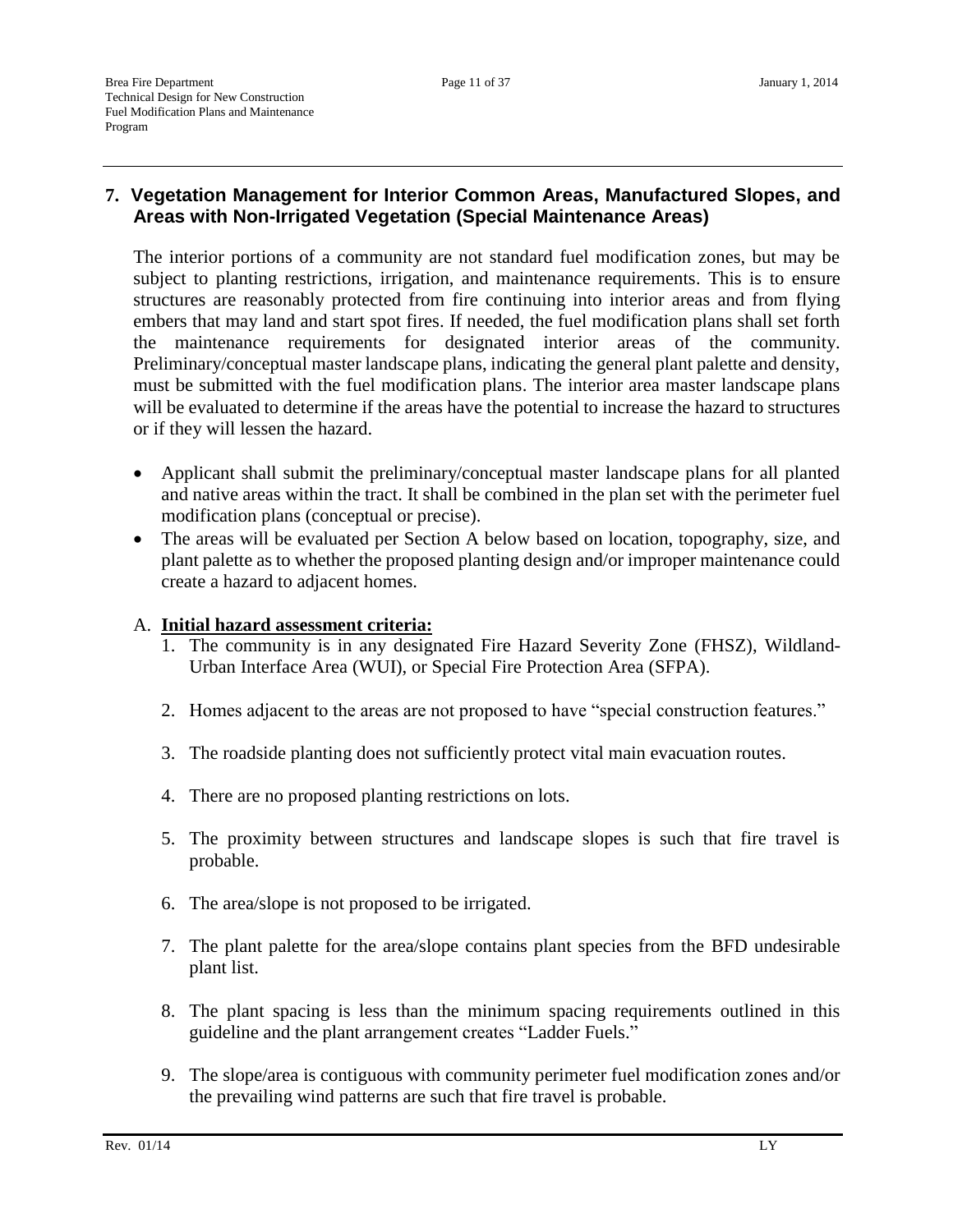#### **7. Vegetation Management for Interior Common Areas, Manufactured Slopes, and Areas with Non-Irrigated Vegetation (Special Maintenance Areas)**

The interior portions of a community are not standard fuel modification zones, but may be subject to planting restrictions, irrigation, and maintenance requirements. This is to ensure structures are reasonably protected from fire continuing into interior areas and from flying embers that may land and start spot fires. If needed, the fuel modification plans shall set forth the maintenance requirements for designated interior areas of the community. Preliminary/conceptual master landscape plans, indicating the general plant palette and density, must be submitted with the fuel modification plans. The interior area master landscape plans will be evaluated to determine if the areas have the potential to increase the hazard to structures or if they will lessen the hazard.

- Applicant shall submit the preliminary/conceptual master landscape plans for all planted and native areas within the tract. It shall be combined in the plan set with the perimeter fuel modification plans (conceptual or precise).
- The areas will be evaluated per Section A below based on location, topography, size, and plant palette as to whether the proposed planting design and/or improper maintenance could create a hazard to adjacent homes.

#### A. **Initial hazard assessment criteria:**

- 1. The community is in any designated Fire Hazard Severity Zone (FHSZ), Wildland-Urban Interface Area (WUI), or Special Fire Protection Area (SFPA).
- 2. Homes adjacent to the areas are not proposed to have "special construction features."
- 3. The roadside planting does not sufficiently protect vital main evacuation routes.
- 4. There are no proposed planting restrictions on lots.
- 5. The proximity between structures and landscape slopes is such that fire travel is probable.
- 6. The area/slope is not proposed to be irrigated.
- 7. The plant palette for the area/slope contains plant species from the BFD undesirable plant list.
- 8. The plant spacing is less than the minimum spacing requirements outlined in this guideline and the plant arrangement creates "Ladder Fuels."
- 9. The slope/area is contiguous with community perimeter fuel modification zones and/or the prevailing wind patterns are such that fire travel is probable.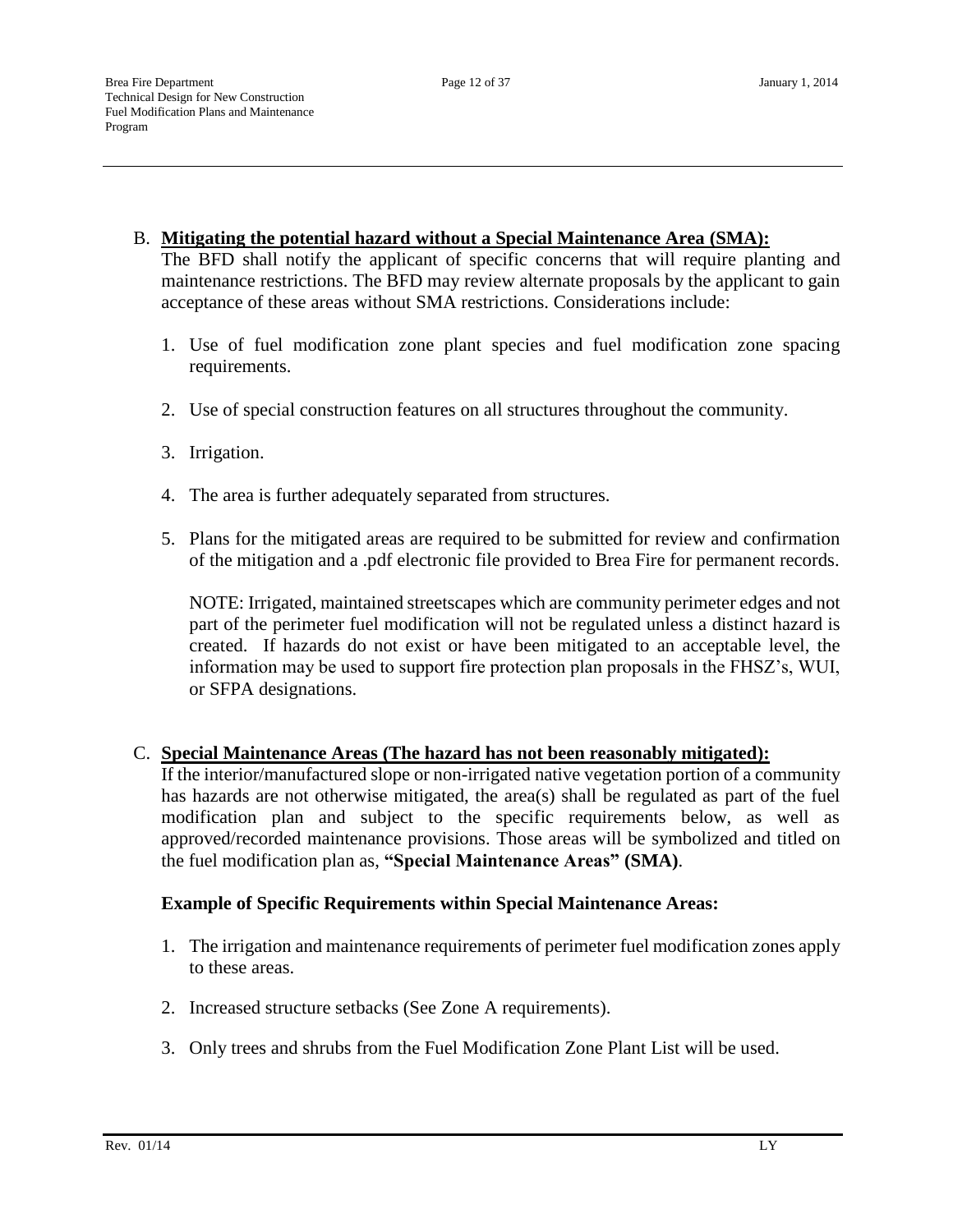B. **Mitigating the potential hazard without a Special Maintenance Area (SMA):**

The BFD shall notify the applicant of specific concerns that will require planting and maintenance restrictions. The BFD may review alternate proposals by the applicant to gain acceptance of these areas without SMA restrictions. Considerations include:

- 1. Use of fuel modification zone plant species and fuel modification zone spacing requirements.
- 2. Use of special construction features on all structures throughout the community.
- 3. Irrigation.
- 4. The area is further adequately separated from structures.
- 5. Plans for the mitigated areas are required to be submitted for review and confirmation of the mitigation and a .pdf electronic file provided to Brea Fire for permanent records.

NOTE: Irrigated, maintained streetscapes which are community perimeter edges and not part of the perimeter fuel modification will not be regulated unless a distinct hazard is created. If hazards do not exist or have been mitigated to an acceptable level, the information may be used to support fire protection plan proposals in the FHSZ's, WUI, or SFPA designations.

#### C. **Special Maintenance Areas (The hazard has not been reasonably mitigated):**

If the interior/manufactured slope or non-irrigated native vegetation portion of a community has hazards are not otherwise mitigated, the area(s) shall be regulated as part of the fuel modification plan and subject to the specific requirements below, as well as approved/recorded maintenance provisions. Those areas will be symbolized and titled on the fuel modification plan as, **"Special Maintenance Areas" (SMA)**.

#### **Example of Specific Requirements within Special Maintenance Areas:**

- 1. The irrigation and maintenance requirements of perimeter fuel modification zones apply to these areas.
- 2. Increased structure setbacks (See Zone A requirements).
- 3. Only trees and shrubs from the Fuel Modification Zone Plant List will be used.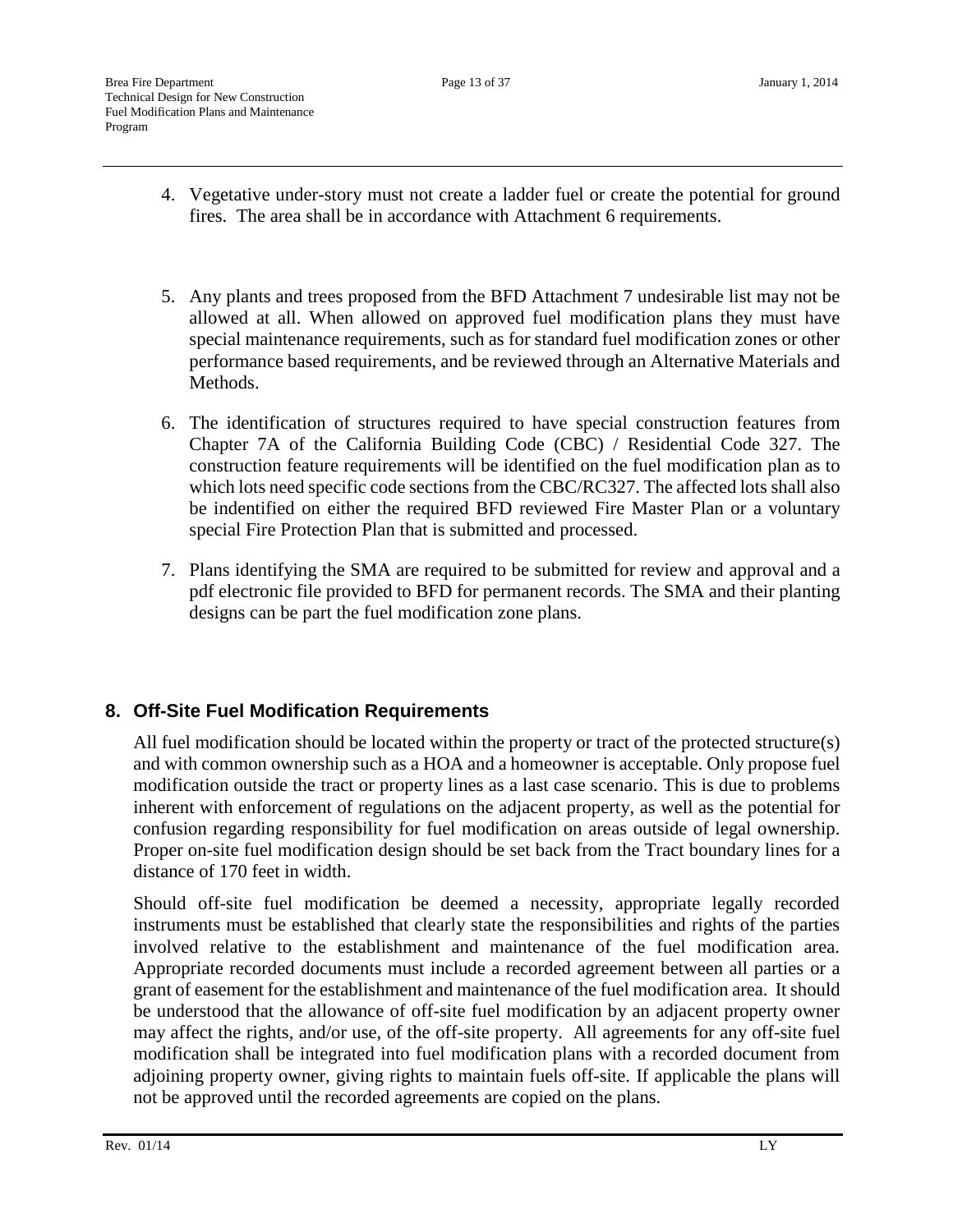- 4. Vegetative under-story must not create a ladder fuel or create the potential for ground fires. The area shall be in accordance with Attachment 6 requirements.
- 5. Any plants and trees proposed from the BFD Attachment 7 undesirable list may not be allowed at all. When allowed on approved fuel modification plans they must have special maintenance requirements, such as for standard fuel modification zones or other performance based requirements, and be reviewed through an Alternative Materials and Methods.
- 6. The identification of structures required to have special construction features from Chapter 7A of the California Building Code (CBC) / Residential Code 327. The construction feature requirements will be identified on the fuel modification plan as to which lots need specific code sections from the CBC/RC327. The affected lots shall also be indentified on either the required BFD reviewed Fire Master Plan or a voluntary special Fire Protection Plan that is submitted and processed.
- 7. Plans identifying the SMA are required to be submitted for review and approval and a pdf electronic file provided to BFD for permanent records. The SMA and their planting designs can be part the fuel modification zone plans.

### **8. Off-Site Fuel Modification Requirements**

All fuel modification should be located within the property or tract of the protected structure(s) and with common ownership such as a HOA and a homeowner is acceptable. Only propose fuel modification outside the tract or property lines as a last case scenario. This is due to problems inherent with enforcement of regulations on the adjacent property, as well as the potential for confusion regarding responsibility for fuel modification on areas outside of legal ownership. Proper on-site fuel modification design should be set back from the Tract boundary lines for a distance of 170 feet in width.

Should off-site fuel modification be deemed a necessity, appropriate legally recorded instruments must be established that clearly state the responsibilities and rights of the parties involved relative to the establishment and maintenance of the fuel modification area. Appropriate recorded documents must include a recorded agreement between all parties or a grant of easement for the establishment and maintenance of the fuel modification area. It should be understood that the allowance of off-site fuel modification by an adjacent property owner may affect the rights, and/or use, of the off-site property. All agreements for any off-site fuel modification shall be integrated into fuel modification plans with a recorded document from adjoining property owner, giving rights to maintain fuels off-site. If applicable the plans will not be approved until the recorded agreements are copied on the plans.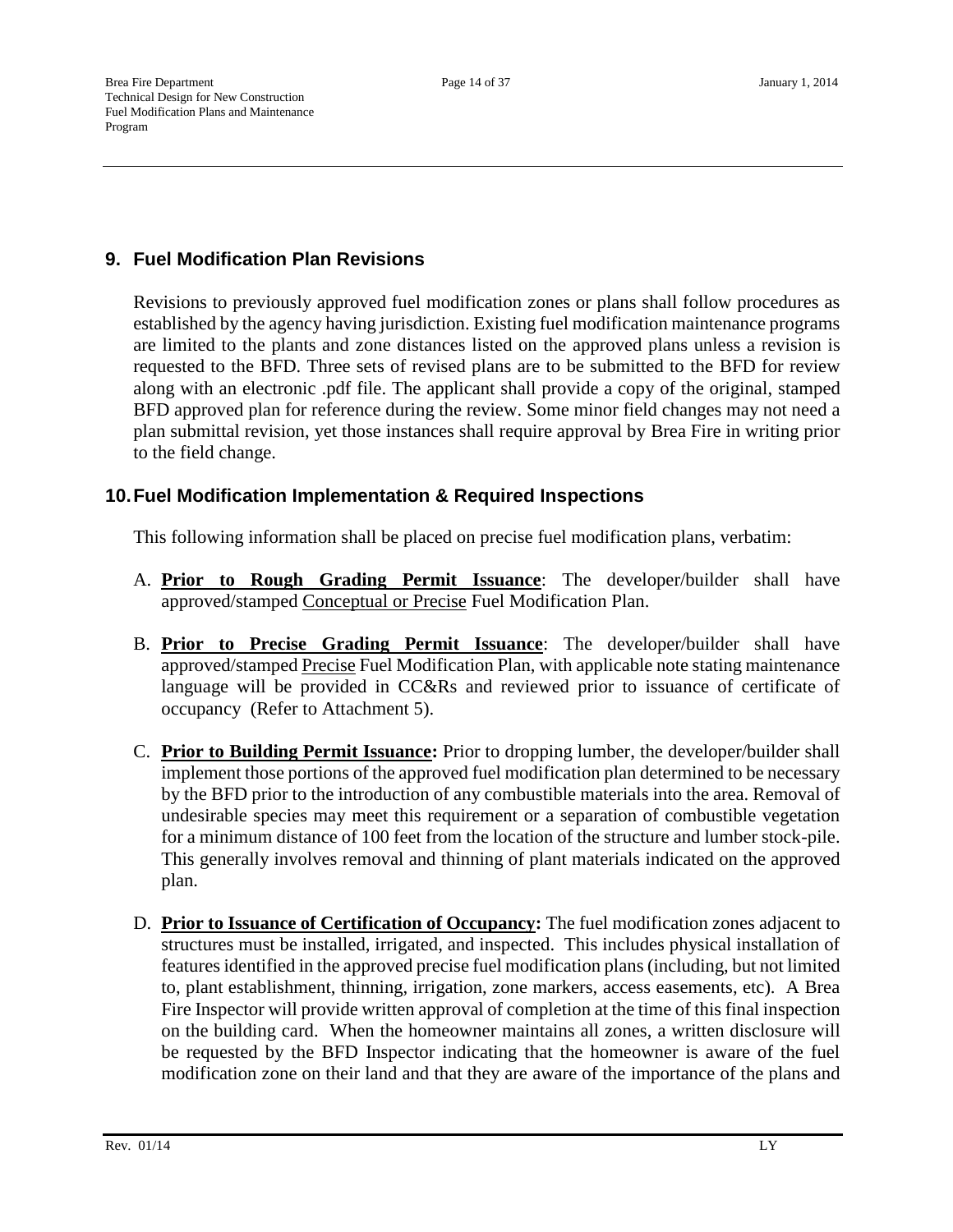#### **9. Fuel Modification Plan Revisions**

Revisions to previously approved fuel modification zones or plans shall follow procedures as established by the agency having jurisdiction. Existing fuel modification maintenance programs are limited to the plants and zone distances listed on the approved plans unless a revision is requested to the BFD. Three sets of revised plans are to be submitted to the BFD for review along with an electronic .pdf file. The applicant shall provide a copy of the original, stamped BFD approved plan for reference during the review. Some minor field changes may not need a plan submittal revision, yet those instances shall require approval by Brea Fire in writing prior to the field change.

#### **10.Fuel Modification Implementation & Required Inspections**

This following information shall be placed on precise fuel modification plans, verbatim:

- A. **Prior to Rough Grading Permit Issuance**: The developer/builder shall have approved/stamped Conceptual or Precise Fuel Modification Plan.
- B. **Prior to Precise Grading Permit Issuance**: The developer/builder shall have approved/stamped Precise Fuel Modification Plan, with applicable note stating maintenance language will be provided in CC&Rs and reviewed prior to issuance of certificate of occupancy (Refer to Attachment 5).
- C. **Prior to Building Permit Issuance:** Prior to dropping lumber, the developer/builder shall implement those portions of the approved fuel modification plan determined to be necessary by the BFD prior to the introduction of any combustible materials into the area. Removal of undesirable species may meet this requirement or a separation of combustible vegetation for a minimum distance of 100 feet from the location of the structure and lumber stock-pile. This generally involves removal and thinning of plant materials indicated on the approved plan.
- D. **Prior to Issuance of Certification of Occupancy:** The fuel modification zones adjacent to structures must be installed, irrigated, and inspected. This includes physical installation of features identified in the approved precise fuel modification plans(including, but not limited to, plant establishment, thinning, irrigation, zone markers, access easements, etc). A Brea Fire Inspector will provide written approval of completion at the time of this final inspection on the building card. When the homeowner maintains all zones, a written disclosure will be requested by the BFD Inspector indicating that the homeowner is aware of the fuel modification zone on their land and that they are aware of the importance of the plans and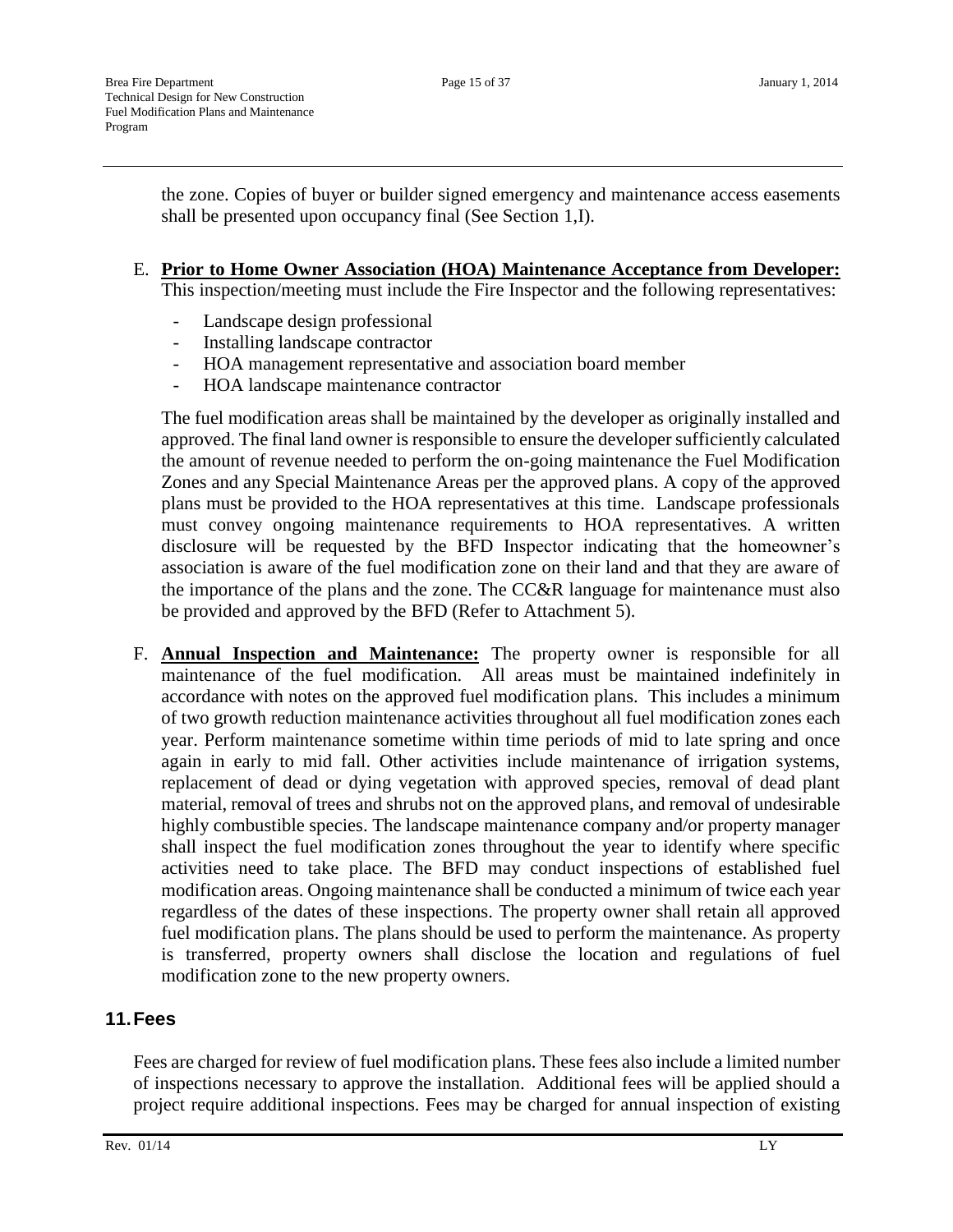the zone. Copies of buyer or builder signed emergency and maintenance access easements shall be presented upon occupancy final (See Section 1,I).

E. **Prior to Home Owner Association (HOA) Maintenance Acceptance from Developer:**

This inspection/meeting must include the Fire Inspector and the following representatives:

- Landscape design professional
- Installing landscape contractor
- HOA management representative and association board member
- HOA landscape maintenance contractor

The fuel modification areas shall be maintained by the developer as originally installed and approved. The final land owner is responsible to ensure the developer sufficiently calculated the amount of revenue needed to perform the on-going maintenance the Fuel Modification Zones and any Special Maintenance Areas per the approved plans. A copy of the approved plans must be provided to the HOA representatives at this time. Landscape professionals must convey ongoing maintenance requirements to HOA representatives. A written disclosure will be requested by the BFD Inspector indicating that the homeowner's association is aware of the fuel modification zone on their land and that they are aware of the importance of the plans and the zone. The CC&R language for maintenance must also be provided and approved by the BFD (Refer to Attachment 5).

F. **Annual Inspection and Maintenance:** The property owner is responsible for all maintenance of the fuel modification. All areas must be maintained indefinitely in accordance with notes on the approved fuel modification plans. This includes a minimum of two growth reduction maintenance activities throughout all fuel modification zones each year. Perform maintenance sometime within time periods of mid to late spring and once again in early to mid fall. Other activities include maintenance of irrigation systems, replacement of dead or dying vegetation with approved species, removal of dead plant material, removal of trees and shrubs not on the approved plans, and removal of undesirable highly combustible species. The landscape maintenance company and/or property manager shall inspect the fuel modification zones throughout the year to identify where specific activities need to take place. The BFD may conduct inspections of established fuel modification areas. Ongoing maintenance shall be conducted a minimum of twice each year regardless of the dates of these inspections. The property owner shall retain all approved fuel modification plans. The plans should be used to perform the maintenance. As property is transferred, property owners shall disclose the location and regulations of fuel modification zone to the new property owners.

#### **11.Fees**

Fees are charged for review of fuel modification plans. These fees also include a limited number of inspections necessary to approve the installation. Additional fees will be applied should a project require additional inspections. Fees may be charged for annual inspection of existing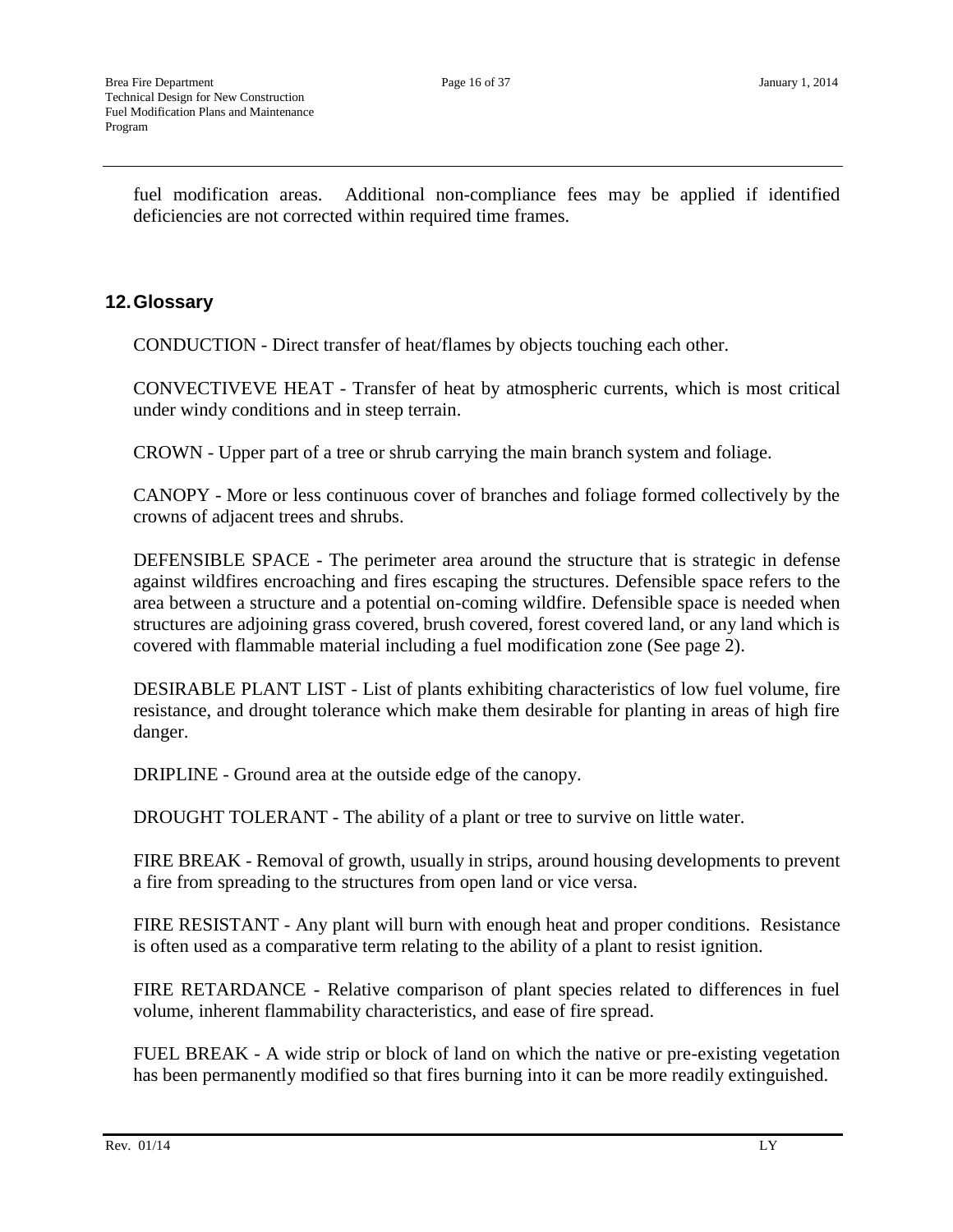fuel modification areas. Additional non-compliance fees may be applied if identified deficiencies are not corrected within required time frames.

#### **12.Glossary**

CONDUCTION - Direct transfer of heat/flames by objects touching each other.

CONVECTIVEVE HEAT - Transfer of heat by atmospheric currents, which is most critical under windy conditions and in steep terrain.

CROWN - Upper part of a tree or shrub carrying the main branch system and foliage.

CANOPY - More or less continuous cover of branches and foliage formed collectively by the crowns of adjacent trees and shrubs.

DEFENSIBLE SPACE - The perimeter area around the structure that is strategic in defense against wildfires encroaching and fires escaping the structures. Defensible space refers to the area between a structure and a potential on-coming wildfire. Defensible space is needed when structures are adjoining grass covered, brush covered, forest covered land, or any land which is covered with flammable material including a fuel modification zone (See page 2).

DESIRABLE PLANT LIST - List of plants exhibiting characteristics of low fuel volume, fire resistance, and drought tolerance which make them desirable for planting in areas of high fire danger.

DRIPLINE - Ground area at the outside edge of the canopy.

DROUGHT TOLERANT - The ability of a plant or tree to survive on little water.

FIRE BREAK - Removal of growth, usually in strips, around housing developments to prevent a fire from spreading to the structures from open land or vice versa.

FIRE RESISTANT - Any plant will burn with enough heat and proper conditions. Resistance is often used as a comparative term relating to the ability of a plant to resist ignition.

FIRE RETARDANCE - Relative comparison of plant species related to differences in fuel volume, inherent flammability characteristics, and ease of fire spread.

FUEL BREAK - A wide strip or block of land on which the native or pre-existing vegetation has been permanently modified so that fires burning into it can be more readily extinguished.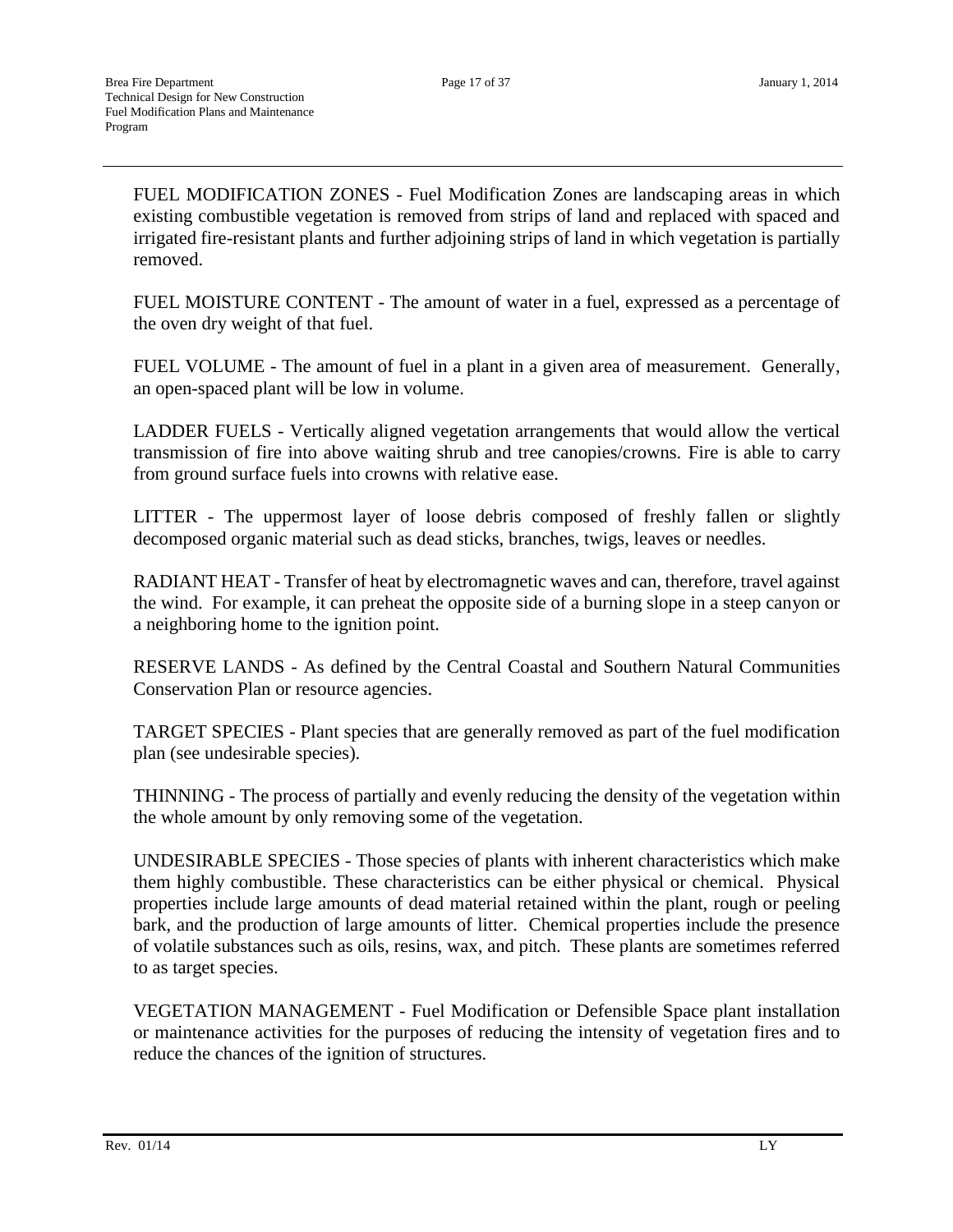FUEL MODIFICATION ZONES - Fuel Modification Zones are landscaping areas in which existing combustible vegetation is removed from strips of land and replaced with spaced and irrigated fire-resistant plants and further adjoining strips of land in which vegetation is partially removed.

FUEL MOISTURE CONTENT - The amount of water in a fuel, expressed as a percentage of the oven dry weight of that fuel.

FUEL VOLUME - The amount of fuel in a plant in a given area of measurement. Generally, an open-spaced plant will be low in volume.

LADDER FUELS - Vertically aligned vegetation arrangements that would allow the vertical transmission of fire into above waiting shrub and tree canopies/crowns. Fire is able to carry from ground surface fuels into crowns with relative ease.

LITTER - The uppermost layer of loose debris composed of freshly fallen or slightly decomposed organic material such as dead sticks, branches, twigs, leaves or needles.

RADIANT HEAT - Transfer of heat by electromagnetic waves and can, therefore, travel against the wind. For example, it can preheat the opposite side of a burning slope in a steep canyon or a neighboring home to the ignition point.

RESERVE LANDS - As defined by the Central Coastal and Southern Natural Communities Conservation Plan or resource agencies.

TARGET SPECIES - Plant species that are generally removed as part of the fuel modification plan (see undesirable species).

THINNING - The process of partially and evenly reducing the density of the vegetation within the whole amount by only removing some of the vegetation.

UNDESIRABLE SPECIES - Those species of plants with inherent characteristics which make them highly combustible. These characteristics can be either physical or chemical. Physical properties include large amounts of dead material retained within the plant, rough or peeling bark, and the production of large amounts of litter. Chemical properties include the presence of volatile substances such as oils, resins, wax, and pitch. These plants are sometimes referred to as target species.

VEGETATION MANAGEMENT - Fuel Modification or Defensible Space plant installation or maintenance activities for the purposes of reducing the intensity of vegetation fires and to reduce the chances of the ignition of structures.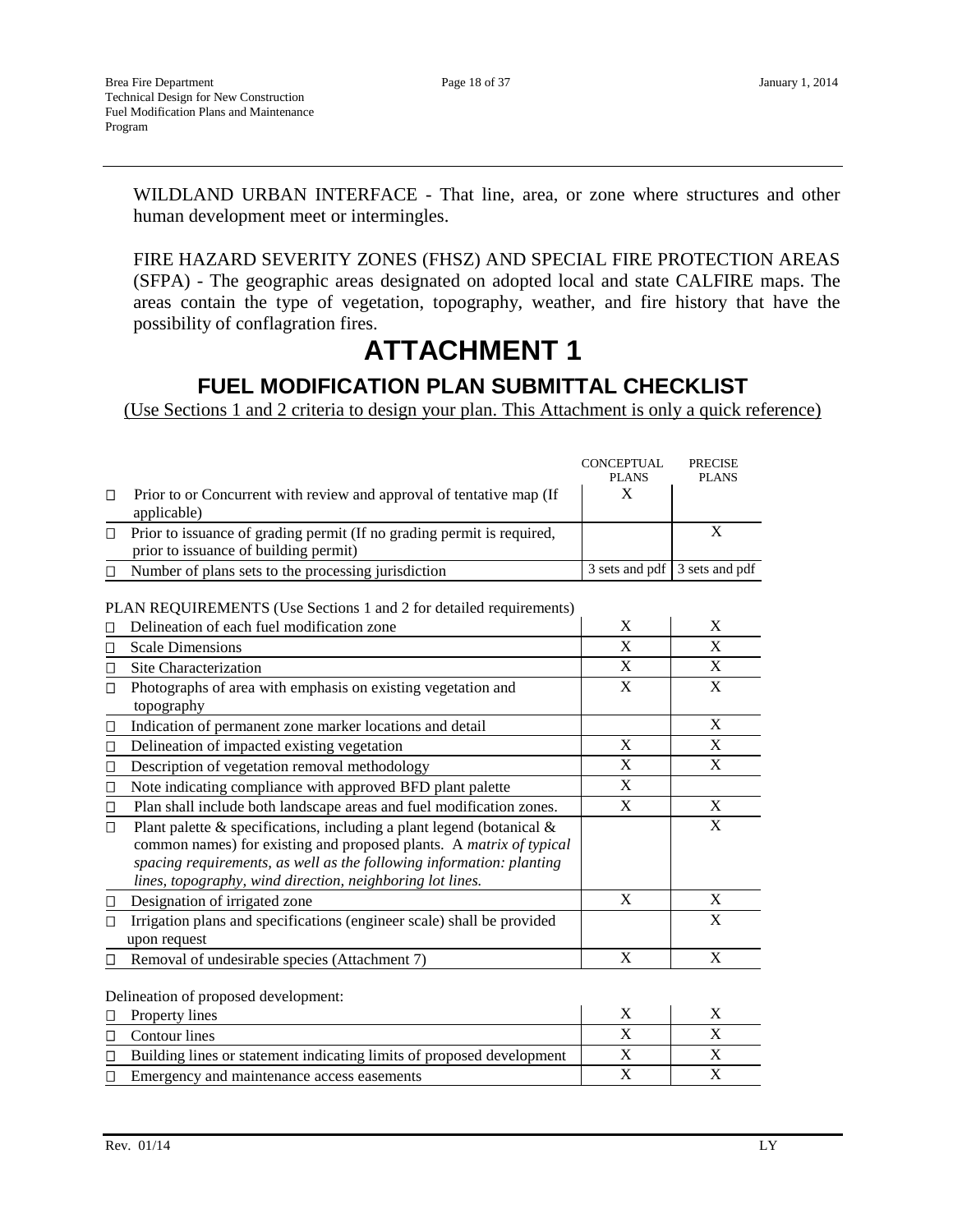WILDLAND URBAN INTERFACE - That line, area, or zone where structures and other human development meet or intermingles.

FIRE HAZARD SEVERITY ZONES (FHSZ) AND SPECIAL FIRE PROTECTION AREAS (SFPA) - The geographic areas designated on adopted local and state CALFIRE maps. The areas contain the type of vegetation, topography, weather, and fire history that have the possibility of conflagration fires.

## **ATTACHMENT 1**

## **FUEL MODIFICATION PLAN SUBMITTAL CHECKLIST**

(Use Sections 1 and 2 criteria to design your plan. This Attachment is only a quick reference)

|                                                                      | <b>CONCEPTUAL</b>                                                                                               | <b>PRECISE</b>                                |
|----------------------------------------------------------------------|-----------------------------------------------------------------------------------------------------------------|-----------------------------------------------|
|                                                                      |                                                                                                                 | <b>PLANS</b>                                  |
| Prior to or Concurrent with review and approval of tentative map (If |                                                                                                                 |                                               |
| applicable)                                                          |                                                                                                                 |                                               |
|                                                                      |                                                                                                                 |                                               |
|                                                                      |                                                                                                                 |                                               |
| Number of plans sets to the processing jurisdiction                  |                                                                                                                 |                                               |
| $\Box$                                                               | Prior to issuance of grading permit (If no grading permit is required,<br>prior to issuance of building permit) | <b>PLANS</b><br>3 sets and pdf 3 sets and pdf |

#### PLAN REQUIREMENTS (Use Sections 1 and 2 for detailed requirements)

| П | Delineation of each fuel modification zone                                                                                                                                                                                                                                              | X | X                         |
|---|-----------------------------------------------------------------------------------------------------------------------------------------------------------------------------------------------------------------------------------------------------------------------------------------|---|---------------------------|
| П | <b>Scale Dimensions</b>                                                                                                                                                                                                                                                                 | X | X                         |
| П | Site Characterization                                                                                                                                                                                                                                                                   | X | X                         |
| П | Photographs of area with emphasis on existing vegetation and<br>topography                                                                                                                                                                                                              | X | X                         |
| П | Indication of permanent zone marker locations and detail                                                                                                                                                                                                                                |   | X                         |
| П | Delineation of impacted existing vegetation                                                                                                                                                                                                                                             | X | X                         |
| Π | Description of vegetation removal methodology                                                                                                                                                                                                                                           | X | X                         |
| П | Note indicating compliance with approved BFD plant palette                                                                                                                                                                                                                              | X |                           |
| П | Plan shall include both landscape areas and fuel modification zones.                                                                                                                                                                                                                    | X | X                         |
| □ | Plant palette $\&$ specifications, including a plant legend (botanical $\&$<br>common names) for existing and proposed plants. A matrix of typical<br>spacing requirements, as well as the following information: planting<br>lines, topography, wind direction, neighboring lot lines. |   | X                         |
| П | Designation of irrigated zone                                                                                                                                                                                                                                                           | X | X                         |
| П | Irrigation plans and specifications (engineer scale) shall be provided<br>upon request                                                                                                                                                                                                  |   | X                         |
| П | Removal of undesirable species (Attachment 7)                                                                                                                                                                                                                                           | X | X                         |
|   | Delineation of proposed development:                                                                                                                                                                                                                                                    |   |                           |
|   | Property lines                                                                                                                                                                                                                                                                          | X | X                         |
| П | Contour lines                                                                                                                                                                                                                                                                           | X | X                         |
| П | Building lines or statement indicating limits of proposed development                                                                                                                                                                                                                   | X | $\boldsymbol{\mathrm{X}}$ |

□ Emergency and maintenance access easements X X X X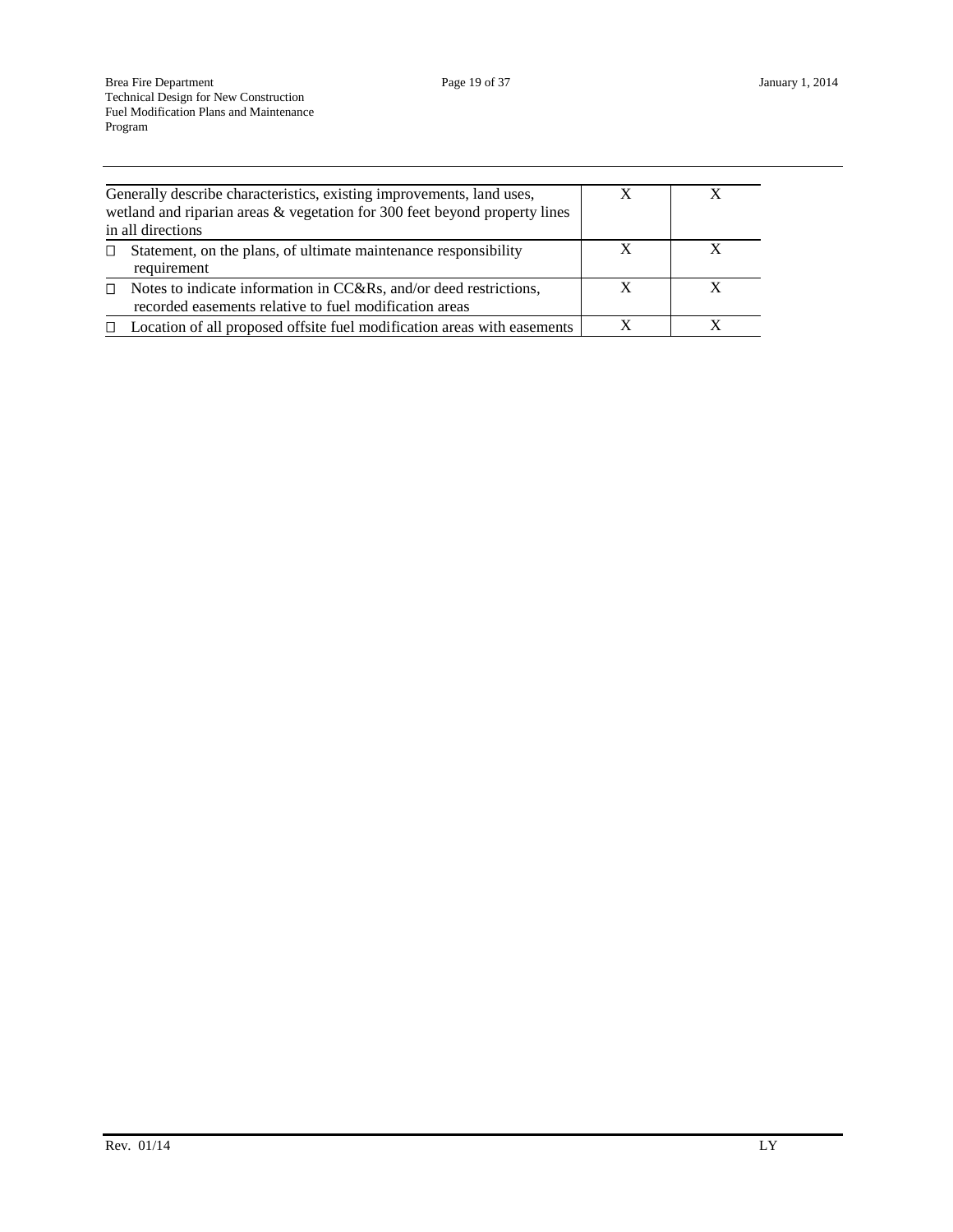|              | Generally describe characteristics, existing improvements, land uses,<br>wetland and riparian areas & vegetation for 300 feet beyond property lines<br>in all directions |  |
|--------------|--------------------------------------------------------------------------------------------------------------------------------------------------------------------------|--|
| П            | Statement, on the plans, of ultimate maintenance responsibility<br>requirement                                                                                           |  |
| $\mathbf{H}$ | Notes to indicate information in CC&Rs, and/or deed restrictions,<br>recorded easements relative to fuel modification areas                                              |  |
|              | Location of all proposed offsite fuel modification areas with easements                                                                                                  |  |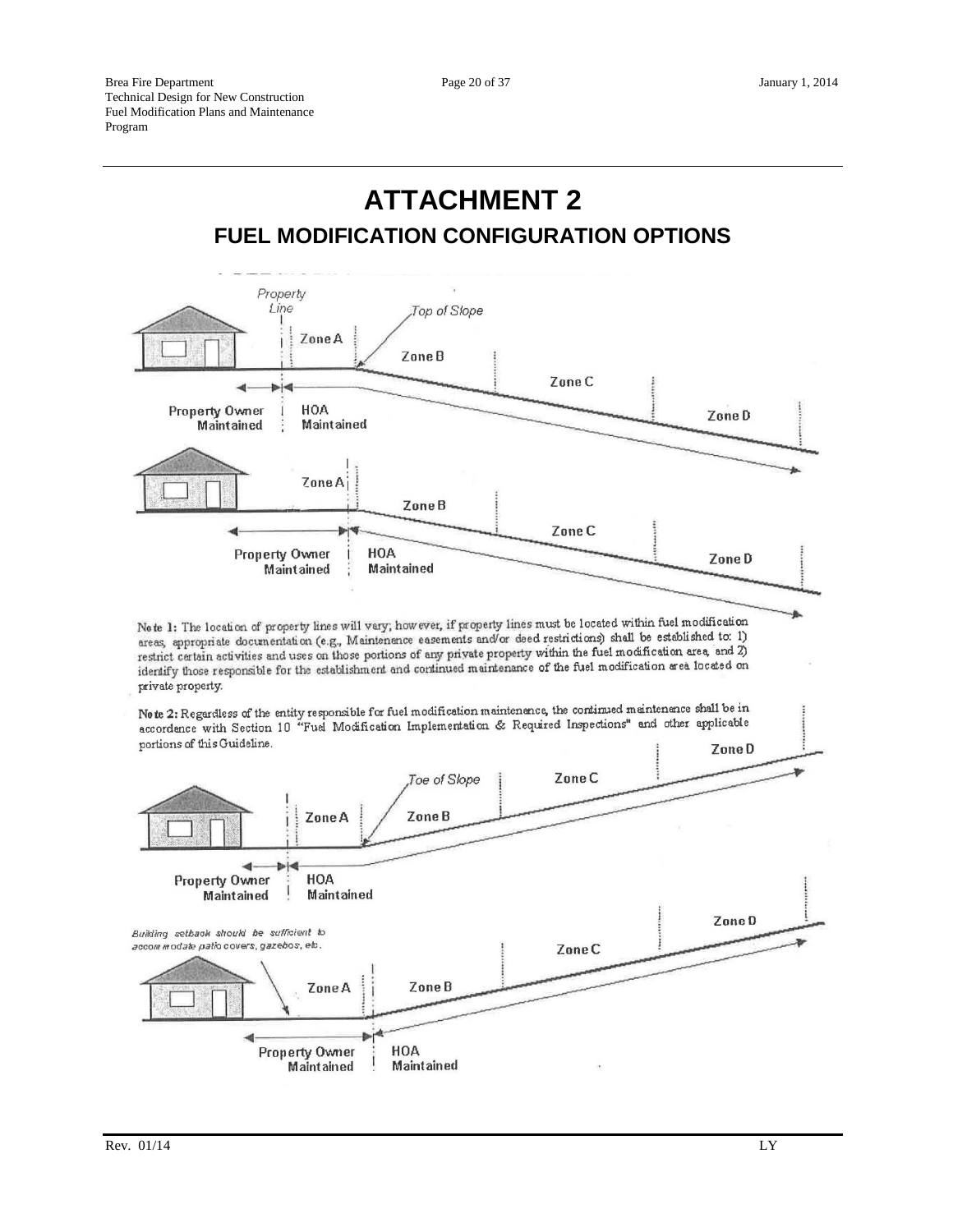Brea Fire Department Department Page 20 of 37 January 1, 2014 Technical Design for New Construction Fuel Modification Plans and Maintenance Program

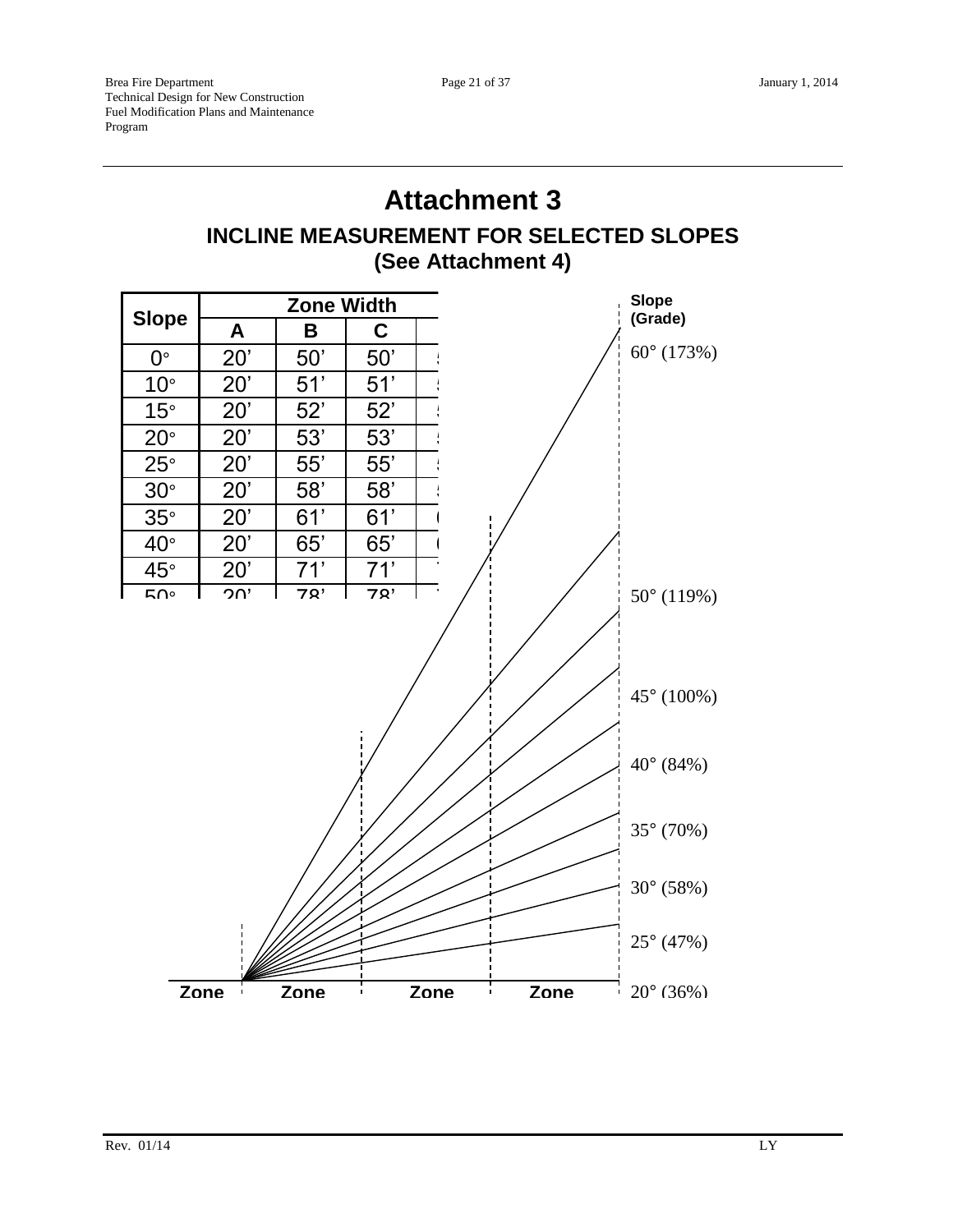Brea Fire Department Page 21 of 37 January 1, 2014 Technical Design for New Construction Fuel Modification Plans and Maintenance Program

## **Attachment 3 INCLINE MEASUREMENT FOR SELECTED SLOPES (See Attachment 4)**

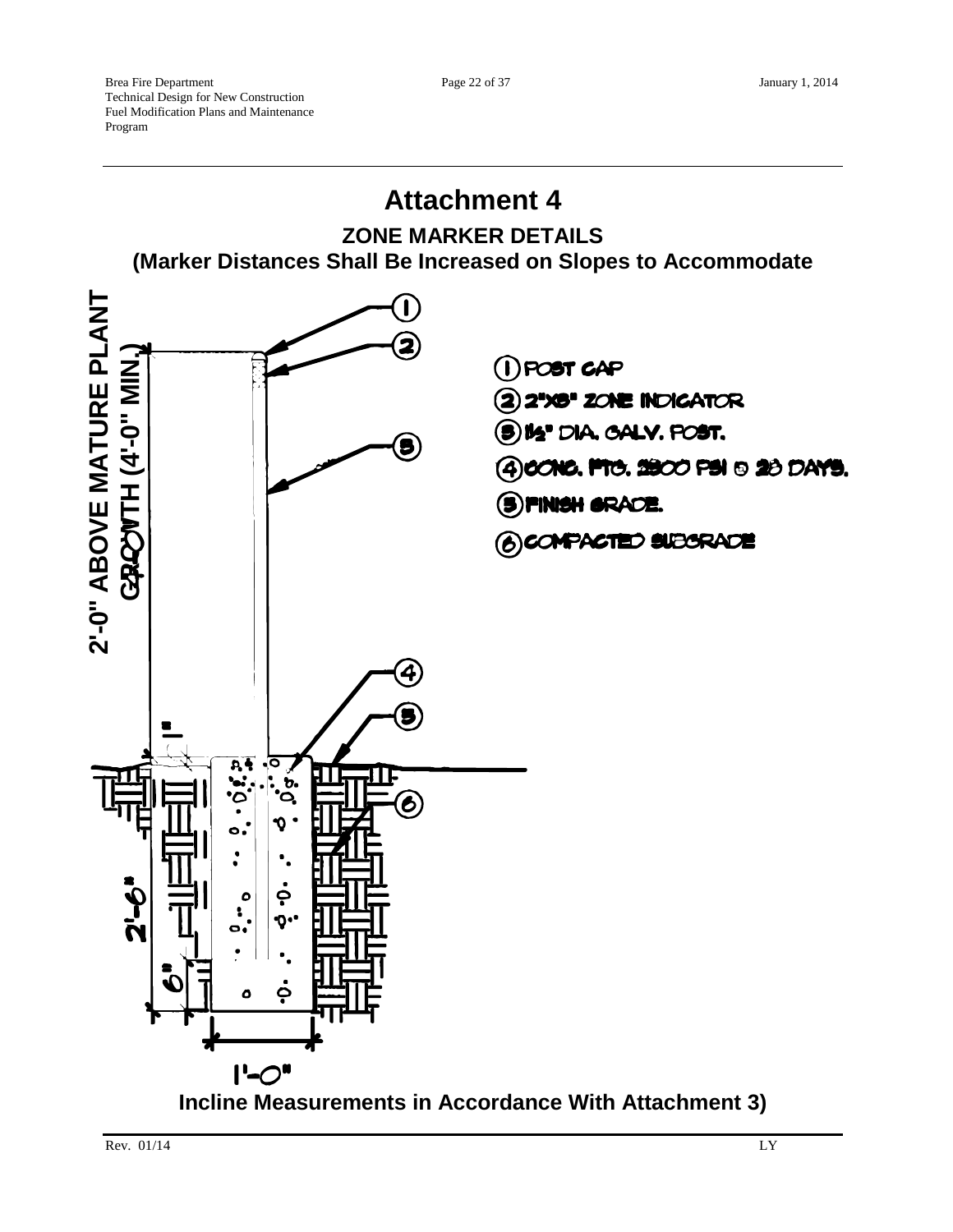Brea Fire Department Figure 22 of 37 January 1, 2014 Technical Design for New Construction Fuel Modification Plans and Maintenance Program

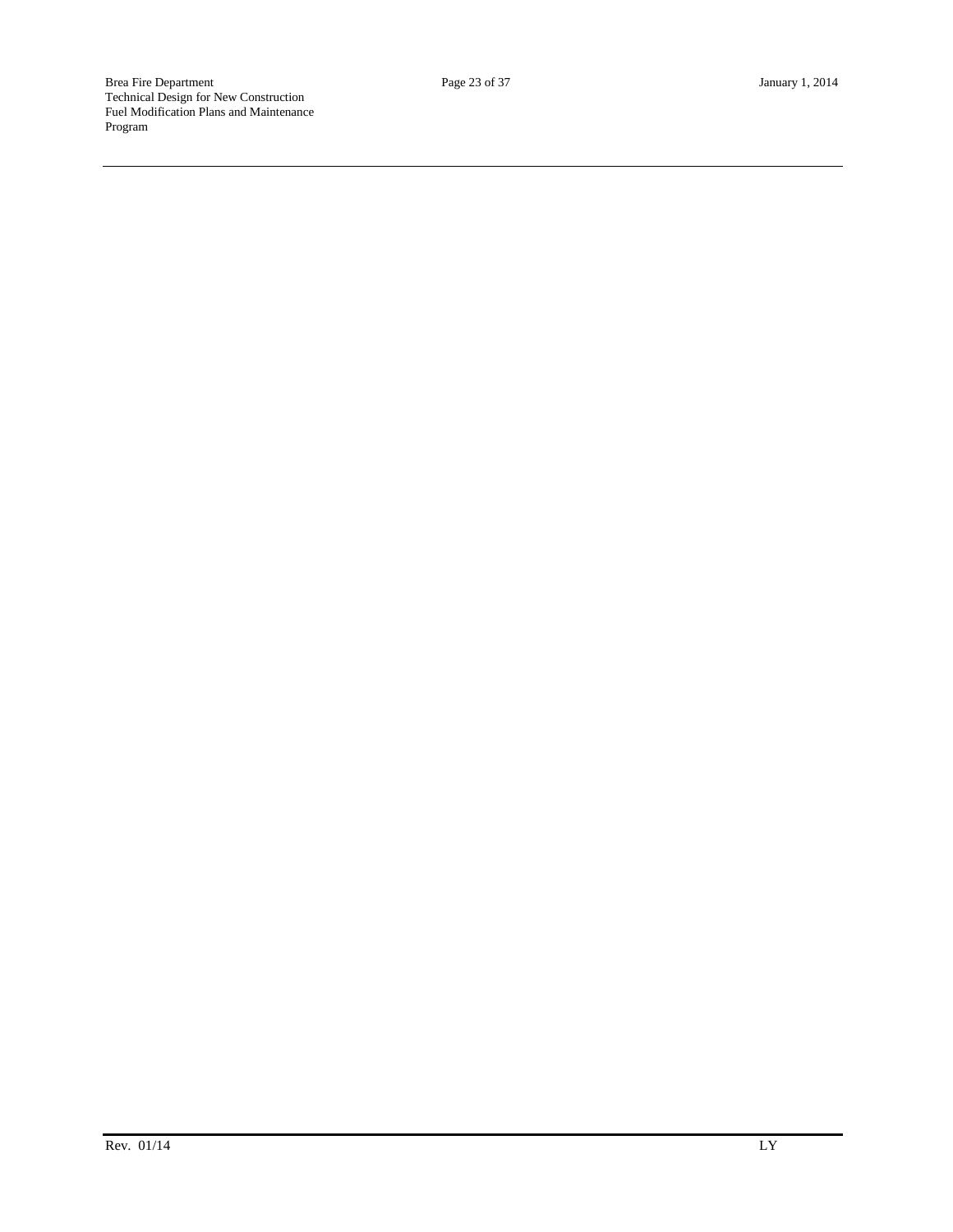Brea Fire Department **Page 23 of 37** January 1, 2014 Technical Design for New Construction Fuel Modification Plans and Maintenance Program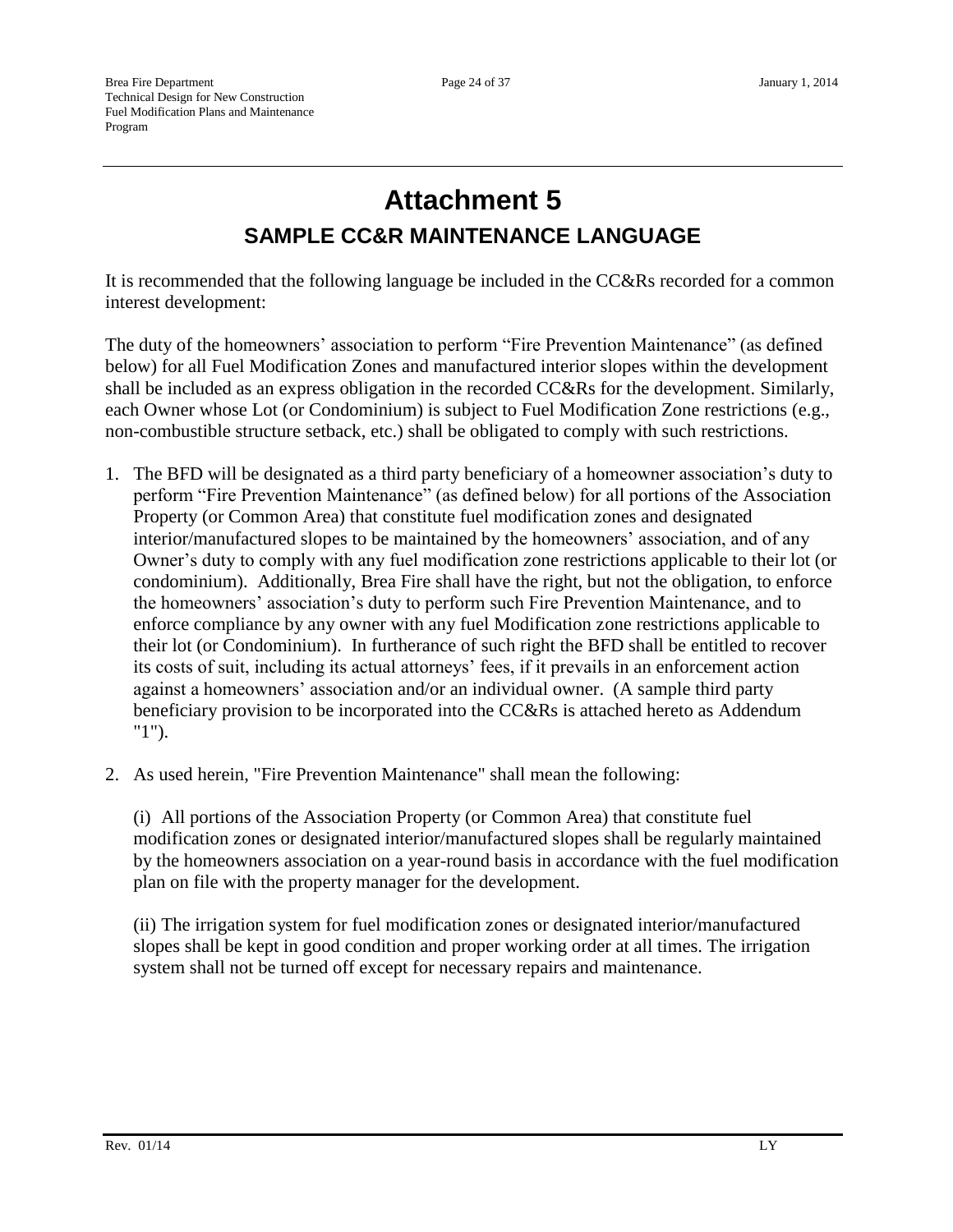## **Attachment 5 SAMPLE CC&R MAINTENANCE LANGUAGE**

It is recommended that the following language be included in the CC&Rs recorded for a common interest development:

The duty of the homeowners' association to perform "Fire Prevention Maintenance" (as defined below) for all Fuel Modification Zones and manufactured interior slopes within the development shall be included as an express obligation in the recorded CC&Rs for the development. Similarly, each Owner whose Lot (or Condominium) is subject to Fuel Modification Zone restrictions (e.g., non-combustible structure setback, etc.) shall be obligated to comply with such restrictions.

- 1. The BFD will be designated as a third party beneficiary of a homeowner association's duty to perform "Fire Prevention Maintenance" (as defined below) for all portions of the Association Property (or Common Area) that constitute fuel modification zones and designated interior/manufactured slopes to be maintained by the homeowners' association, and of any Owner's duty to comply with any fuel modification zone restrictions applicable to their lot (or condominium). Additionally, Brea Fire shall have the right, but not the obligation, to enforce the homeowners' association's duty to perform such Fire Prevention Maintenance, and to enforce compliance by any owner with any fuel Modification zone restrictions applicable to their lot (or Condominium). In furtherance of such right the BFD shall be entitled to recover its costs of suit, including its actual attorneys' fees, if it prevails in an enforcement action against a homeowners' association and/or an individual owner. (A sample third party beneficiary provision to be incorporated into the CC&Rs is attached hereto as Addendum "1").
- 2. As used herein, "Fire Prevention Maintenance" shall mean the following:

(i) All portions of the Association Property (or Common Area) that constitute fuel modification zones or designated interior/manufactured slopes shall be regularly maintained by the homeowners association on a year-round basis in accordance with the fuel modification plan on file with the property manager for the development.

(ii) The irrigation system for fuel modification zones or designated interior/manufactured slopes shall be kept in good condition and proper working order at all times. The irrigation system shall not be turned off except for necessary repairs and maintenance.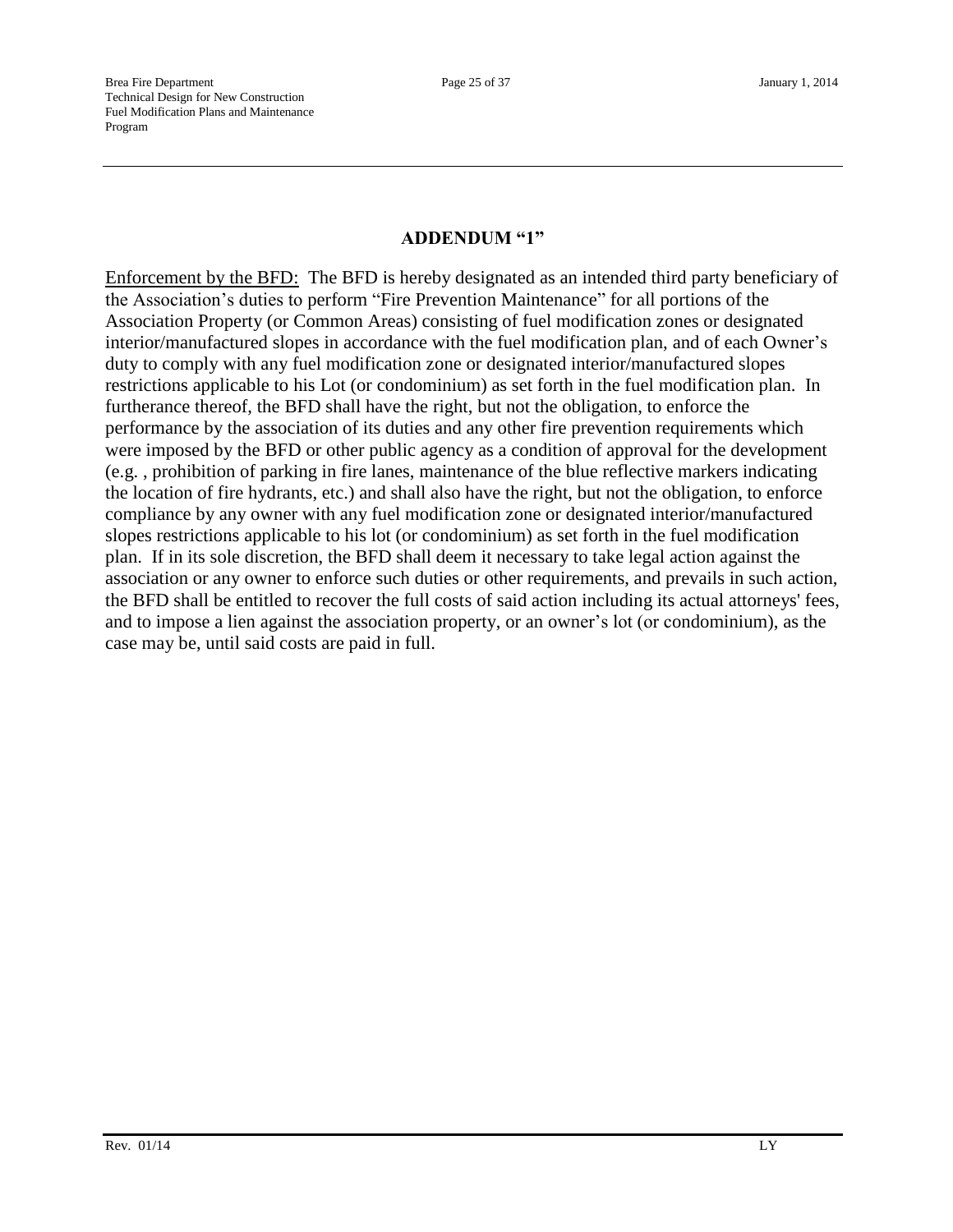#### **ADDENDUM "1"**

Enforcement by the BFD: The BFD is hereby designated as an intended third party beneficiary of the Association's duties to perform "Fire Prevention Maintenance" for all portions of the Association Property (or Common Areas) consisting of fuel modification zones or designated interior/manufactured slopes in accordance with the fuel modification plan, and of each Owner's duty to comply with any fuel modification zone or designated interior/manufactured slopes restrictions applicable to his Lot (or condominium) as set forth in the fuel modification plan. In furtherance thereof, the BFD shall have the right, but not the obligation, to enforce the performance by the association of its duties and any other fire prevention requirements which were imposed by the BFD or other public agency as a condition of approval for the development (e.g. , prohibition of parking in fire lanes, maintenance of the blue reflective markers indicating the location of fire hydrants, etc.) and shall also have the right, but not the obligation, to enforce compliance by any owner with any fuel modification zone or designated interior/manufactured slopes restrictions applicable to his lot (or condominium) as set forth in the fuel modification plan. If in its sole discretion, the BFD shall deem it necessary to take legal action against the association or any owner to enforce such duties or other requirements, and prevails in such action, the BFD shall be entitled to recover the full costs of said action including its actual attorneys' fees, and to impose a lien against the association property, or an owner's lot (or condominium), as the case may be, until said costs are paid in full.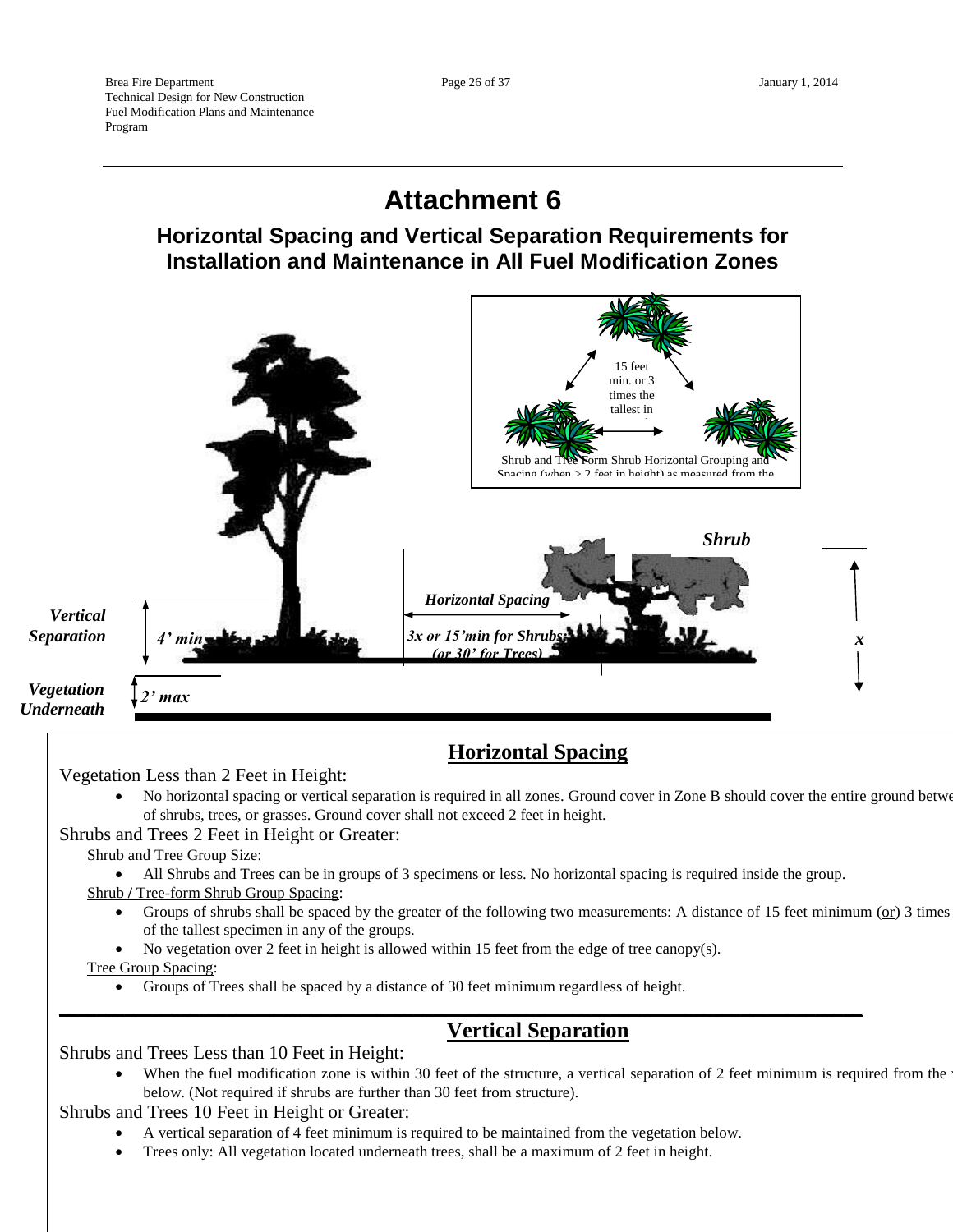## **Attachment 6**

### **Horizontal Spacing and Vertical Separation Requirements for Installation and Maintenance in All Fuel Modification Zones**



## **Horizontal Spacing**

Vegetation Less than 2 Feet in Height:

No horizontal spacing or vertical separation is required in all zones. Ground cover in Zone B should cover the entire ground betwe of shrubs, trees, or grasses. Ground cover shall not exceed 2 feet in height.

Shrubs and Trees 2 Feet in Height or Greater:

Shrub and Tree Group Size:

All Shrubs and Trees can be in groups of 3 specimens or less. No horizontal spacing is required inside the group.

**\_\_\_\_\_\_\_\_\_\_\_\_\_\_\_\_\_\_\_\_\_\_\_\_\_\_\_\_\_\_\_\_\_\_\_\_\_\_\_\_\_\_\_\_\_\_\_\_\_\_\_\_\_\_\_\_\_\_\_\_\_\_\_\_\_\_\_\_\_\_\_\_\_\_\_\_\_\_\_\_\_\_\_\_\_\_**

Shrub **/** Tree-form Shrub Group Spacing:

- Groups of shrubs shall be spaced by the greater of the following two measurements: A distance of 15 feet minimum  $(or)$  3 times of the tallest specimen in any of the groups.
- No vegetation over 2 feet in height is allowed within 15 feet from the edge of tree canopy(s).

Tree Group Spacing:

Groups of Trees shall be spaced by a distance of 30 feet minimum regardless of height.

### **Vertical Separation**

Shrubs and Trees Less than 10 Feet in Height:

When the fuel modification zone is within 30 feet of the structure, a vertical separation of 2 feet minimum is required from the below. (Not required if shrubs are further than 30 feet from structure).

Shrubs and Trees 10 Feet in Height or Greater:

- A vertical separation of 4 feet minimum is required to be maintained from the vegetation below.
- Trees only: All vegetation located underneath trees, shall be a maximum of 2 feet in height.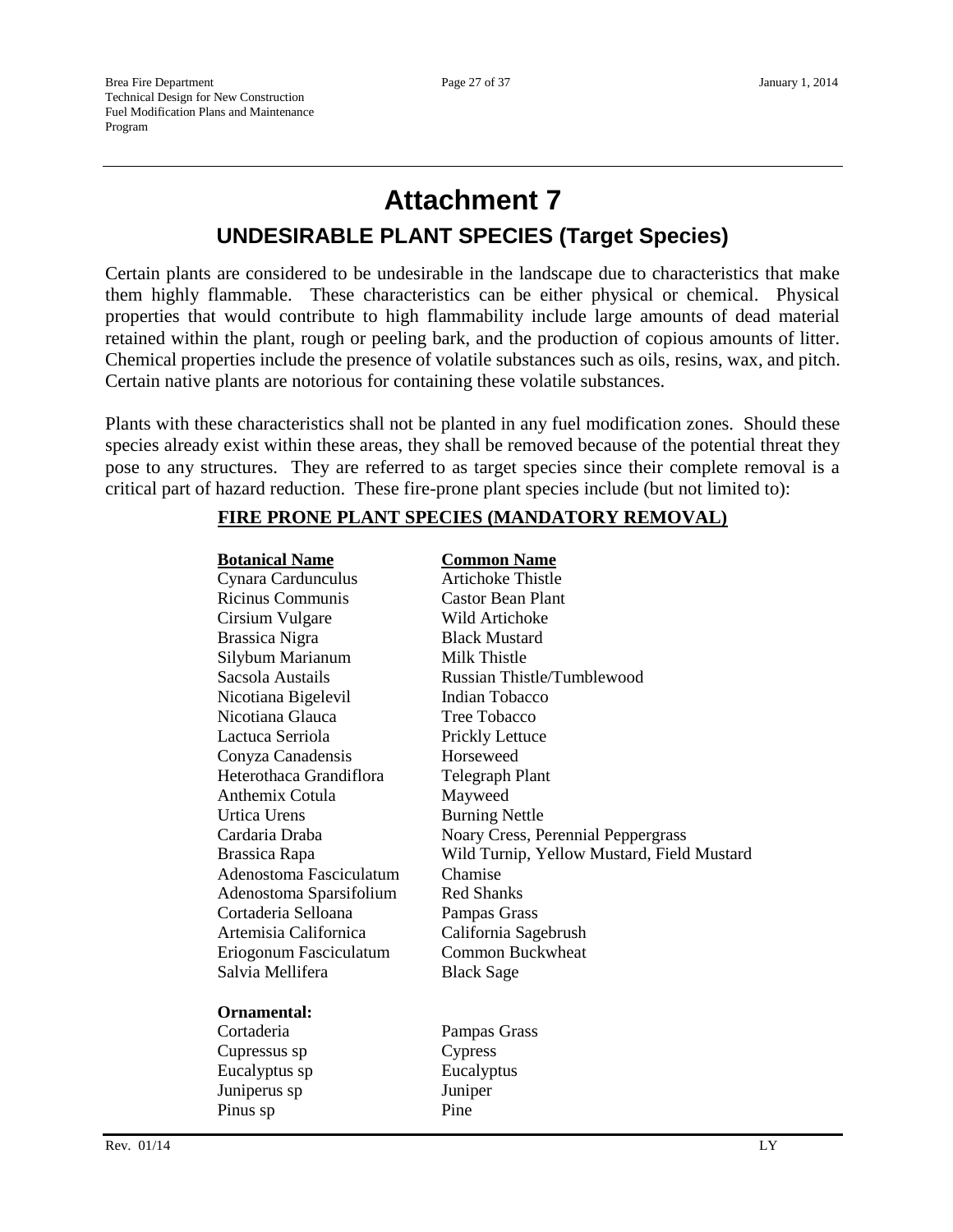## **Attachment 7 UNDESIRABLE PLANT SPECIES (Target Species)**

Certain plants are considered to be undesirable in the landscape due to characteristics that make them highly flammable. These characteristics can be either physical or chemical. Physical properties that would contribute to high flammability include large amounts of dead material retained within the plant, rough or peeling bark, and the production of copious amounts of litter. Chemical properties include the presence of volatile substances such as oils, resins, wax, and pitch. Certain native plants are notorious for containing these volatile substances.

Plants with these characteristics shall not be planted in any fuel modification zones. Should these species already exist within these areas, they shall be removed because of the potential threat they pose to any structures. They are referred to as target species since their complete removal is a critical part of hazard reduction. These fire-prone plant species include (but not limited to):

#### **FIRE PRONE PLANT SPECIES (MANDATORY REMOVAL)**

| <b>Botanical Name</b>   | <b>Common Name</b>                         |
|-------------------------|--------------------------------------------|
| Cynara Cardunculus      | Artichoke Thistle                          |
| Ricinus Communis        | <b>Castor Bean Plant</b>                   |
| Cirsium Vulgare         | Wild Artichoke                             |
| <b>Brassica Nigra</b>   | <b>Black Mustard</b>                       |
| Silybum Marianum        | <b>Milk Thistle</b>                        |
| Sacsola Austails        | <b>Russian Thistle/Tumblewood</b>          |
| Nicotiana Bigelevil     | Indian Tobacco                             |
| Nicotiana Glauca        | <b>Tree Tobacco</b>                        |
| Lactuca Serriola        | Prickly Lettuce                            |
| Conyza Canadensis       | Horseweed                                  |
| Heterothaca Grandiflora | Telegraph Plant                            |
| Anthemix Cotula         | Mayweed                                    |
| Urtica Urens            | <b>Burning Nettle</b>                      |
| Cardaria Draba          | Noary Cress, Perennial Peppergrass         |
| Brassica Rapa           | Wild Turnip, Yellow Mustard, Field Mustard |
| Adenostoma Fasciculatum | Chamise                                    |
| Adenostoma Sparsifolium | <b>Red Shanks</b>                          |
| Cortaderia Selloana     | Pampas Grass                               |
| Artemisia Californica   | California Sagebrush                       |
| Eriogonum Fasciculatum  | <b>Common Buckwheat</b>                    |
| Salvia Mellifera        | <b>Black Sage</b>                          |
|                         |                                            |
| Ornamental:             |                                            |
| Cortaderia              | Pampas Grass                               |
| Cupressus sp            | Cypress                                    |
| Eucalyptus sp           | Eucalyptus                                 |
| Juniperus sp            | Juniper                                    |
| Pinus sp                | Pine                                       |
|                         |                                            |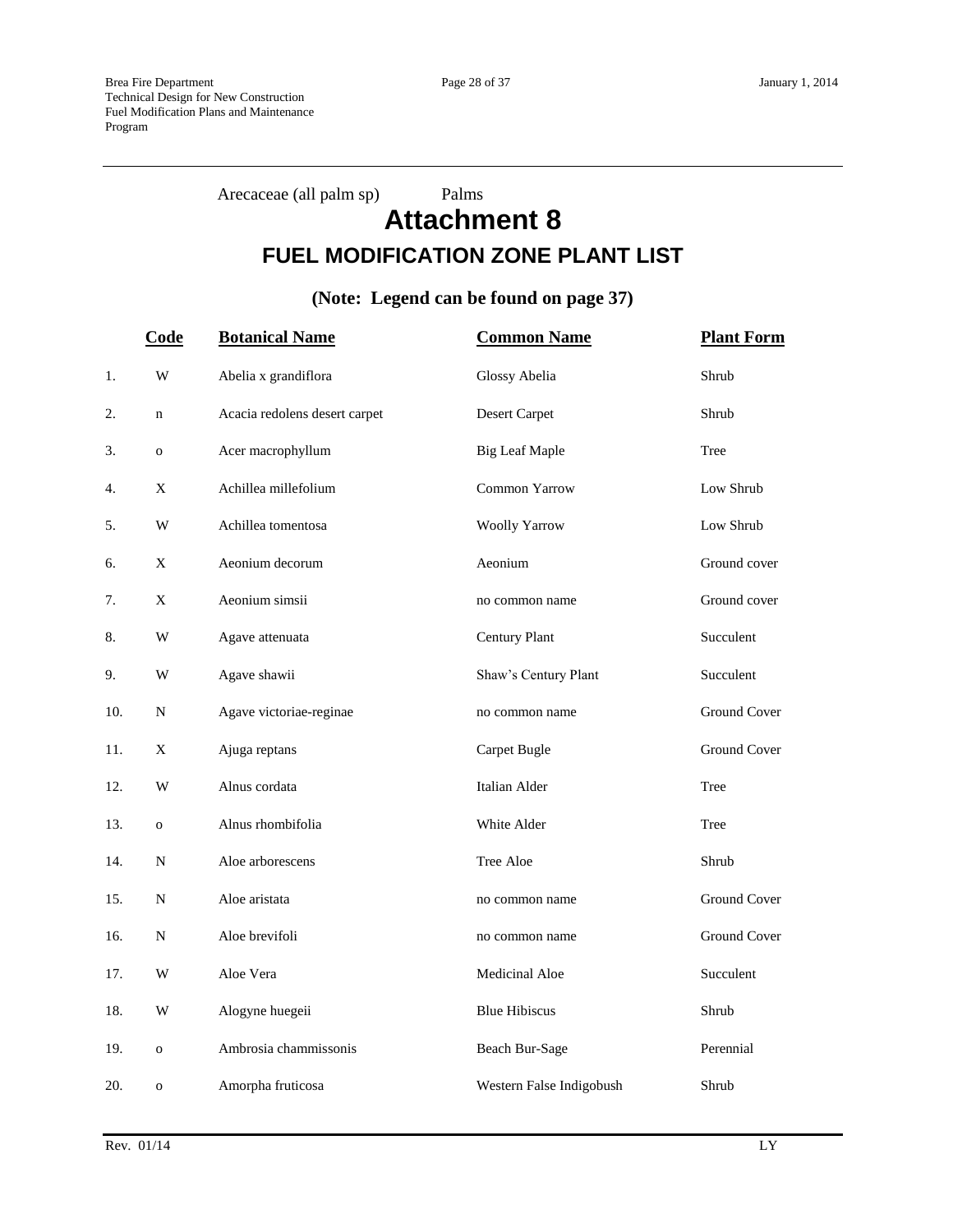Arecaceae (all palm sp) Palms

## **Attachment 8 FUEL MODIFICATION ZONE PLANT LIST**

#### **(Note: Legend can be found on page 37)**

|     | Code         | <b>Botanical Name</b>         | <b>Common Name</b>       | <b>Plant Form</b>   |
|-----|--------------|-------------------------------|--------------------------|---------------------|
| 1.  | W            | Abelia x grandiflora          | Glossy Abelia            | Shrub               |
| 2.  | $\mathbf n$  | Acacia redolens desert carpet | Desert Carpet            | Shrub               |
| 3.  | $\mathbf{o}$ | Acer macrophyllum             | <b>Big Leaf Maple</b>    | Tree                |
| 4.  | X            | Achillea millefolium          | Common Yarrow            | Low Shrub           |
| 5.  | W            | Achillea tomentosa            | <b>Woolly Yarrow</b>     | Low Shrub           |
| 6.  | X            | Aeonium decorum               | Aeonium                  | Ground cover        |
| 7.  | $\mathbf X$  | Aeonium simsii                | no common name           | Ground cover        |
| 8.  | W            | Agave attenuata               | Century Plant            | Succulent           |
| 9.  | W            | Agave shawii                  | Shaw's Century Plant     | Succulent           |
| 10. | N            | Agave victoriae-reginae       | no common name           | Ground Cover        |
| 11. | X            | Ajuga reptans                 | Carpet Bugle             | Ground Cover        |
| 12. | W            | Alnus cordata                 | Italian Alder            | Tree                |
| 13. | $\mathbf{o}$ | Alnus rhombifolia             | White Alder              | Tree                |
| 14. | N            | Aloe arborescens              | Tree Aloe                | Shrub               |
| 15. | N            | Aloe aristata                 | no common name           | <b>Ground Cover</b> |
| 16. | $\mathbf N$  | Aloe brevifoli                | no common name           | Ground Cover        |
| 17. | W            | Aloe Vera                     | Medicinal Aloe           | Succulent           |
| 18. | W            | Alogyne huegeii               | <b>Blue Hibiscus</b>     | Shrub               |
| 19. | $\mathbf{o}$ | Ambrosia chammissonis         | Beach Bur-Sage           | Perennial           |
| 20. | $\mathbf 0$  | Amorpha fruticosa             | Western False Indigobush | Shrub               |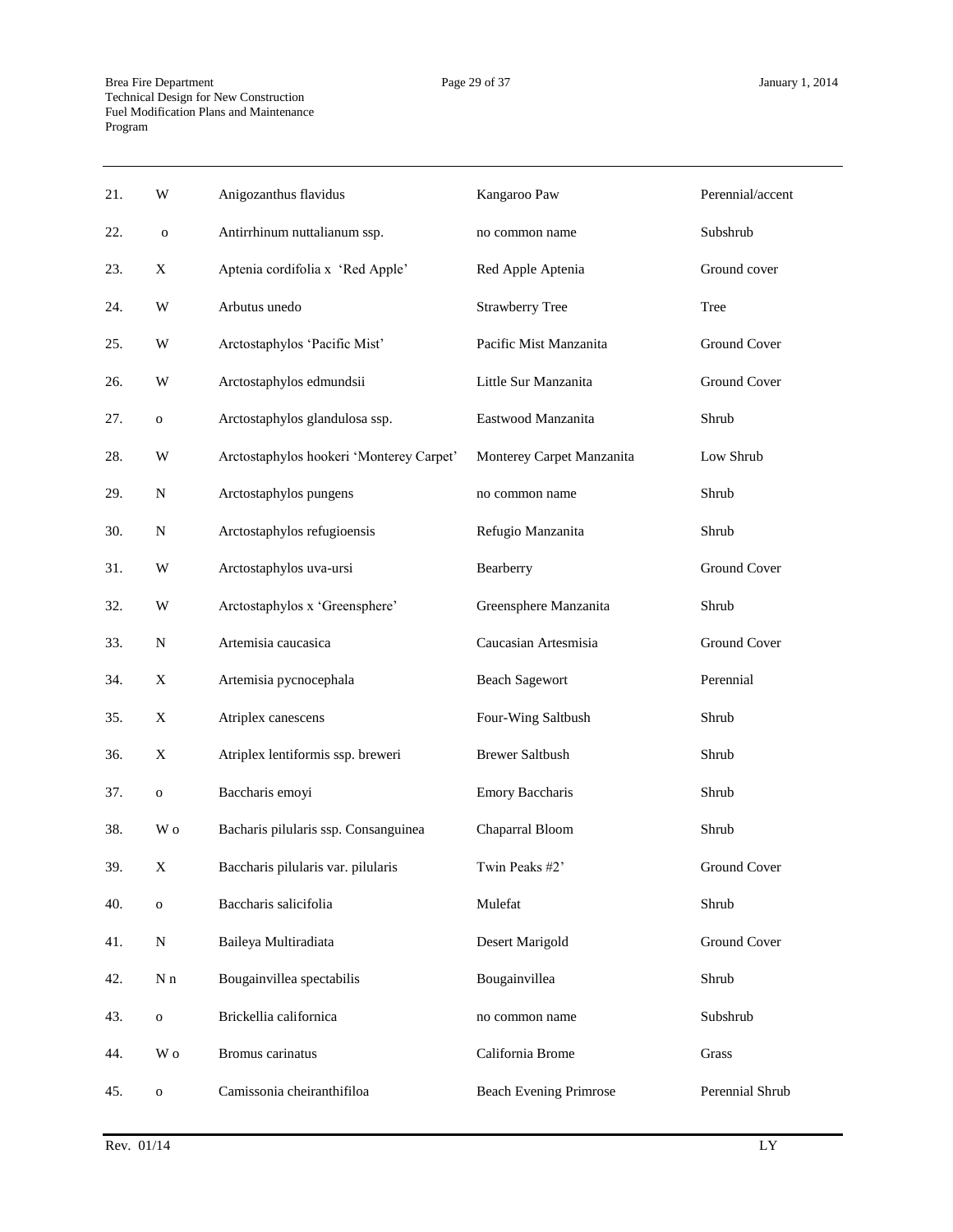| 21. | W              | Anigozanthus flavidus                    | Kangaroo Paw                  | Perennial/accent    |
|-----|----------------|------------------------------------------|-------------------------------|---------------------|
| 22. | $\mathbf O$    | Antirrhinum nuttalianum ssp.             | no common name                | Subshrub            |
| 23. | X              | Aptenia cordifolia x 'Red Apple'         | Red Apple Aptenia             | Ground cover        |
| 24. | W              | Arbutus unedo                            | <b>Strawberry Tree</b>        | Tree                |
| 25. | W              | Arctostaphylos 'Pacific Mist'            | Pacific Mist Manzanita        | <b>Ground Cover</b> |
| 26. | W              | Arctostaphylos edmundsii                 | Little Sur Manzanita          | Ground Cover        |
| 27. | ${\bf O}$      | Arctostaphylos glandulosa ssp.           | Eastwood Manzanita            | Shrub               |
| 28. | W              | Arctostaphylos hookeri 'Monterey Carpet' | Monterey Carpet Manzanita     | Low Shrub           |
| 29. | ${\bf N}$      | Arctostaphylos pungens                   | no common name                | Shrub               |
| 30. | ${\bf N}$      | Arctostaphylos refugioensis              | Refugio Manzanita             | Shrub               |
| 31. | W              | Arctostaphylos uva-ursi                  | Bearberry                     | <b>Ground Cover</b> |
| 32. | W              | Arctostaphylos x 'Greensphere'           | Greensphere Manzanita         | Shrub               |
| 33. | ${\bf N}$      | Artemisia caucasica                      | Caucasian Artesmisia          | Ground Cover        |
| 34. | $\mathbf X$    | Artemisia pycnocephala                   | <b>Beach Sagewort</b>         | Perennial           |
| 35. | X              | Atriplex canescens                       | Four-Wing Saltbush            | Shrub               |
| 36. | X              | Atriplex lentiformis ssp. breweri        | <b>Brewer Saltbush</b>        | Shrub               |
| 37. | ${\bf O}$      | Baccharis emoyi                          | <b>Emory Baccharis</b>        | Shrub               |
| 38. | W o            | Bacharis pilularis ssp. Consanguinea     | Chaparral Bloom               | Shrub               |
| 39. | X              | Baccharis pilularis var. pilularis       | Twin Peaks #2'                | Ground Cover        |
| 40. | $\mathbf{o}$   | Baccharis salicifolia                    | Mulefat                       | Shrub               |
| 41. | ${\bf N}$      | Baileya Multiradiata                     | Desert Marigold               | <b>Ground Cover</b> |
| 42. | N <sub>n</sub> | Bougainvillea spectabilis                | Bougainvillea                 | Shrub               |
| 43. | $\mathbf O$    | Brickellia californica                   | no common name                | Subshrub            |
| 44. | W o            | Bromus carinatus                         | California Brome              | Grass               |
| 45. | $\mathbf 0$    | Camissonia cheiranthifiloa               | <b>Beach Evening Primrose</b> | Perennial Shrub     |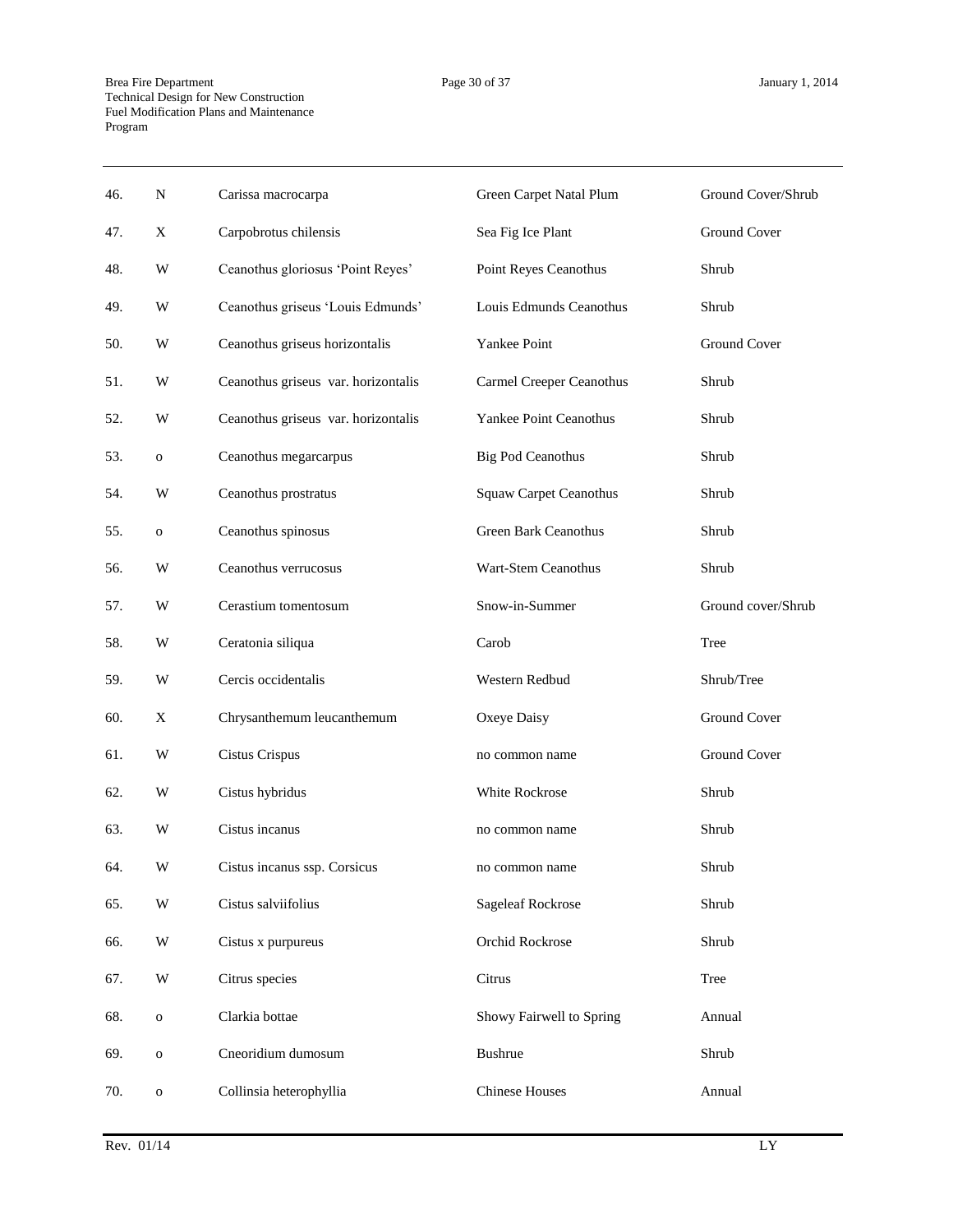| 46. | $\mathbf N$ | Carissa macrocarpa                  | Green Carpet Natal Plum       | Ground Cover/Shrub |
|-----|-------------|-------------------------------------|-------------------------------|--------------------|
| 47. | X           | Carpobrotus chilensis               | Sea Fig Ice Plant             | Ground Cover       |
| 48. | W           | Ceanothus gloriosus 'Point Reyes'   | Point Reyes Ceanothus         | Shrub              |
| 49. | W           | Ceanothus griseus 'Louis Edmunds'   | Louis Edmunds Ceanothus       | Shrub              |
| 50. | W           | Ceanothus griseus horizontalis      | Yankee Point                  | Ground Cover       |
| 51. | W           | Ceanothus griseus var. horizontalis | Carmel Creeper Ceanothus      | Shrub              |
| 52. | W           | Ceanothus griseus var. horizontalis | Yankee Point Ceanothus        | Shrub              |
| 53. | $\mathbf 0$ | Ceanothus megarcarpus               | <b>Big Pod Ceanothus</b>      | Shrub              |
| 54. | W           | Ceanothus prostratus                | <b>Squaw Carpet Ceanothus</b> | Shrub              |
| 55. | $\mathbf O$ | Ceanothus spinosus                  | Green Bark Ceanothus          | Shrub              |
| 56. | W           | Ceanothus verrucosus                | Wart-Stem Ceanothus           | Shrub              |
| 57. | W           | Cerastium tomentosum                | Snow-in-Summer                | Ground cover/Shrub |
| 58. | W           | Ceratonia siliqua                   | Carob                         | Tree               |
| 59. | W           | Cercis occidentalis                 | Western Redbud                | Shrub/Tree         |
| 60. | X           | Chrysanthemum leucanthemum          | Oxeye Daisy                   | Ground Cover       |
| 61. | W           | Cistus Crispus                      | no common name                | Ground Cover       |
| 62. | W           | Cistus hybridus                     | White Rockrose                | Shrub              |
| 63. | W           | Cistus incanus                      | no common name                | Shrub              |
| 64. | W           | Cistus incanus ssp. Corsicus        | no common name                | Shrub              |
| 65. | W           | Cistus salviifolius                 | <b>Sageleaf Rockrose</b>      | Shrub              |
| 66. | W           | Cistus x purpureus                  | Orchid Rockrose               | Shrub              |
| 67. | W           | Citrus species                      | Citrus                        | Tree               |
| 68. | $\mathbf O$ | Clarkia bottae                      | Showy Fairwell to Spring      | Annual             |
| 69. | $\mathbf O$ | Cneoridium dumosum                  | Bushrue                       | Shrub              |
| 70. | $\mathbf O$ | Collinsia heterophyllia             | <b>Chinese Houses</b>         | Annual             |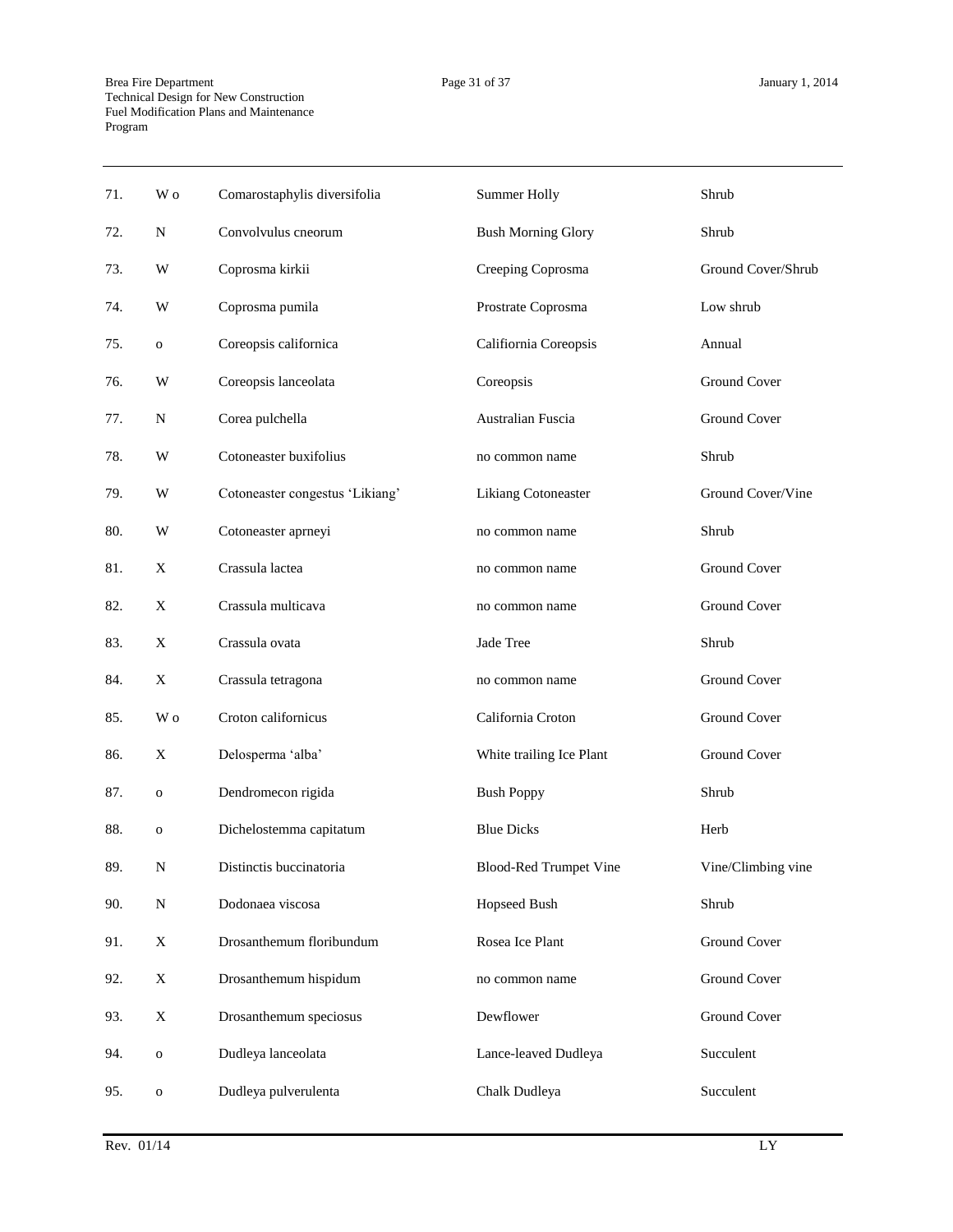| 71. | W o          | Comarostaphylis diversifolia    | Summer Holly                  | Shrub               |
|-----|--------------|---------------------------------|-------------------------------|---------------------|
| 72. | $\mathbf N$  | Convolvulus cneorum             | <b>Bush Morning Glory</b>     | Shrub               |
| 73. | W            | Coprosma kirkii                 | Creeping Coprosma             | Ground Cover/Shrub  |
| 74. | W            | Coprosma pumila                 | Prostrate Coprosma            | Low shrub           |
| 75. | $\mathbf O$  | Coreopsis californica           | Califiornia Coreopsis         | Annual              |
| 76. | W            | Coreopsis lanceolata            | Coreopsis                     | Ground Cover        |
| 77. | N            | Corea pulchella                 | Australian Fuscia             | Ground Cover        |
| 78. | W            | Cotoneaster buxifolius          | no common name                | Shrub               |
| 79. | W            | Cotoneaster congestus 'Likiang' | <b>Likiang Cotoneaster</b>    | Ground Cover/Vine   |
| 80. | W            | Cotoneaster aprneyi             | no common name                | Shrub               |
| 81. | X            | Crassula lactea                 | no common name                | Ground Cover        |
| 82. | X            | Crassula multicava              | no common name                | Ground Cover        |
| 83. | X            | Crassula ovata                  | Jade Tree                     | Shrub               |
| 84. | X            | Crassula tetragona              | no common name                | Ground Cover        |
| 85. | W o          | Croton californicus             | California Croton             | Ground Cover        |
| 86. | X            | Delosperma 'alba'               | White trailing Ice Plant      | Ground Cover        |
| 87. | $\mathbf O$  | Dendromecon rigida              | <b>Bush Poppy</b>             | Shrub               |
| 88. | $\mathbf O$  | Dichelostemma capitatum         | <b>Blue Dicks</b>             | Herb                |
| 89. | N            | Distinctis buccinatoria         | <b>Blood-Red Trumpet Vine</b> | Vine/Climbing vine  |
| 90. | ${\bf N}$    | Dodonaea viscosa                | <b>Hopseed Bush</b>           | Shrub               |
| 91. | $\mathbf X$  | Drosanthemum floribundum        | Rosea Ice Plant               | Ground Cover        |
| 92. | $\mathbf X$  | Drosanthemum hispidum           | no common name                | Ground Cover        |
| 93. | X            | Drosanthemum speciosus          | Dewflower                     | <b>Ground Cover</b> |
| 94. | $\mathbf{o}$ | Dudleya lanceolata              | Lance-leaved Dudleya          | Succulent           |
| 95. | $\mathbf O$  | Dudleya pulverulenta            | Chalk Dudleya                 | Succulent           |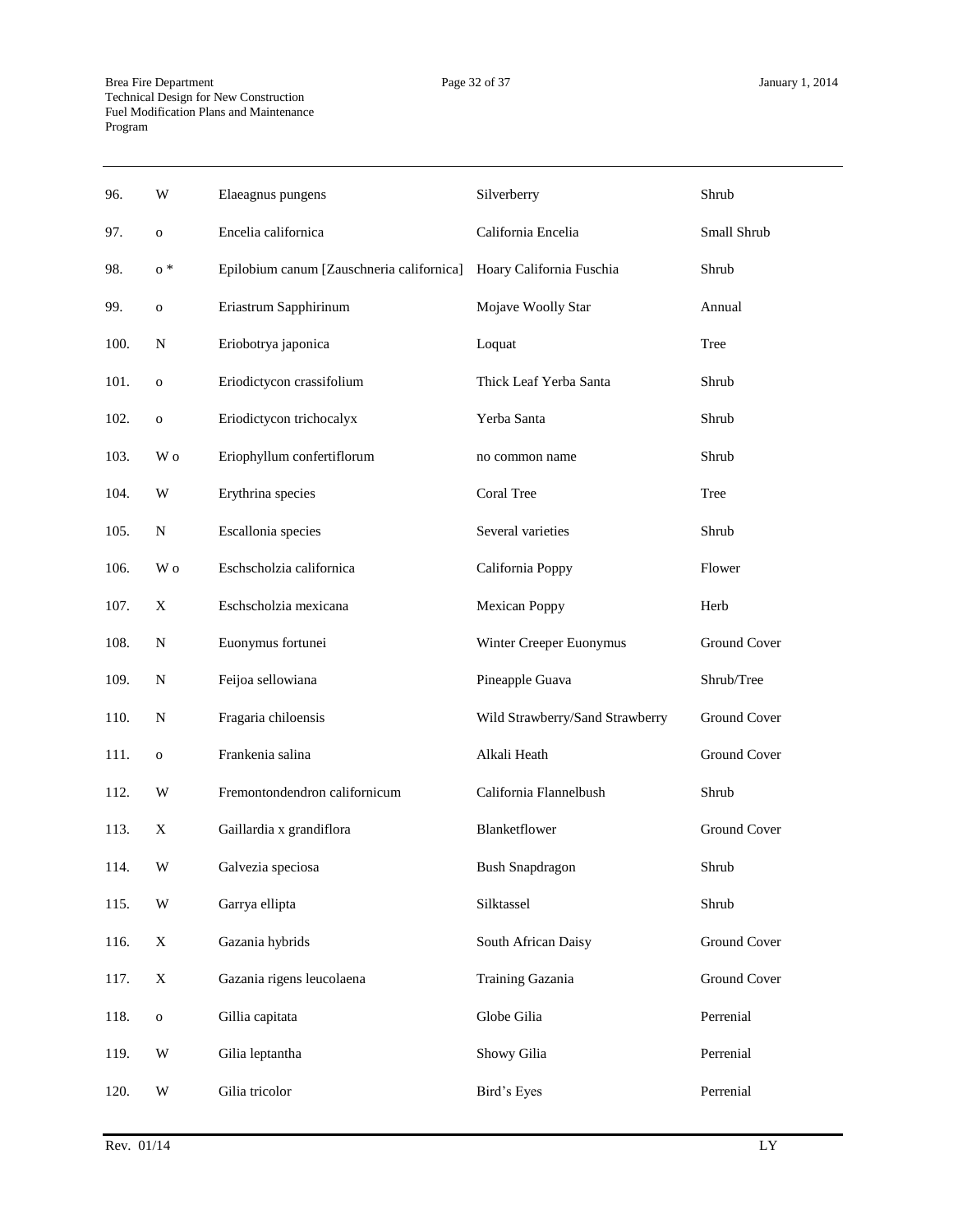| 96.  | W                         | Elaeagnus pungens                         | Silverberry                     | Shrub        |
|------|---------------------------|-------------------------------------------|---------------------------------|--------------|
|      |                           |                                           |                                 |              |
| 97.  | ${\bf O}$                 | Encelia californica                       | California Encelia              | Small Shrub  |
| 98.  | $0 *$                     | Epilobium canum [Zauschneria californica] | Hoary California Fuschia        | Shrub        |
| 99.  | $\mathbf O$               | Eriastrum Sapphirinum                     | Mojave Woolly Star              | Annual       |
| 100. | N                         | Eriobotrya japonica                       | Loquat                          | Tree         |
| 101. | $\mathbf O$               | Eriodictycon crassifolium                 | Thick Leaf Yerba Santa          | Shrub        |
| 102. | $\mathbf O$               | Eriodictycon trichocalyx                  | Yerba Santa                     | Shrub        |
| 103. | $\rm W$ o                 | Eriophyllum confertiflorum                | no common name                  | Shrub        |
| 104. | W                         | Erythrina species                         | Coral Tree                      | Tree         |
| 105. | N                         | Escallonia species                        | Several varieties               | Shrub        |
| 106. | W o                       | Eschscholzia californica                  | California Poppy                | Flower       |
| 107. | $\boldsymbol{\mathrm{X}}$ | Eschscholzia mexicana                     | Mexican Poppy                   | Herb         |
| 108. | N                         | Euonymus fortunei                         | Winter Creeper Euonymus         | Ground Cover |
| 109. | N                         | Feijoa sellowiana                         | Pineapple Guava                 | Shrub/Tree   |
| 110. | N                         | Fragaria chiloensis                       | Wild Strawberry/Sand Strawberry | Ground Cover |
| 111. | $\mathbf O$               | Frankenia salina                          | Alkali Heath                    | Ground Cover |
| 112. | W                         | Fremontondendron californicum             | California Flannelbush          | Shrub        |
| 113. | X                         | Gaillardia x grandiflora                  | Blanketflower                   | Ground Cover |
| 114. | W                         | Galvezia speciosa                         | <b>Bush Snapdragon</b>          | Shrub        |
| 115. | W                         | Garrya ellipta                            | Silktassel                      | Shrub        |
| 116. | $\mathbf X$               | Gazania hybrids                           | South African Daisy             | Ground Cover |
| 117. | $\mathbf X$               | Gazania rigens leucolaena                 | Training Gazania                | Ground Cover |
| 118. | $\mathbf 0$               | Gillia capitata                           | Globe Gilia                     | Perrenial    |
| 119. | $\mathbf W$               | Gilia leptantha                           | Showy Gilia                     | Perrenial    |
| 120. | W                         | Gilia tricolor                            | Bird's Eyes                     | Perrenial    |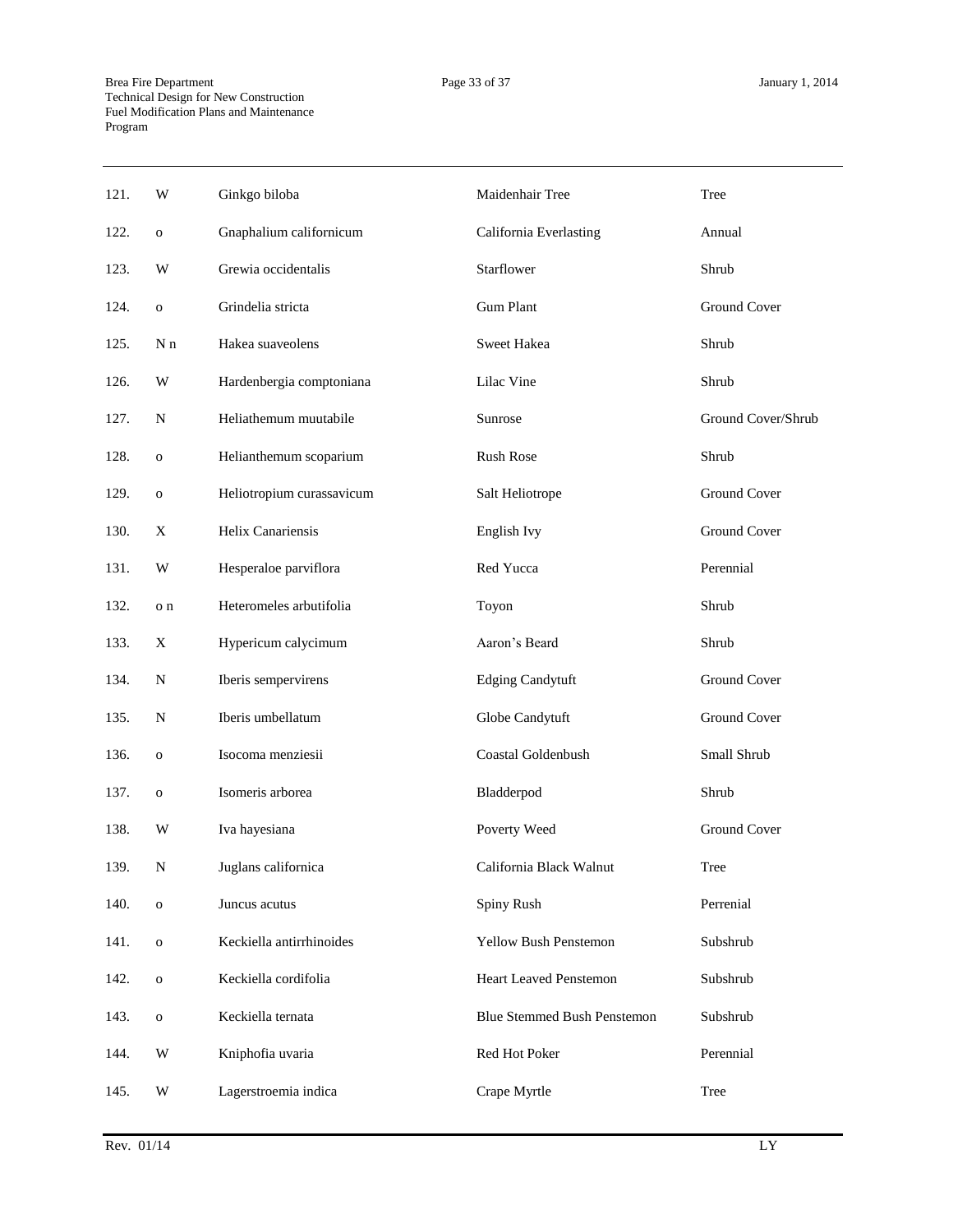Brea Fire Department **Page 33** of 37 January 1, 2014 Technical Design for New Construction Fuel Modification Plans and Maintenance Program

| 121. | W              | Ginkgo biloba             | Maidenhair Tree                    | Tree               |
|------|----------------|---------------------------|------------------------------------|--------------------|
| 122. | ${\bf O}$      | Gnaphalium californicum   | California Everlasting             | Annual             |
| 123. | W              | Grewia occidentalis       | Starflower                         | Shrub              |
| 124. | ${\bf O}$      | Grindelia stricta         | <b>Gum Plant</b>                   | Ground Cover       |
| 125. | N <sub>n</sub> | Hakea suaveolens          | Sweet Hakea                        | Shrub              |
| 126. | W              | Hardenbergia comptoniana  | Lilac Vine                         | Shrub              |
| 127. | N              | Heliathemum muutabile     | Sunrose                            | Ground Cover/Shrub |
| 128. | $\mathbf O$    | Helianthemum scoparium    | <b>Rush Rose</b>                   | Shrub              |
| 129. | ${\bf O}$      | Heliotropium curassavicum | Salt Heliotrope                    | Ground Cover       |
| 130. | X              | Helix Canariensis         | English Ivy                        | Ground Cover       |
| 131. | W              | Hesperaloe parviflora     | Red Yucca                          | Perennial          |
| 132. | o n            | Heteromeles arbutifolia   | Toyon                              | Shrub              |
| 133. | X              | Hypericum calycimum       | Aaron's Beard                      | Shrub              |
| 134. | N              | Iberis sempervirens       | <b>Edging Candytuft</b>            | Ground Cover       |
| 135. | N              | Iberis umbellatum         | Globe Candytuft                    | Ground Cover       |
| 136. | ${\bf O}$      | Isocoma menziesii         | Coastal Goldenbush                 | Small Shrub        |
| 137. | $\mathbf O$    | Isomeris arborea          | Bladderpod                         | Shrub              |
| 138. | W              | Iva hayesiana             | Poverty Weed                       | Ground Cover       |
| 139. | N              | Juglans californica       | California Black Walnut            | Tree               |
| 140. | $\mathbf{o}$   | Juncus acutus             | Spiny Rush                         | Perrenial          |
| 141. | ${\bf O}$      | Keckiella antirrhinoides  | <b>Yellow Bush Penstemon</b>       | Subshrub           |
| 142. | ${\bf O}$      | Keckiella cordifolia      | <b>Heart Leaved Penstemon</b>      | Subshrub           |
| 143. | ${\bf O}$      | Keckiella ternata         | <b>Blue Stemmed Bush Penstemon</b> | Subshrub           |
| 144. | W              | Kniphofia uvaria          | Red Hot Poker                      | Perennial          |
| 145. | W              | Lagerstroemia indica      | Crape Myrtle                       | Tree               |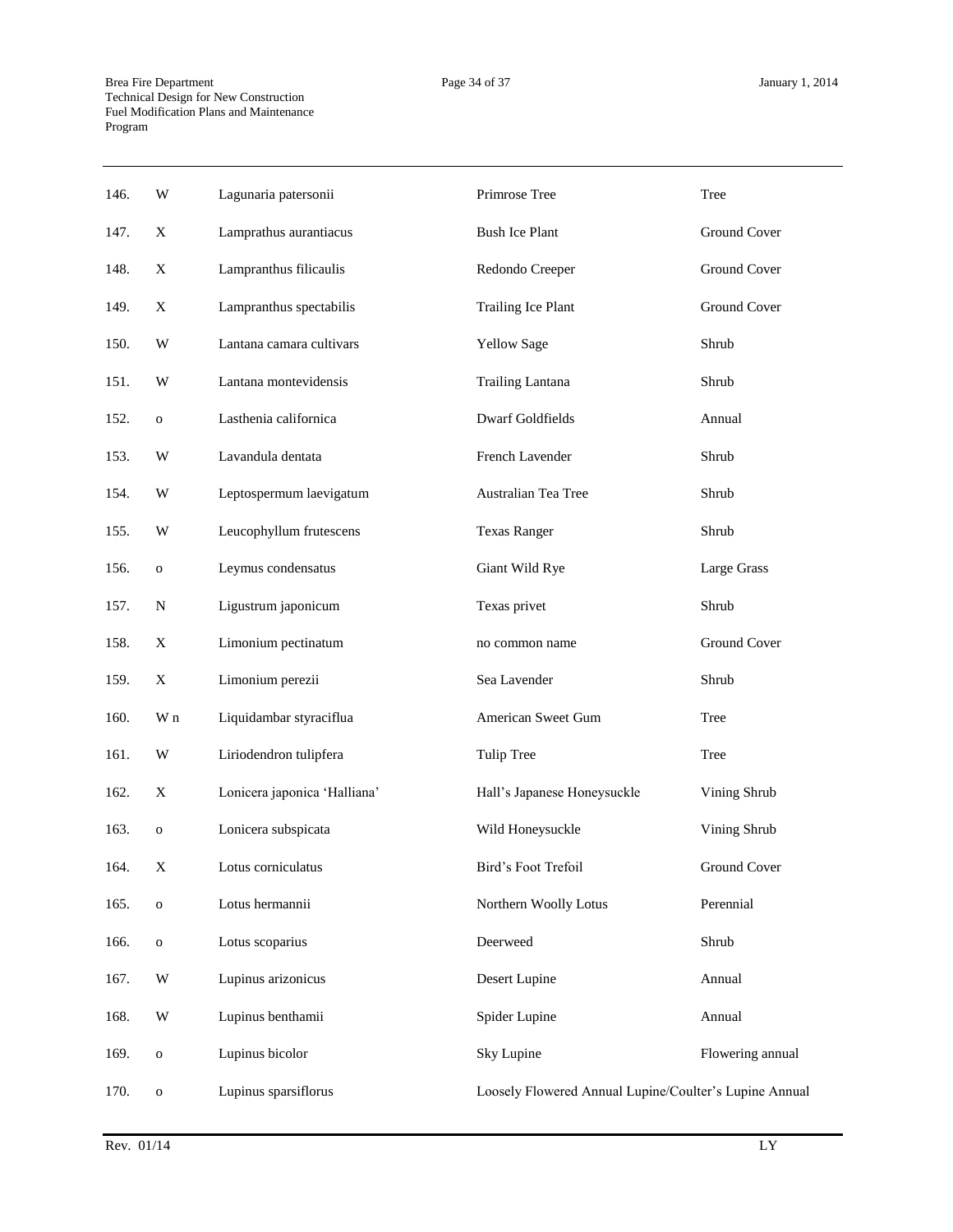Brea Fire Department **Page 34 of 37** January 1, 2014 Technical Design for New Construction Fuel Modification Plans and Maintenance Program

| 146. | W                       | Lagunaria patersonii         | Primrose Tree                                          | Tree             |
|------|-------------------------|------------------------------|--------------------------------------------------------|------------------|
| 147. | X                       | Lamprathus aurantiacus       | <b>Bush Ice Plant</b>                                  | Ground Cover     |
| 148. | X                       | Lampranthus filicaulis       | Redondo Creeper                                        | Ground Cover     |
| 149. | X                       | Lampranthus spectabilis      | Trailing Ice Plant                                     | Ground Cover     |
| 150. | W                       | Lantana camara cultivars     | <b>Yellow Sage</b>                                     | Shrub            |
| 151. | W                       | Lantana montevidensis        | <b>Trailing Lantana</b>                                | Shrub            |
| 152. | $\mathbf O$             | Lasthenia californica        | Dwarf Goldfields                                       | Annual           |
| 153. | W                       | Lavandula dentata            | French Lavender                                        | Shrub            |
| 154. | W                       | Leptospermum laevigatum      | Australian Tea Tree                                    | Shrub            |
| 155. | W                       | Leucophyllum frutescens      | <b>Texas Ranger</b>                                    | Shrub            |
| 156. | $\mathbf O$             | Leymus condensatus           | Giant Wild Rye                                         | Large Grass      |
| 157. | N                       | Ligustrum japonicum          | Texas privet                                           | Shrub            |
| 158. | X                       | Limonium pectinatum          | no common name                                         | Ground Cover     |
| 159. | X                       | Limonium perezii             | Sea Lavender                                           | Shrub            |
| 160. | W n                     | Liquidambar styraciflua      | American Sweet Gum                                     | Tree             |
| 161. | W                       | Liriodendron tulipfera       | <b>Tulip Tree</b>                                      | Tree             |
| 162. | X                       | Lonicera japonica 'Halliana' | Hall's Japanese Honeysuckle                            | Vining Shrub     |
| 163. | $\mathbf O$             | Lonicera subspicata          | Wild Honeysuckle                                       | Vining Shrub     |
| 164. | X                       | Lotus corniculatus           | Bird's Foot Trefoil                                    | Ground Cover     |
| 165. | $\mathbf 0$             | Lotus hermannii              | Northern Woolly Lotus                                  | Perennial        |
| 166. | ${\bf O}$               | Lotus scoparius              | Deerweed                                               | Shrub            |
| 167. | $\ensuremath{\text{W}}$ | Lupinus arizonicus           | Desert Lupine                                          | Annual           |
| 168. | $\ensuremath{\text{W}}$ | Lupinus benthamii            | Spider Lupine                                          | Annual           |
| 169. | ${\bf O}$               | Lupinus bicolor              | <b>Sky Lupine</b>                                      | Flowering annual |
| 170. | ${\bf O}$               | Lupinus sparsiflorus         | Loosely Flowered Annual Lupine/Coulter's Lupine Annual |                  |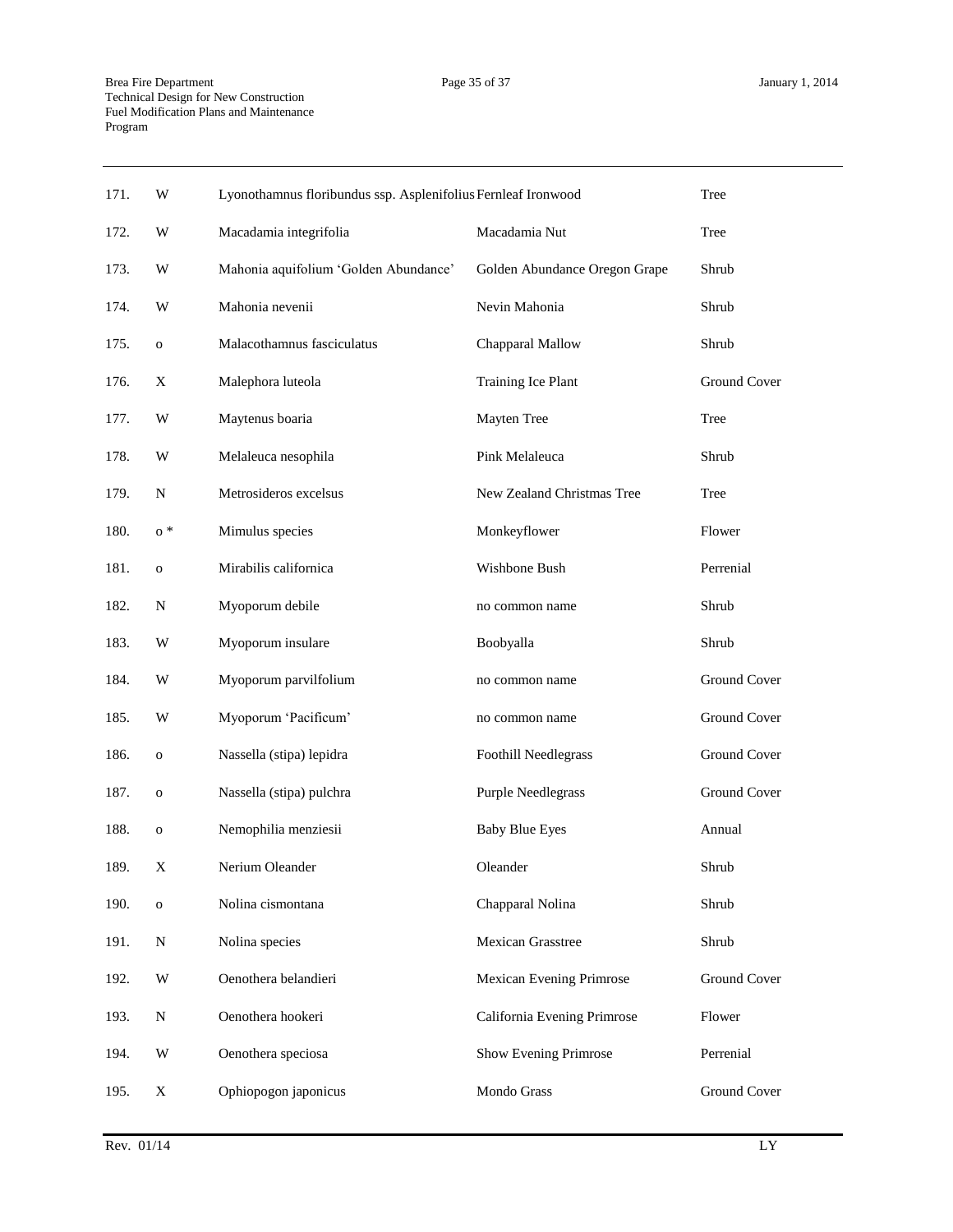| 171. | W            | Lyonothamnus floribundus ssp. Asplenifolius Fernleaf Ironwood |                                 | Tree         |
|------|--------------|---------------------------------------------------------------|---------------------------------|--------------|
| 172. | $\mathbf W$  | Macadamia integrifolia                                        | Macadamia Nut                   | Tree         |
| 173. | W            | Mahonia aquifolium 'Golden Abundance'                         | Golden Abundance Oregon Grape   | Shrub        |
| 174. | W            | Mahonia nevenii                                               | Nevin Mahonia                   | Shrub        |
| 175. | $\mathbf O$  | Malacothamnus fasciculatus                                    | Chapparal Mallow                | Shrub        |
| 176. | X            | Malephora luteola                                             | Training Ice Plant              | Ground Cover |
| 177. | W            | Maytenus boaria                                               | Mayten Tree                     | Tree         |
| 178. | W            | Melaleuca nesophila                                           | Pink Melaleuca                  | Shrub        |
| 179. | N            | Metrosideros excelsus                                         | New Zealand Christmas Tree      | Tree         |
| 180. | $0 *$        | Mimulus species                                               | Monkeyflower                    | Flower       |
| 181. | $\mathbf O$  | Mirabilis californica                                         | Wishbone Bush                   | Perrenial    |
| 182. | N            | Myoporum debile                                               | no common name                  | Shrub        |
| 183. | W            | Myoporum insulare                                             | Boobyalla                       | Shrub        |
| 184. | W            | Myoporum parvilfolium                                         | no common name                  | Ground Cover |
| 185. | W            | Myoporum 'Pacificum'                                          | no common name                  | Ground Cover |
| 186. | $\mathbf O$  | Nassella (stipa) lepidra                                      | <b>Foothill Needlegrass</b>     | Ground Cover |
| 187. | $\mathbf O$  | Nassella (stipa) pulchra                                      | <b>Purple Needlegrass</b>       | Ground Cover |
| 188. | $\mathbf O$  | Nemophilia menziesii                                          | <b>Baby Blue Eyes</b>           | Annual       |
| 189. | X            | Nerium Oleander                                               | Oleander                        | Shrub        |
| 190. | $\mathbf{o}$ | Nolina cismontana                                             | Chapparal Nolina                | Shrub        |
| 191. | N            | Nolina species                                                | Mexican Grasstree               | Shrub        |
| 192. | W            | Oenothera belandieri                                          | <b>Mexican Evening Primrose</b> | Ground Cover |
| 193. | N            | Oenothera hookeri                                             | California Evening Primrose     | Flower       |
| 194. | W            | Oenothera speciosa                                            | Show Evening Primrose           | Perrenial    |
| 195. | X            | Ophiopogon japonicus                                          | Mondo Grass                     | Ground Cover |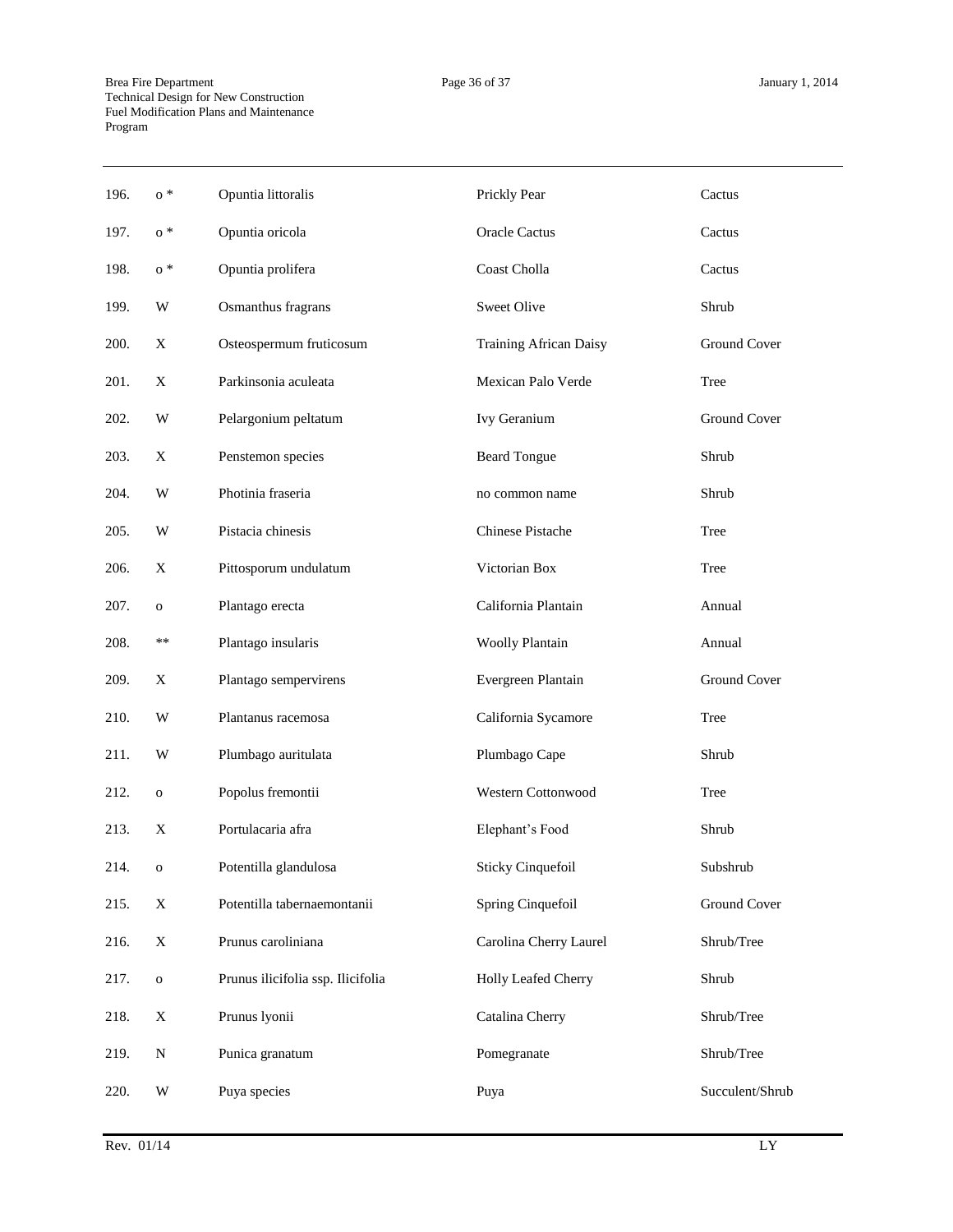| 196. | $0 *$        | Opuntia littoralis                | Prickly Pear           | Cactus          |
|------|--------------|-----------------------------------|------------------------|-----------------|
| 197. | $0 *$        | Opuntia oricola                   | <b>Oracle Cactus</b>   | Cactus          |
| 198. | $0 *$        | Opuntia prolifera                 | Coast Cholla           | Cactus          |
| 199. | W            | Osmanthus fragrans                | Sweet Olive            | Shrub           |
| 200. | X            | Osteospermum fruticosum           | Training African Daisy | Ground Cover    |
| 201. | X            | Parkinsonia aculeata              | Mexican Palo Verde     | Tree            |
| 202. | W            | Pelargonium peltatum              | Ivy Geranium           | Ground Cover    |
| 203. | X            | Penstemon species                 | <b>Beard Tongue</b>    | Shrub           |
| 204. | W            | Photinia fraseria                 | no common name         | Shrub           |
| 205. | W            | Pistacia chinesis                 | Chinese Pistache       | Tree            |
| 206. | X            | Pittosporum undulatum             | Victorian Box          | Tree            |
| 207. | $\mathbf 0$  | Plantago erecta                   | California Plantain    | Annual          |
| 208. | $***$        | Plantago insularis                | <b>Woolly Plantain</b> | Annual          |
| 209. | X            | Plantago sempervirens             | Evergreen Plantain     | Ground Cover    |
| 210. | W            | Plantanus racemosa                | California Sycamore    | Tree            |
| 211. | W            | Plumbago auritulata               | Plumbago Cape          | Shrub           |
| 212. | $\mathbf{o}$ | Popolus fremontii                 | Western Cottonwood     | Tree            |
| 213. | X            | Portulacaria afra                 | Elephant's Food        | Shrub           |
| 214. | $\mathbf{o}$ | Potentilla glandulosa             | Sticky Cinquefoil      | Subshrub        |
| 215. | $\mathbf X$  | Potentilla tabernaemontanii       | Spring Cinquefoil      | Ground Cover    |
| 216. | $\mathbf X$  | Prunus caroliniana                | Carolina Cherry Laurel | Shrub/Tree      |
| 217. | ${\bf O}$    | Prunus ilicifolia ssp. Ilicifolia | Holly Leafed Cherry    | Shrub           |
| 218. | $\mathbf X$  | Prunus lyonii                     | Catalina Cherry        | Shrub/Tree      |
| 219. | ${\bf N}$    | Punica granatum                   | Pomegranate            | Shrub/Tree      |
| 220. | W            | Puya species                      | Puya                   | Succulent/Shrub |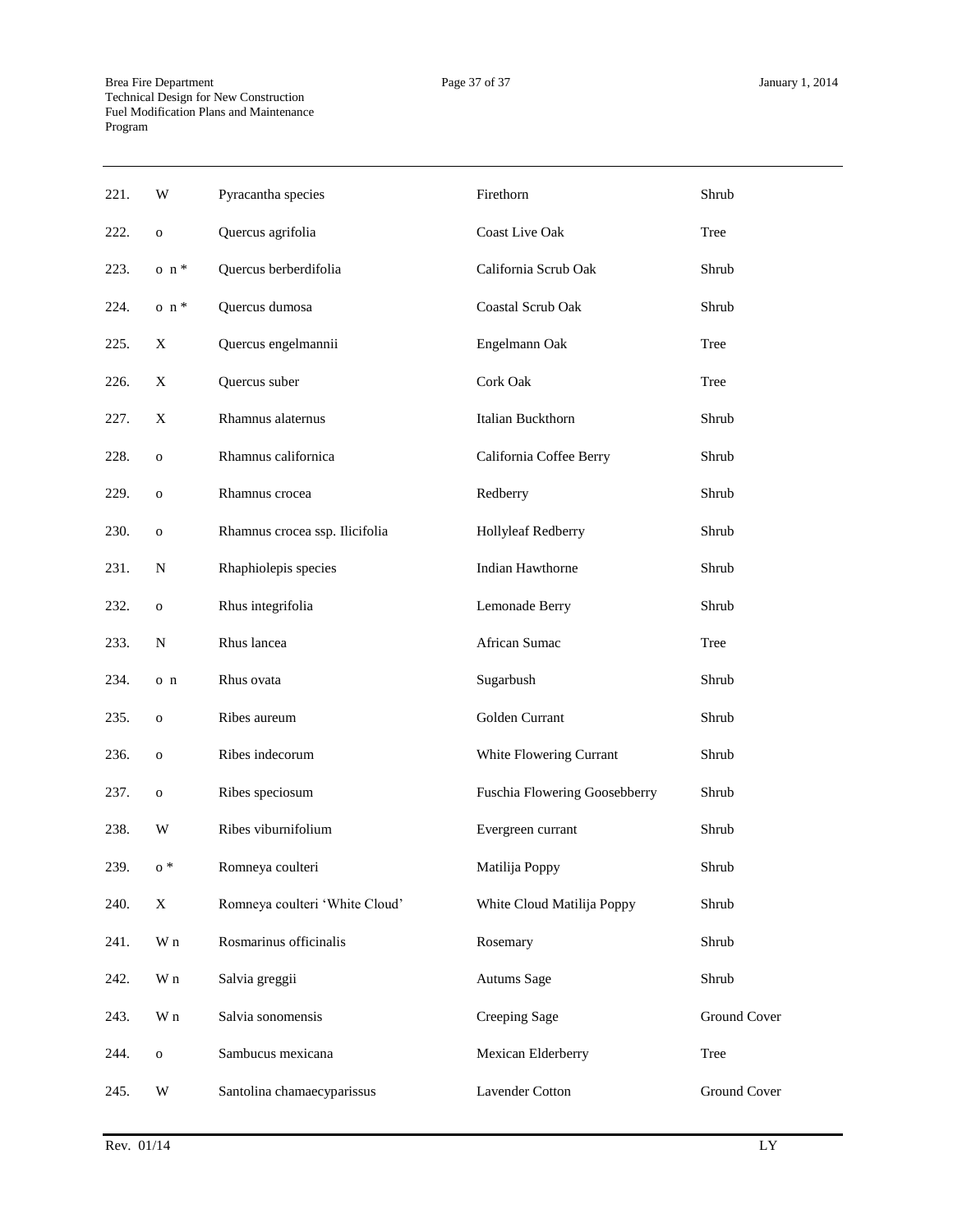Brea Fire Department **Page 37** of 37 January 1, 2014 Technical Design for New Construction Fuel Modification Plans and Maintenance Program

| 221. | W                         | Pyracantha species             | Firethorn                     | Shrub        |
|------|---------------------------|--------------------------------|-------------------------------|--------------|
| 222. | ${\bf O}$                 | Quercus agrifolia              | <b>Coast Live Oak</b>         | Tree         |
| 223. | $o \; n *$                | Quercus berberdifolia          | California Scrub Oak          | Shrub        |
| 224. | $o \; n *$                | Quercus dumosa                 | Coastal Scrub Oak             | Shrub        |
| 225. | X                         | Quercus engelmannii            | Engelmann Oak                 | Tree         |
| 226. | X                         | Quercus suber                  | Cork Oak                      | Tree         |
| 227. | X                         | Rhamnus alaternus              | Italian Buckthorn             | Shrub        |
| 228. | ${\bf O}$                 | Rhamnus californica            | California Coffee Berry       | Shrub        |
| 229. | ${\bf O}$                 | Rhamnus crocea                 | Redberry                      | Shrub        |
| 230. | ${\bf O}$                 | Rhamnus crocea ssp. Ilicifolia | <b>Hollyleaf Redberry</b>     | Shrub        |
| 231. | ${\bf N}$                 | Rhaphiolepis species           | Indian Hawthorne              | Shrub        |
| 232. | ${\bf O}$                 | Rhus integrifolia              | Lemonade Berry                | Shrub        |
| 233. | ${\bf N}$                 | Rhus lancea                    | African Sumac                 | Tree         |
| 234. | o <sub>n</sub>            | Rhus ovata                     | Sugarbush                     | Shrub        |
| 235. | ${\bf O}$                 | Ribes aureum                   | Golden Currant                | Shrub        |
| 236. | ${\bf O}$                 | Ribes indecorum                | White Flowering Currant       | Shrub        |
| 237. | ${\bf O}$                 | Ribes speciosum                | Fuschia Flowering Goosebberry | Shrub        |
| 238. | W                         | Ribes viburnifolium            | Evergreen currant             | Shrub        |
| 239. | $0 *$                     | Romneya coulteri               | Matilija Poppy                | Shrub        |
| 240. | $\boldsymbol{\mathrm{X}}$ | Romneya coulteri 'White Cloud' | White Cloud Matilija Poppy    | Shrub        |
| 241. | W n                       | Rosmarinus officinalis         | Rosemary                      | Shrub        |
| 242. | W n                       | Salvia greggii                 | Autums Sage                   | Shrub        |
| 243. | W n                       | Salvia sonomensis              | Creeping Sage                 | Ground Cover |
| 244. | $\mathbf O$               | Sambucus mexicana              | Mexican Elderberry            | Tree         |
| 245. | $\mathbf W$               | Santolina chamaecyparissus     | Lavender Cotton               | Ground Cover |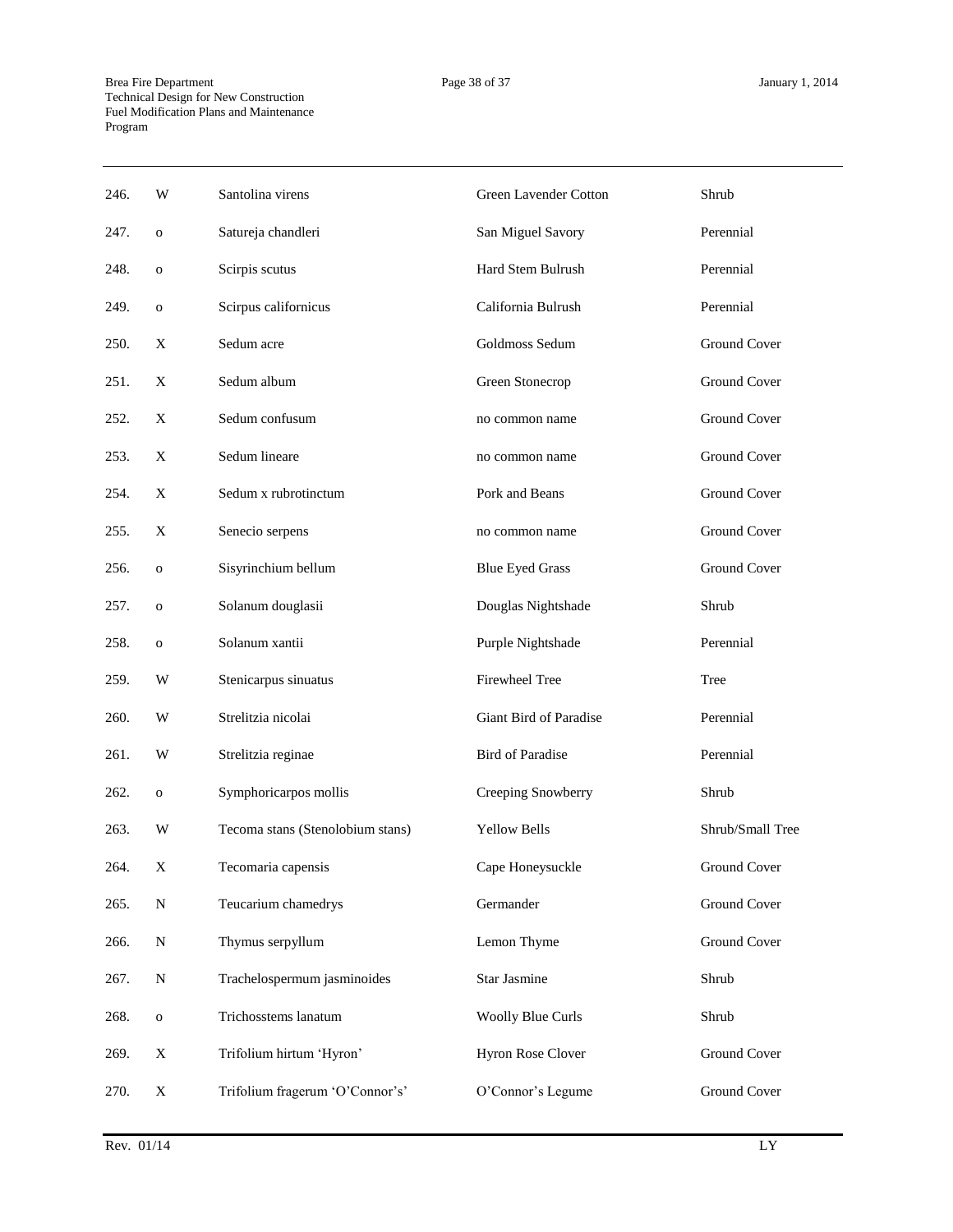| 246. | W            | Santolina virens                 | Green Lavender Cotton    | Shrub            |
|------|--------------|----------------------------------|--------------------------|------------------|
| 247. | $\mathbf 0$  | Satureja chandleri               | San Miguel Savory        | Perennial        |
| 248. | $\mathbf 0$  | Scirpis scutus                   | Hard Stem Bulrush        | Perennial        |
| 249. | $\mathbf 0$  | Scirpus californicus             | California Bulrush       | Perennial        |
| 250. | X            | Sedum acre                       | Goldmoss Sedum           | Ground Cover     |
| 251. | $\mathbf X$  | Sedum album                      | Green Stonecrop          | Ground Cover     |
| 252. | $\mathbf X$  | Sedum confusum                   | no common name           | Ground Cover     |
| 253. | $\mathbf X$  | Sedum lineare                    | no common name           | Ground Cover     |
| 254. | $\mathbf X$  | Sedum x rubrotinctum             | Pork and Beans           | Ground Cover     |
| 255. | X            | Senecio serpens                  | no common name           | Ground Cover     |
| 256. | $\mathbf 0$  | Sisyrinchium bellum              | <b>Blue Eyed Grass</b>   | Ground Cover     |
| 257. | $\mathbf 0$  | Solanum douglasii                | Douglas Nightshade       | Shrub            |
| 258. | $\mathbf{o}$ | Solanum xantii                   | Purple Nightshade        | Perennial        |
| 259. | W            | Stenicarpus sinuatus             | Firewheel Tree           | Tree             |
| 260. | W            | Strelitzia nicolai               | Giant Bird of Paradise   | Perennial        |
| 261. | W            | Strelitzia reginae               | <b>Bird of Paradise</b>  | Perennial        |
| 262. | $\mathbf 0$  | Symphoricarpos mollis            | Creeping Snowberry       | Shrub            |
| 263. | W            | Tecoma stans (Stenolobium stans) | <b>Yellow Bells</b>      | Shrub/Small Tree |
| 264. | X            | Tecomaria capensis               | Cape Honeysuckle         | Ground Cover     |
| 265. | N            | Teucarium chamedrys              | Germander                | Ground Cover     |
| 266. | ${\bf N}$    | Thymus serpyllum                 | Lemon Thyme              | Ground Cover     |
| 267. | N            | Trachelospermum jasminoides      | Star Jasmine             | Shrub            |
| 268. | $\mathbf{o}$ | Trichosstems lanatum             | <b>Woolly Blue Curls</b> | Shrub            |
| 269. | $\mathbf X$  | Trifolium hirtum 'Hyron'         | <b>Hyron Rose Clover</b> | Ground Cover     |
| 270. | $\mathbf X$  | Trifolium fragerum 'O'Connor's'  | O'Connor's Legume        | Ground Cover     |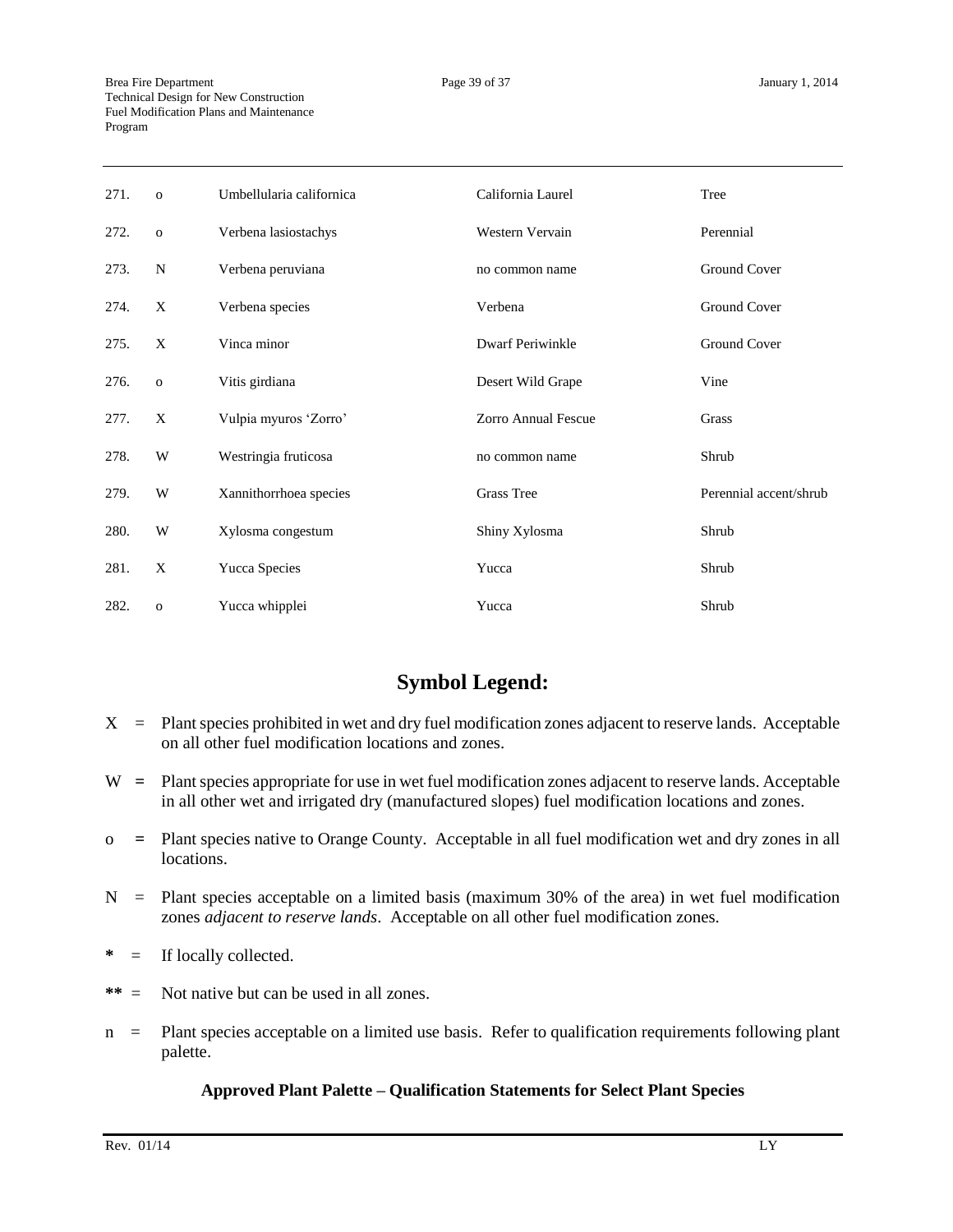| 271. | $\mathbf{o}$ | Umbellularia californica | California Laurel          | Tree                   |
|------|--------------|--------------------------|----------------------------|------------------------|
| 272. | $\mathbf{o}$ | Verbena lasiostachys     | Western Vervain            | Perennial              |
| 273. | $\mathbf N$  | Verbena peruviana        | no common name             | Ground Cover           |
| 274. | X            | Verbena species          | Verbena                    | Ground Cover           |
| 275. | X            | Vinca minor              | Dwarf Periwinkle           | Ground Cover           |
| 276. | $\mathbf{o}$ | Vitis girdiana           | Desert Wild Grape          | Vine                   |
| 277. | X            | Vulpia myuros 'Zorro'    | <b>Zorro Annual Fescue</b> | Grass                  |
| 278. | W            | Westringia fruticosa     | no common name             | Shrub                  |
| 279. | W            | Xannithorrhoea species   | <b>Grass Tree</b>          | Perennial accent/shrub |
| 280. | W            | Xylosma congestum        | Shiny Xylosma              | Shrub                  |
| 281. | X            | Yucca Species            | Yucca                      | Shrub                  |
| 282. | $\mathbf{o}$ | Yucca whipplei           | Yucca                      | Shrub                  |

## **Symbol Legend:**

- X=Plant species prohibited in wet and dry fuel modification zones adjacent to reserve lands. Acceptable on all other fuel modification locations and zones.
- W **=** Plant species appropriate for use in wet fuel modification zones adjacent to reserve lands. Acceptable in all other wet and irrigated dry (manufactured slopes) fuel modification locations and zones.
- o **=** Plant species native to Orange County. Acceptable in all fuel modification wet and dry zones in all locations.
- N = Plant species acceptable on a limited basis (maximum 30% of the area) in wet fuel modification zones *adjacent to reserve lands*. Acceptable on all other fuel modification zones.
- **\*** = If locally collected.
- **\*\*** = Not native but can be used in all zones.
- n = Plant species acceptable on a limited use basis. Refer to qualification requirements following plant palette.

#### **Approved Plant Palette – Qualification Statements for Select Plant Species**